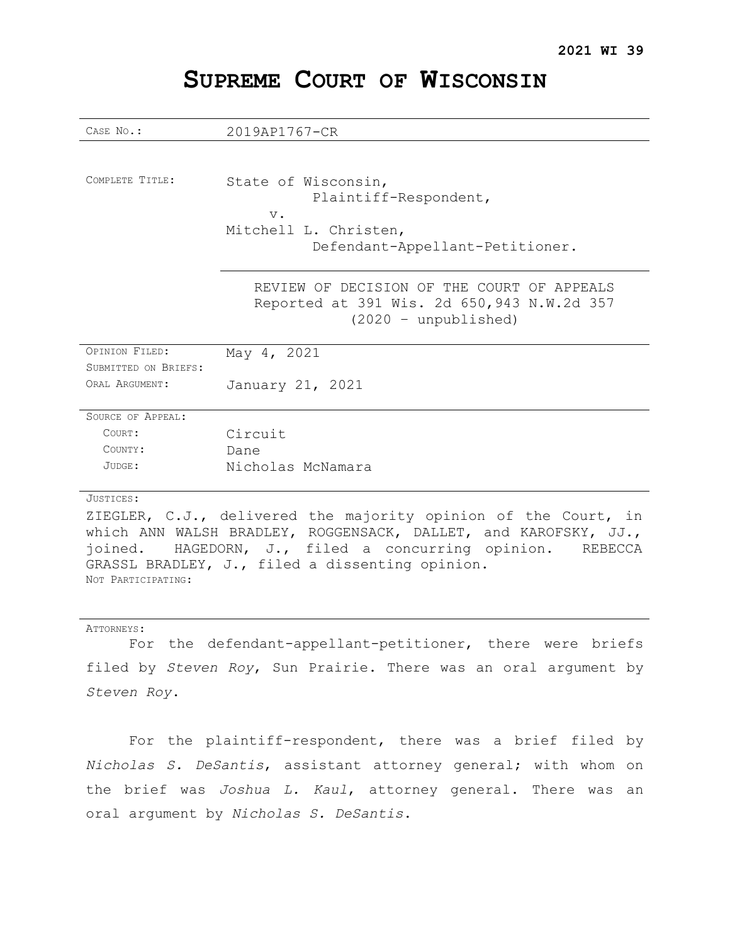| CASE No.:                               | 2019AP1767-CR                                                                                                       |
|-----------------------------------------|---------------------------------------------------------------------------------------------------------------------|
|                                         |                                                                                                                     |
| COMPLETE TITLE:                         | State of Wisconsin,<br>Plaintiff-Respondent,<br>$V$ .<br>Mitchell L. Christen,<br>Defendant-Appellant-Petitioner.   |
|                                         | REVIEW OF DECISION OF THE COURT OF APPEALS<br>Reported at 391 Wis. 2d 650, 943 N.W.2d 357<br>$(2020 - unpublished)$ |
| OPINION FILED:                          | May 4, 2021                                                                                                         |
| SUBMITTED ON BRIEFS:<br>ORAT, ARGUMENT: | January 21, 2021                                                                                                    |
| SOURCE OF APPEAL:                       |                                                                                                                     |
| COURT:                                  | Circuit                                                                                                             |
| COUNTY:                                 | Dane                                                                                                                |
| JUDGE:                                  | Nicholas McNamara                                                                                                   |
| JUSTICES:                               |                                                                                                                     |
|                                         | ZIEGLER, C.J., delivered the majority opinion of the Court, in                                                      |

# **SUPREME COURT OF WISCONSIN**

which ANN WALSH BRADLEY, ROGGENSACK, DALLET, and KAROFSKY, JJ., joined. HAGEDORN, J., filed a concurring opinion. REBECCA GRASSL BRADLEY, J., filed a dissenting opinion. NOT PARTICIPATING:

#### ATTORNEYS:

For the defendant-appellant-petitioner, there were briefs filed by *Steven Roy*, Sun Prairie. There was an oral argument by *Steven Roy*.

For the plaintiff-respondent, there was a brief filed by *Nicholas S. DeSantis*, assistant attorney general; with whom on the brief was *Joshua L. Kaul*, attorney general. There was an oral argument by *Nicholas S. DeSantis*.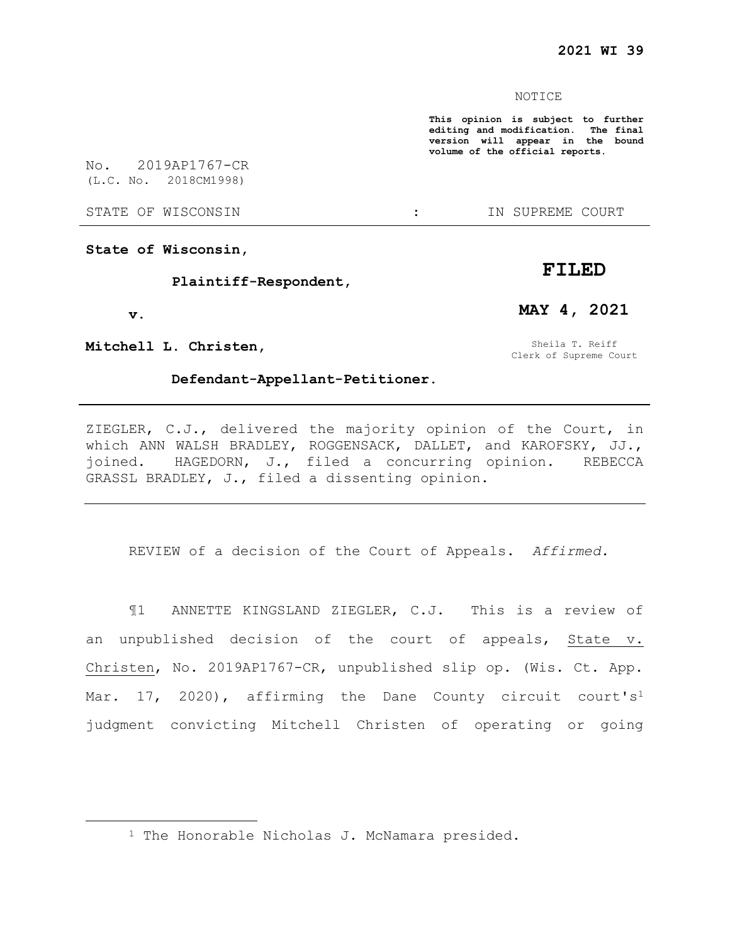#### NOTICE

**This opinion is subject to further editing and modification. The final version will appear in the bound volume of the official reports.** 

No. 2019AP1767-CR (L.C. No. 2018CM1998)

STATE OF WISCONSIN  $\cdot$  in Supreme court

**State of Wisconsin,** 

**Plaintiff-Respondent,** 

**v.**

 $\overline{a}$ 

**Mitchell L. Christen,** 

**Defendant-Appellant-Petitioner.** 

Clerk of Supreme Court

**FILED**

**MAY 4, 2021**

Sheila T. Reiff

ZIEGLER, C.J., delivered the majority opinion of the Court, in which ANN WALSH BRADLEY, ROGGENSACK, DALLET, and KAROFSKY, JJ., joined. HAGEDORN, J., filed a concurring opinion. REBECCA GRASSL BRADLEY, J., filed a dissenting opinion.

REVIEW of a decision of the Court of Appeals. *Affirmed.*

¶1 ANNETTE KINGSLAND ZIEGLER, C.J. This is a review of an unpublished decision of the court of appeals, State v. Christen, No. 2019AP1767-CR, unpublished slip op. (Wis. Ct. App. Mar. 17, 2020), affirming the Dane County circuit court's<sup>1</sup> judgment convicting Mitchell Christen of operating or going

<sup>1</sup> The Honorable Nicholas J. McNamara presided.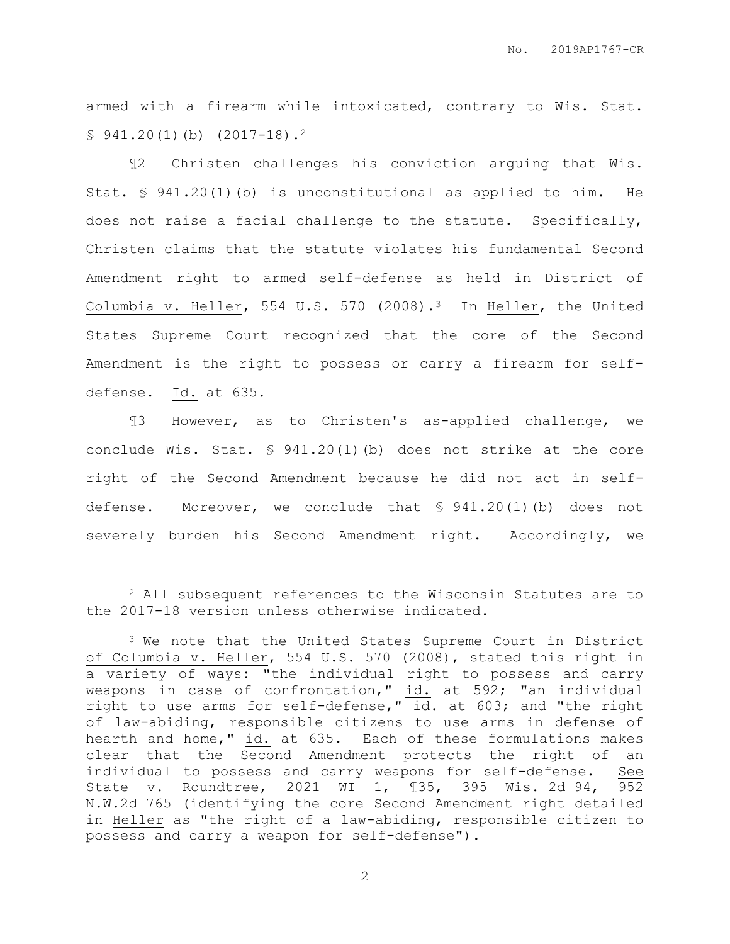armed with a firearm while intoxicated, contrary to Wis. Stat.  $$941.20(1)(b) (2017-18).$ <sup>2</sup>

¶2 Christen challenges his conviction arguing that Wis. Stat. § 941.20(1)(b) is unconstitutional as applied to him. He does not raise a facial challenge to the statute. Specifically, Christen claims that the statute violates his fundamental Second Amendment right to armed self-defense as held in District of Columbia v. Heller, 554 U.S. 570 (2008).<sup>3</sup> In Heller, the United States Supreme Court recognized that the core of the Second Amendment is the right to possess or carry a firearm for selfdefense. Id. at 635.

¶3 However, as to Christen's as-applied challenge, we conclude Wis. Stat. § 941.20(1)(b) does not strike at the core right of the Second Amendment because he did not act in selfdefense. Moreover, we conclude that § 941.20(1)(b) does not severely burden his Second Amendment right. Accordingly, we

 $\overline{a}$ 

<sup>2</sup> All subsequent references to the Wisconsin Statutes are to the 2017-18 version unless otherwise indicated.

<sup>&</sup>lt;sup>3</sup> We note that the United States Supreme Court in District of Columbia v. Heller, 554 U.S. 570 (2008), stated this right in a variety of ways: "the individual right to possess and carry weapons in case of confrontation," id. at 592; "an individual right to use arms for self-defense," id. at 603; and "the right of law-abiding, responsible citizens to use arms in defense of hearth and home," id. at 635. Each of these formulations makes clear that the Second Amendment protects the right of an individual to possess and carry weapons for self-defense. See State v. Roundtree, 2021 WI 1, ¶35, 395 Wis. 2d 94, 952 N.W.2d 765 (identifying the core Second Amendment right detailed in Heller as "the right of a law-abiding, responsible citizen to possess and carry a weapon for self-defense").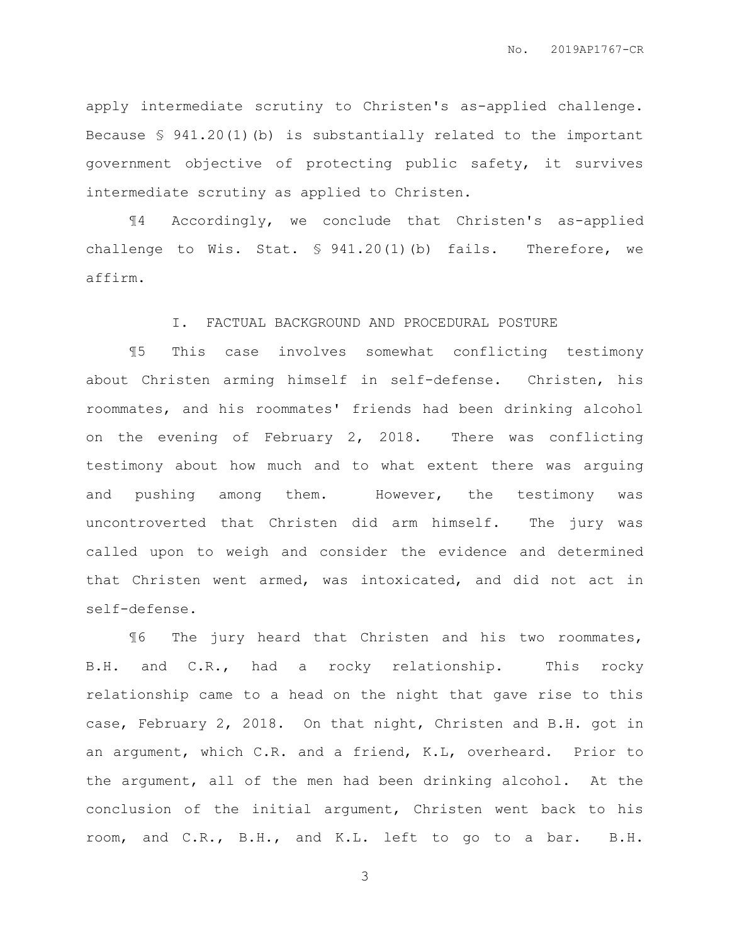apply intermediate scrutiny to Christen's as-applied challenge. Because  $\frac{6}{5}$  941.20(1)(b) is substantially related to the important government objective of protecting public safety, it survives intermediate scrutiny as applied to Christen.

¶4 Accordingly, we conclude that Christen's as-applied challenge to Wis. Stat. § 941.20(1)(b) fails. Therefore, we affirm.

### I. FACTUAL BACKGROUND AND PROCEDURAL POSTURE

¶5 This case involves somewhat conflicting testimony about Christen arming himself in self-defense. Christen, his roommates, and his roommates' friends had been drinking alcohol on the evening of February 2, 2018. There was conflicting testimony about how much and to what extent there was arguing and pushing among them. However, the testimony was uncontroverted that Christen did arm himself. The jury was called upon to weigh and consider the evidence and determined that Christen went armed, was intoxicated, and did not act in self-defense.

¶6 The jury heard that Christen and his two roommates, B.H. and C.R., had a rocky relationship. This rocky relationship came to a head on the night that gave rise to this case, February 2, 2018. On that night, Christen and B.H. got in an argument, which C.R. and a friend, K.L, overheard. Prior to the argument, all of the men had been drinking alcohol. At the conclusion of the initial argument, Christen went back to his room, and C.R., B.H., and K.L. left to go to a bar. B.H.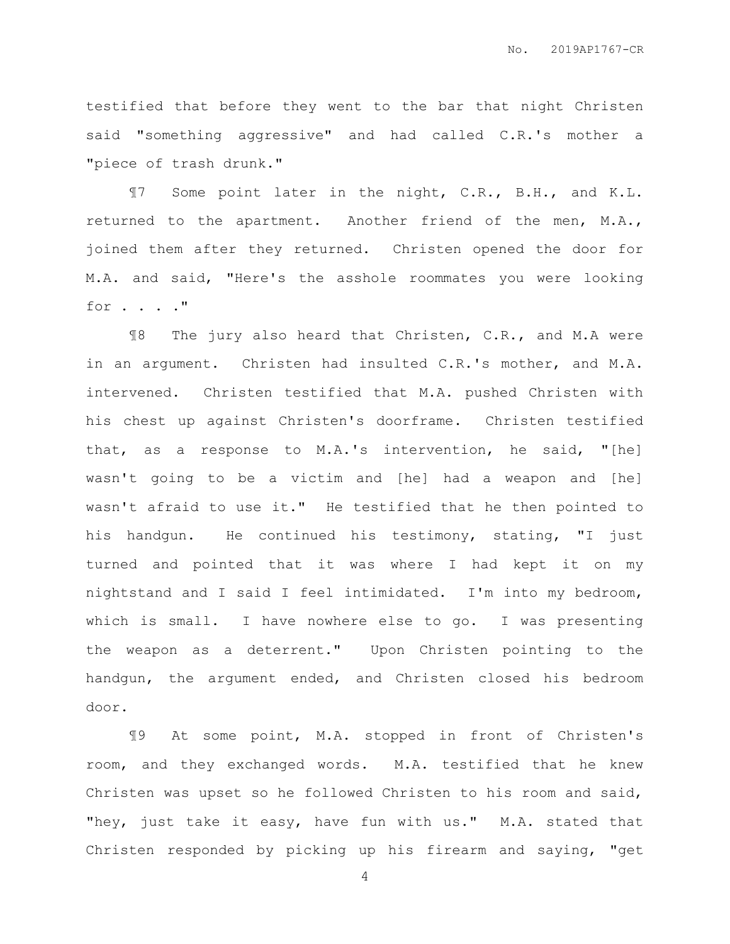testified that before they went to the bar that night Christen said "something aggressive" and had called C.R.'s mother a "piece of trash drunk."

¶7 Some point later in the night, C.R., B.H., and K.L. returned to the apartment. Another friend of the men, M.A., joined them after they returned. Christen opened the door for M.A. and said, "Here's the asshole roommates you were looking for . . . ."

¶8 The jury also heard that Christen, C.R., and M.A were in an argument. Christen had insulted C.R.'s mother, and M.A. intervened. Christen testified that M.A. pushed Christen with his chest up against Christen's doorframe. Christen testified that, as a response to M.A.'s intervention, he said, "[he] wasn't going to be a victim and [he] had a weapon and [he] wasn't afraid to use it." He testified that he then pointed to his handgun. He continued his testimony, stating, "I just turned and pointed that it was where I had kept it on my nightstand and I said I feel intimidated. I'm into my bedroom, which is small. I have nowhere else to go. I was presenting the weapon as a deterrent." Upon Christen pointing to the handgun, the argument ended, and Christen closed his bedroom door.

¶9 At some point, M.A. stopped in front of Christen's room, and they exchanged words. M.A. testified that he knew Christen was upset so he followed Christen to his room and said, "hey, just take it easy, have fun with us." M.A. stated that Christen responded by picking up his firearm and saying, "get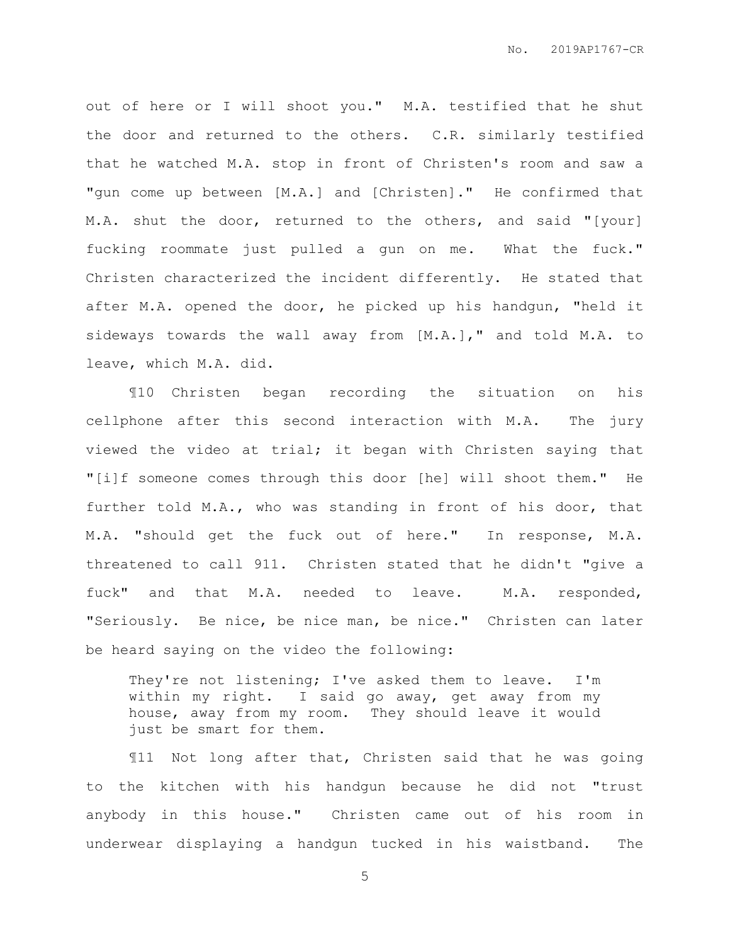out of here or I will shoot you." M.A. testified that he shut the door and returned to the others. C.R. similarly testified that he watched M.A. stop in front of Christen's room and saw a "gun come up between [M.A.] and [Christen]." He confirmed that M.A. shut the door, returned to the others, and said "[your] fucking roommate just pulled a gun on me. What the fuck." Christen characterized the incident differently. He stated that after M.A. opened the door, he picked up his handgun, "held it sideways towards the wall away from [M.A.]," and told M.A. to leave, which M.A. did.

¶10 Christen began recording the situation on his cellphone after this second interaction with M.A. The jury viewed the video at trial; it began with Christen saying that "[i]f someone comes through this door [he] will shoot them." He further told M.A., who was standing in front of his door, that M.A. "should get the fuck out of here." In response, M.A. threatened to call 911. Christen stated that he didn't "give a fuck" and that M.A. needed to leave. M.A. responded, "Seriously. Be nice, be nice man, be nice." Christen can later be heard saying on the video the following:

They're not listening; I've asked them to leave. I'm within my right. I said go away, get away from my house, away from my room. They should leave it would just be smart for them.

¶11 Not long after that, Christen said that he was going to the kitchen with his handgun because he did not "trust anybody in this house." Christen came out of his room in underwear displaying a handgun tucked in his waistband. The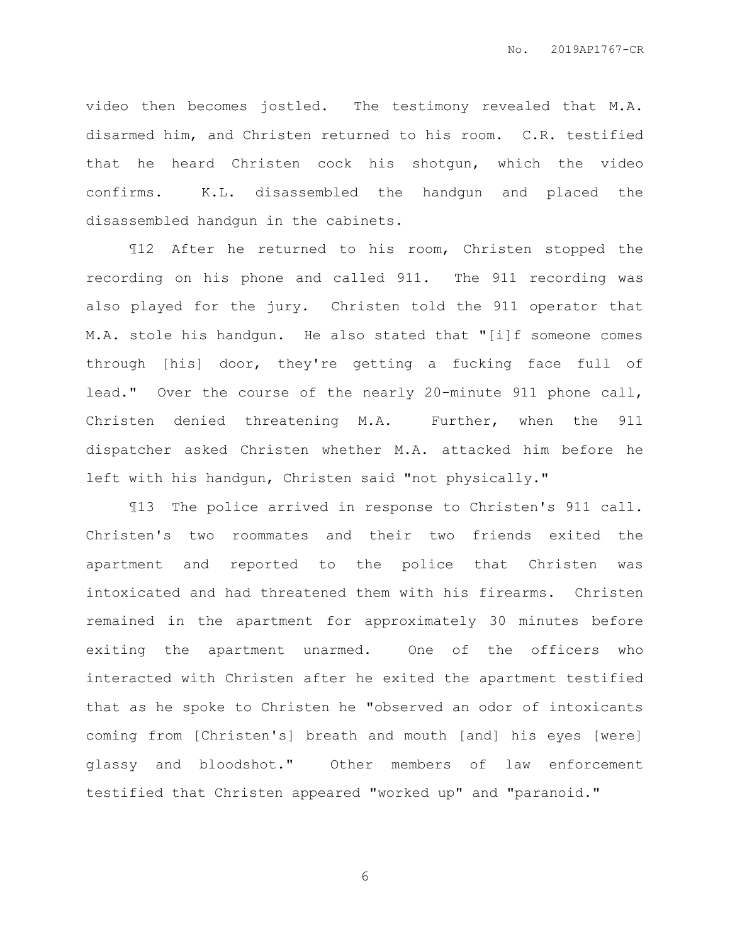video then becomes jostled. The testimony revealed that M.A. disarmed him, and Christen returned to his room. C.R. testified that he heard Christen cock his shotgun, which the video confirms. K.L. disassembled the handgun and placed the disassembled handgun in the cabinets.

¶12 After he returned to his room, Christen stopped the recording on his phone and called 911. The 911 recording was also played for the jury. Christen told the 911 operator that M.A. stole his handgun. He also stated that "[i]f someone comes through [his] door, they're getting a fucking face full of lead." Over the course of the nearly 20-minute 911 phone call, Christen denied threatening M.A. Further, when the 911 dispatcher asked Christen whether M.A. attacked him before he left with his handgun, Christen said "not physically."

¶13 The police arrived in response to Christen's 911 call. Christen's two roommates and their two friends exited the apartment and reported to the police that Christen was intoxicated and had threatened them with his firearms. Christen remained in the apartment for approximately 30 minutes before exiting the apartment unarmed. One of the officers who interacted with Christen after he exited the apartment testified that as he spoke to Christen he "observed an odor of intoxicants coming from [Christen's] breath and mouth [and] his eyes [were] glassy and bloodshot." Other members of law enforcement testified that Christen appeared "worked up" and "paranoid."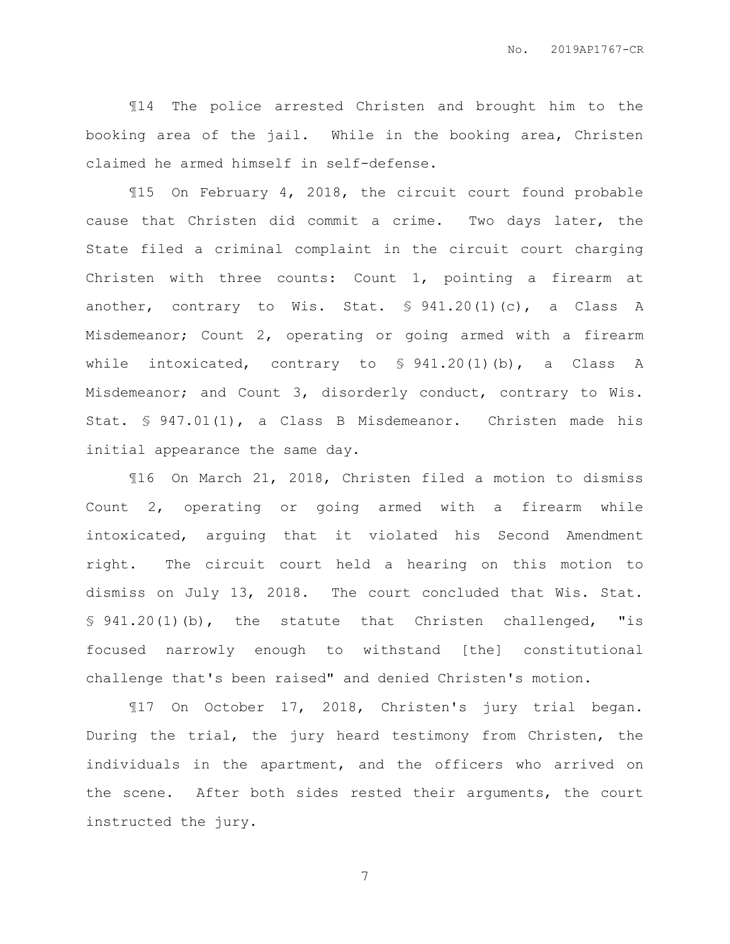¶14 The police arrested Christen and brought him to the booking area of the jail. While in the booking area, Christen claimed he armed himself in self-defense.

¶15 On February 4, 2018, the circuit court found probable cause that Christen did commit a crime. Two days later, the State filed a criminal complaint in the circuit court charging Christen with three counts: Count 1, pointing a firearm at another, contrary to Wis. Stat.  $\text{\$ 941.20(l)(c), a Class A}$ Misdemeanor; Count 2, operating or going armed with a firearm while intoxicated, contrary to § 941.20(1)(b), a Class A Misdemeanor; and Count 3, disorderly conduct, contrary to Wis. Stat. § 947.01(1), a Class B Misdemeanor. Christen made his initial appearance the same day.

¶16 On March 21, 2018, Christen filed a motion to dismiss Count 2, operating or going armed with a firearm while intoxicated, arguing that it violated his Second Amendment right. The circuit court held a hearing on this motion to dismiss on July 13, 2018. The court concluded that Wis. Stat. § 941.20(1)(b), the statute that Christen challenged, "is focused narrowly enough to withstand [the] constitutional challenge that's been raised" and denied Christen's motion.

¶17 On October 17, 2018, Christen's jury trial began. During the trial, the jury heard testimony from Christen, the individuals in the apartment, and the officers who arrived on the scene. After both sides rested their arguments, the court instructed the jury.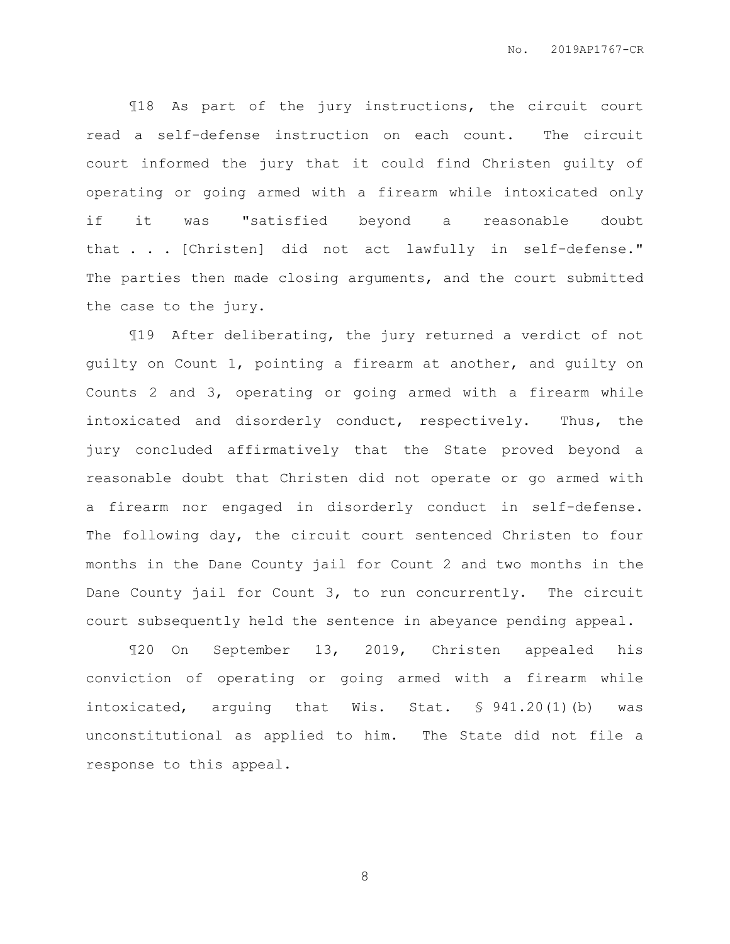¶18 As part of the jury instructions, the circuit court read a self-defense instruction on each count. The circuit court informed the jury that it could find Christen guilty of operating or going armed with a firearm while intoxicated only if it was "satisfied beyond a reasonable doubt that . . . [Christen] did not act lawfully in self-defense." The parties then made closing arguments, and the court submitted the case to the jury.

¶19 After deliberating, the jury returned a verdict of not guilty on Count 1, pointing a firearm at another, and guilty on Counts 2 and 3, operating or going armed with a firearm while intoxicated and disorderly conduct, respectively. Thus, the jury concluded affirmatively that the State proved beyond a reasonable doubt that Christen did not operate or go armed with a firearm nor engaged in disorderly conduct in self-defense. The following day, the circuit court sentenced Christen to four months in the Dane County jail for Count 2 and two months in the Dane County jail for Count 3, to run concurrently. The circuit court subsequently held the sentence in abeyance pending appeal.

¶20 On September 13, 2019, Christen appealed his conviction of operating or going armed with a firearm while intoxicated, arguing that Wis. Stat. § 941.20(1)(b) was unconstitutional as applied to him. The State did not file a response to this appeal.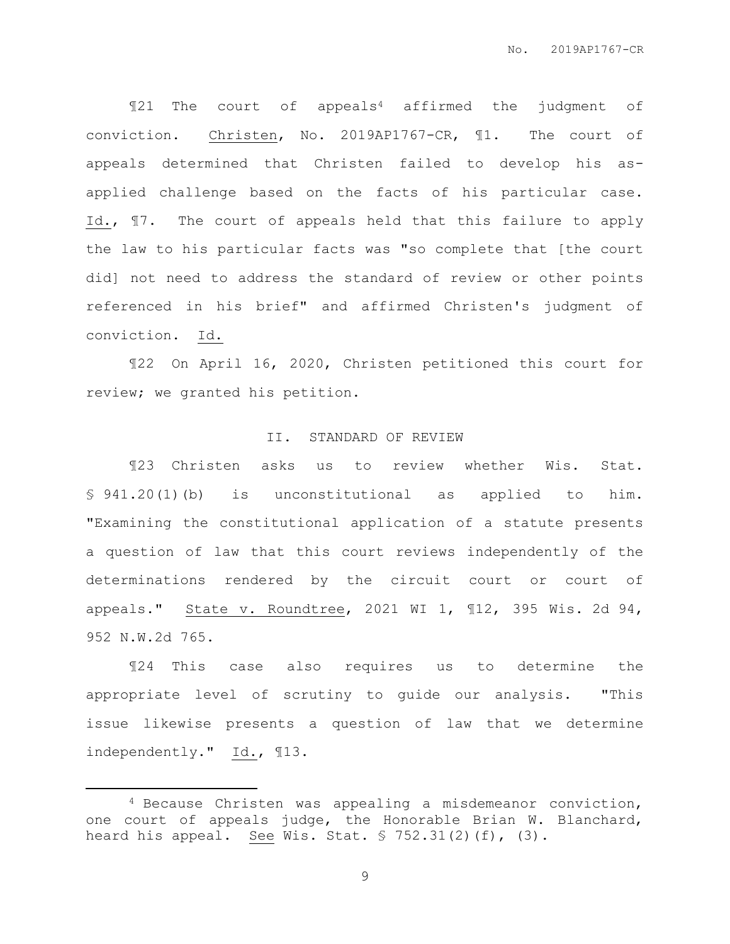¶21 The court of appeals<sup>4</sup> affirmed the judgment of conviction. Christen, No. 2019AP1767-CR, ¶1. The court of appeals determined that Christen failed to develop his asapplied challenge based on the facts of his particular case. Id., ¶7. The court of appeals held that this failure to apply the law to his particular facts was "so complete that [the court did] not need to address the standard of review or other points referenced in his brief" and affirmed Christen's judgment of conviction. Id.

¶22 On April 16, 2020, Christen petitioned this court for review; we granted his petition.

#### II. STANDARD OF REVIEW

¶23 Christen asks us to review whether Wis. Stat. § 941.20(1)(b) is unconstitutional as applied to him. "Examining the constitutional application of a statute presents a question of law that this court reviews independently of the determinations rendered by the circuit court or court of appeals." State v. Roundtree, 2021 WI 1, ¶12, 395 Wis. 2d 94, 952 N.W.2d 765.

¶24 This case also requires us to determine the appropriate level of scrutiny to guide our analysis. "This issue likewise presents a question of law that we determine independently." Id., ¶13.

 $\overline{a}$ 

<sup>4</sup> Because Christen was appealing a misdemeanor conviction, one court of appeals judge, the Honorable Brian W. Blanchard, heard his appeal. See Wis. Stat.  $\frac{1}{5}$  752.31(2)(f), (3).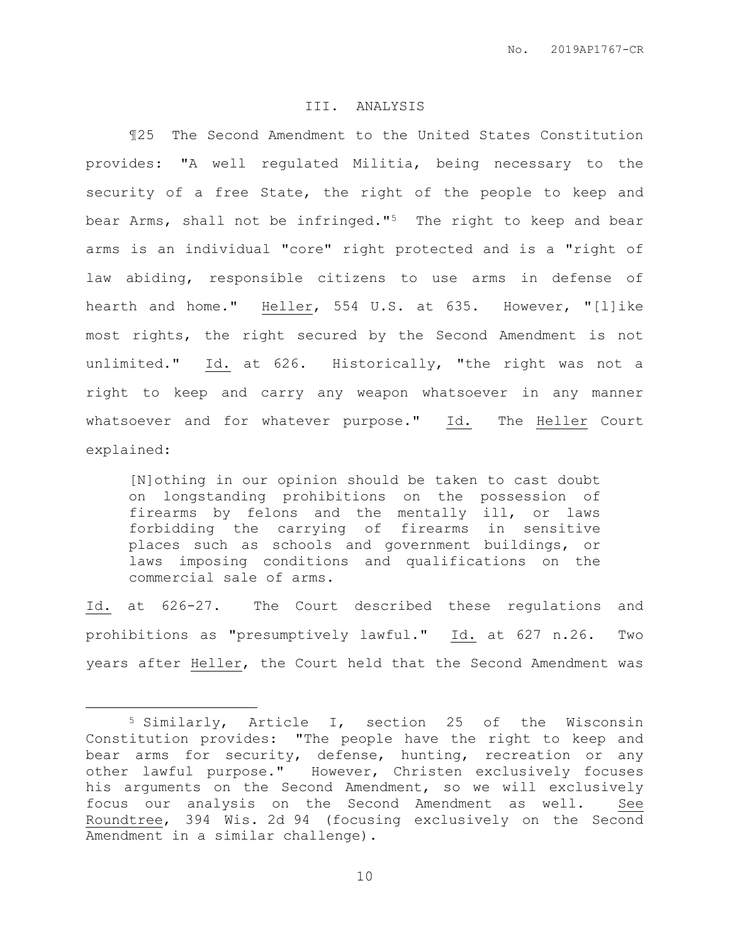### III. ANALYSIS

¶25 The Second Amendment to the United States Constitution provides: "A well regulated Militia, being necessary to the security of a free State, the right of the people to keep and bear Arms, shall not be infringed."5 The right to keep and bear arms is an individual "core" right protected and is a "right of law abiding, responsible citizens to use arms in defense of hearth and home." Heller, 554 U.S. at 635. However, "[l]ike most rights, the right secured by the Second Amendment is not unlimited." Id. at 626. Historically, "the right was not a right to keep and carry any weapon whatsoever in any manner whatsoever and for whatever purpose." Id. The Heller Court explained:

[N]othing in our opinion should be taken to cast doubt on longstanding prohibitions on the possession of firearms by felons and the mentally ill, or laws forbidding the carrying of firearms in sensitive places such as schools and government buildings, or laws imposing conditions and qualifications on the commercial sale of arms.

Id. at 626-27. The Court described these regulations and prohibitions as "presumptively lawful." Id. at 627 n.26. Two years after Heller, the Court held that the Second Amendment was

 $\overline{a}$ 

<sup>5</sup> Similarly, Article I, section 25 of the Wisconsin Constitution provides: "The people have the right to keep and bear arms for security, defense, hunting, recreation or any other lawful purpose." However, Christen exclusively focuses his arguments on the Second Amendment, so we will exclusively focus our analysis on the Second Amendment as well. See Roundtree, 394 Wis. 2d 94 (focusing exclusively on the Second Amendment in a similar challenge).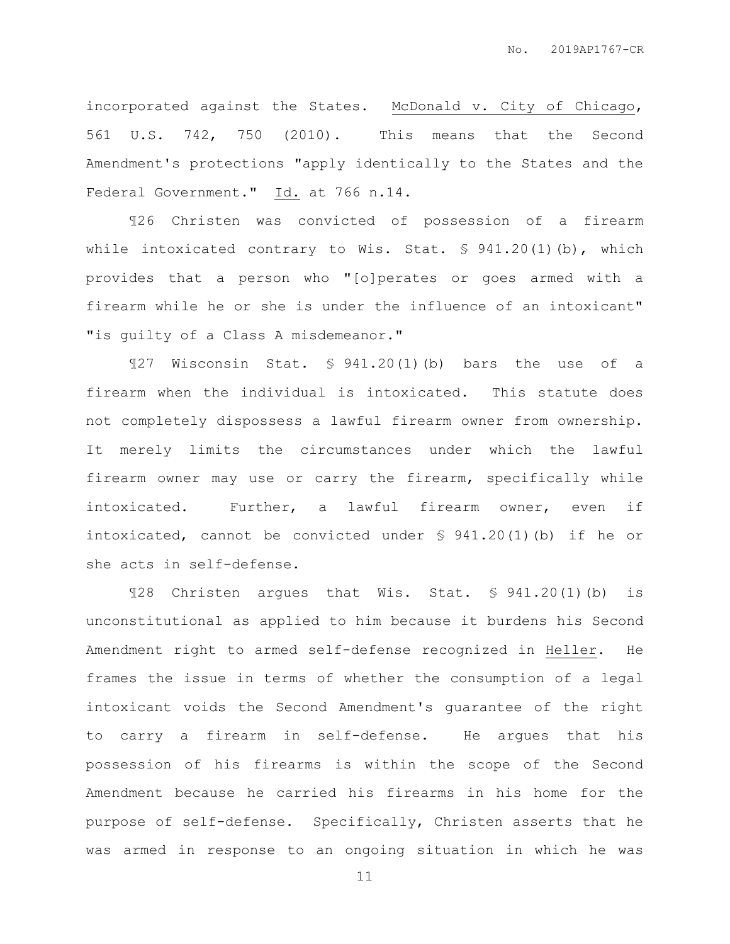incorporated against the States. McDonald v. City of Chicago, 561 U.S. 742, 750 (2010). This means that the Second Amendment's protections "apply identically to the States and the Federal Government." Id. at 766 n.14.

¶26 Christen was convicted of possession of a firearm while intoxicated contrary to Wis. Stat. § 941.20(1)(b), which provides that a person who "[o]perates or goes armed with a firearm while he or she is under the influence of an intoxicant" "is guilty of a Class A misdemeanor."

¶27 Wisconsin Stat. § 941.20(1)(b) bars the use of a firearm when the individual is intoxicated. This statute does not completely dispossess a lawful firearm owner from ownership. It merely limits the circumstances under which the lawful firearm owner may use or carry the firearm, specifically while intoxicated. Further, a lawful firearm owner, even if intoxicated, cannot be convicted under  $\frac{1}{2}$  941.20(1)(b) if he or she acts in self-defense.

¶28 Christen argues that Wis. Stat. § 941.20(1)(b) is unconstitutional as applied to him because it burdens his Second Amendment right to armed self-defense recognized in Heller. He frames the issue in terms of whether the consumption of a legal intoxicant voids the Second Amendment's guarantee of the right to carry a firearm in self-defense. He argues that his possession of his firearms is within the scope of the Second Amendment because he carried his firearms in his home for the purpose of self-defense. Specifically, Christen asserts that he was armed in response to an ongoing situation in which he was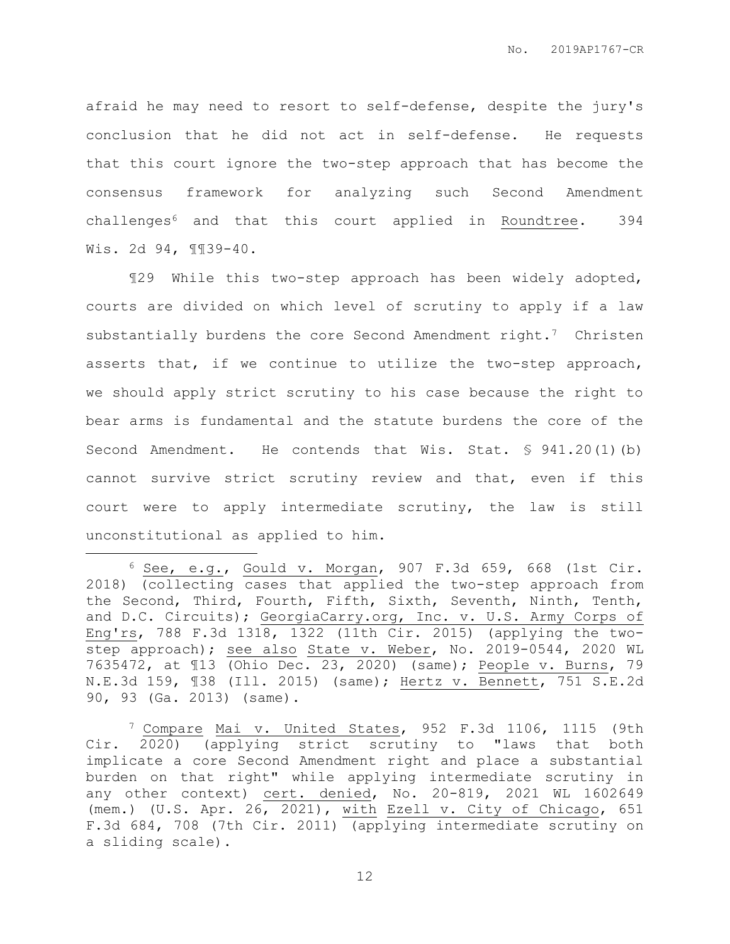afraid he may need to resort to self-defense, despite the jury's conclusion that he did not act in self-defense. He requests that this court ignore the two-step approach that has become the consensus framework for analyzing such Second Amendment challenges<sup>6</sup> and that this court applied in Roundtree. 394 Wis. 2d 94, ¶¶39-40.

¶29 While this two-step approach has been widely adopted, courts are divided on which level of scrutiny to apply if a law substantially burdens the core Second Amendment right.<sup>7</sup> Christen asserts that, if we continue to utilize the two-step approach, we should apply strict scrutiny to his case because the right to bear arms is fundamental and the statute burdens the core of the Second Amendment. He contends that Wis. Stat. § 941.20(1)(b) cannot survive strict scrutiny review and that, even if this court were to apply intermediate scrutiny, the law is still unconstitutional as applied to him.

 $\overline{a}$ 

 $6$  See, e.g., Gould v. Morgan, 907 F.3d 659, 668 (1st Cir. 2018) (collecting cases that applied the two-step approach from the Second, Third, Fourth, Fifth, Sixth, Seventh, Ninth, Tenth, and D.C. Circuits); GeorgiaCarry.org, Inc. v. U.S. Army Corps of Eng'rs, 788 F.3d 1318, 1322 (11th Cir. 2015) (applying the twostep approach); see also State v. Weber, No. 2019-0544, 2020 WL 7635472, at ¶13 (Ohio Dec. 23, 2020) (same); People v. Burns, 79 N.E.3d 159, ¶38 (Ill. 2015) (same); Hertz v. Bennett, 751 S.E.2d 90, 93 (Ga. 2013) (same).

<sup>7</sup> Compare Mai v. United States, 952 F.3d 1106, 1115 (9th Cir. 2020) (applying strict scrutiny to "laws that both implicate a core Second Amendment right and place a substantial burden on that right" while applying intermediate scrutiny in any other context) cert. denied, No. 20-819, 2021 WL 1602649 (mem.) (U.S. Apr. 26, 2021), with Ezell v. City of Chicago, 651 F.3d 684, 708 (7th Cir. 2011) (applying intermediate scrutiny on a sliding scale).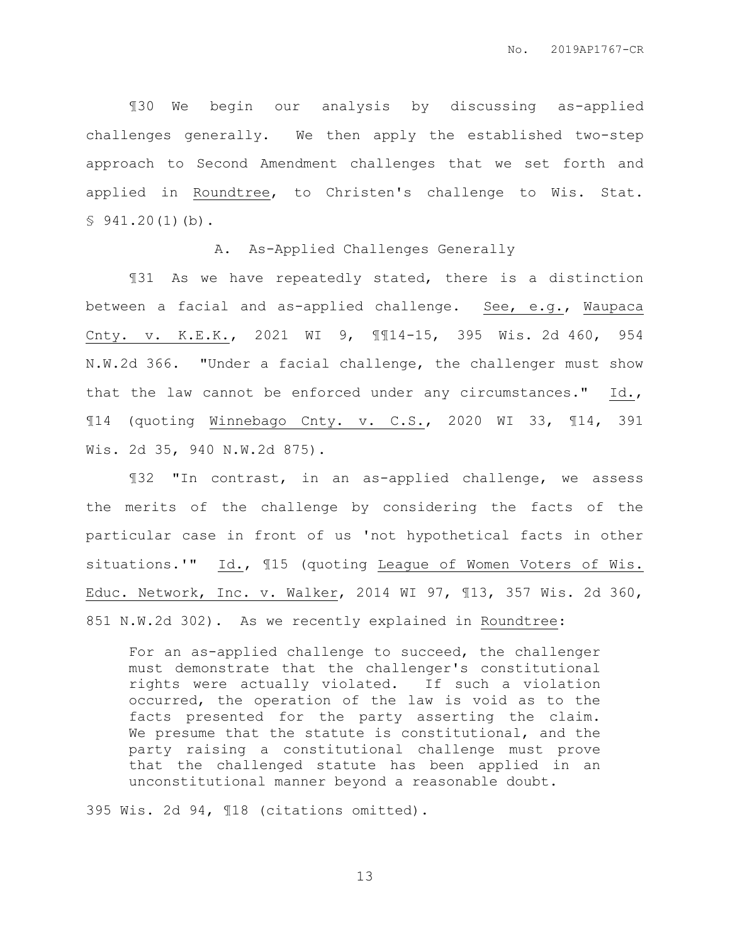¶30 We begin our analysis by discussing as-applied challenges generally. We then apply the established two-step approach to Second Amendment challenges that we set forth and applied in Roundtree, to Christen's challenge to Wis. Stat.  $$941.20(1)(b).$ 

A. As-Applied Challenges Generally

¶31 As we have repeatedly stated, there is a distinction between a facial and as-applied challenge. See, e.g., Waupaca Cnty. v. K.E.K., 2021 WI 9, ¶¶14-15, 395 Wis. 2d 460, 954 N.W.2d 366. "Under a facial challenge, the challenger must show that the law cannot be enforced under any circumstances." Id., ¶14 (quoting Winnebago Cnty. v. C.S., 2020 WI 33, ¶14, 391 Wis. 2d 35, 940 N.W.2d 875).

¶32 "In contrast, in an as-applied challenge, we assess the merits of the challenge by considering the facts of the particular case in front of us 'not hypothetical facts in other situations.'" Id., ¶15 (quoting League of Women Voters of Wis. Educ. Network, Inc. v. Walker, 2014 WI 97, ¶13, 357 Wis. 2d 360, 851 N.W.2d 302). As we recently explained in Roundtree:

For an as-applied challenge to succeed, the challenger must demonstrate that the challenger's constitutional rights were actually violated. If such a violation occurred, the operation of the law is void as to the facts presented for the party asserting the claim. We presume that the statute is constitutional, and the party raising a constitutional challenge must prove that the challenged statute has been applied in an unconstitutional manner beyond a reasonable doubt.

395 Wis. 2d 94, ¶18 (citations omitted).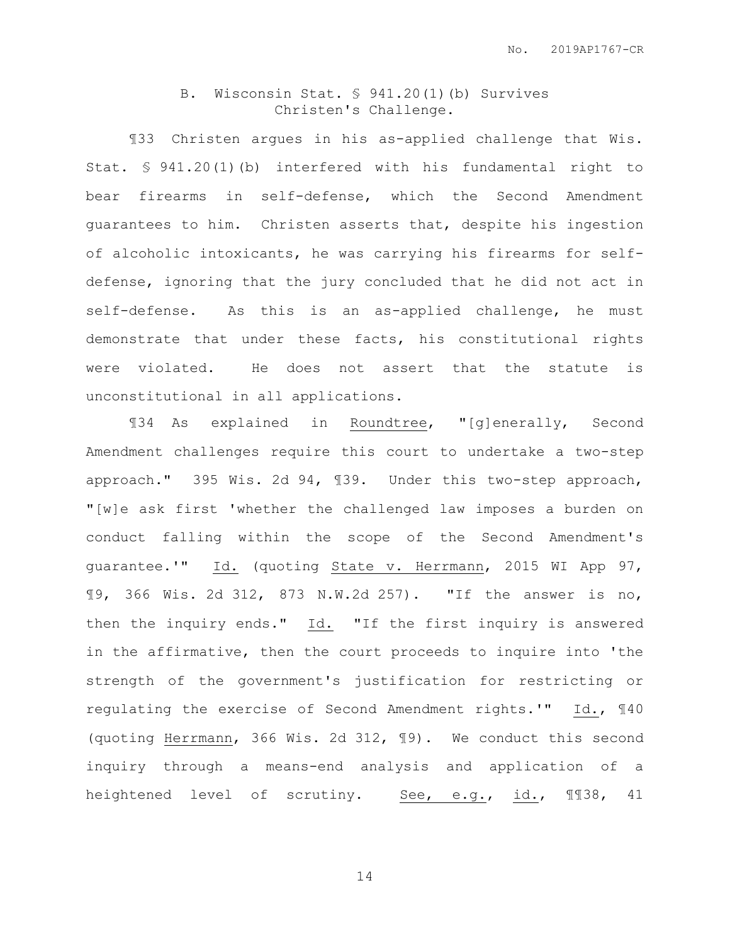### B. Wisconsin Stat. § 941.20(1)(b) Survives Christen's Challenge.

¶33 Christen argues in his as-applied challenge that Wis. Stat. § 941.20(1)(b) interfered with his fundamental right to bear firearms in self-defense, which the Second Amendment guarantees to him. Christen asserts that, despite his ingestion of alcoholic intoxicants, he was carrying his firearms for selfdefense, ignoring that the jury concluded that he did not act in self-defense. As this is an as-applied challenge, he must demonstrate that under these facts, his constitutional rights were violated. He does not assert that the statute is unconstitutional in all applications.

¶34 As explained in Roundtree, "[g]enerally, Second Amendment challenges require this court to undertake a two-step approach." 395 Wis. 2d 94, ¶39. Under this two-step approach, "[w]e ask first 'whether the challenged law imposes a burden on conduct falling within the scope of the Second Amendment's guarantee.'" Id. (quoting State v. Herrmann, 2015 WI App 97, ¶9, 366 Wis. 2d 312, 873 N.W.2d 257). "If the answer is no, then the inquiry ends." Id. "If the first inquiry is answered in the affirmative, then the court proceeds to inquire into 'the strength of the government's justification for restricting or regulating the exercise of Second Amendment rights.'" Id., ¶40 (quoting Herrmann, 366 Wis. 2d 312, ¶9). We conduct this second inquiry through a means-end analysis and application of a heightened level of scrutiny. See, e.g., id., ¶¶38, 41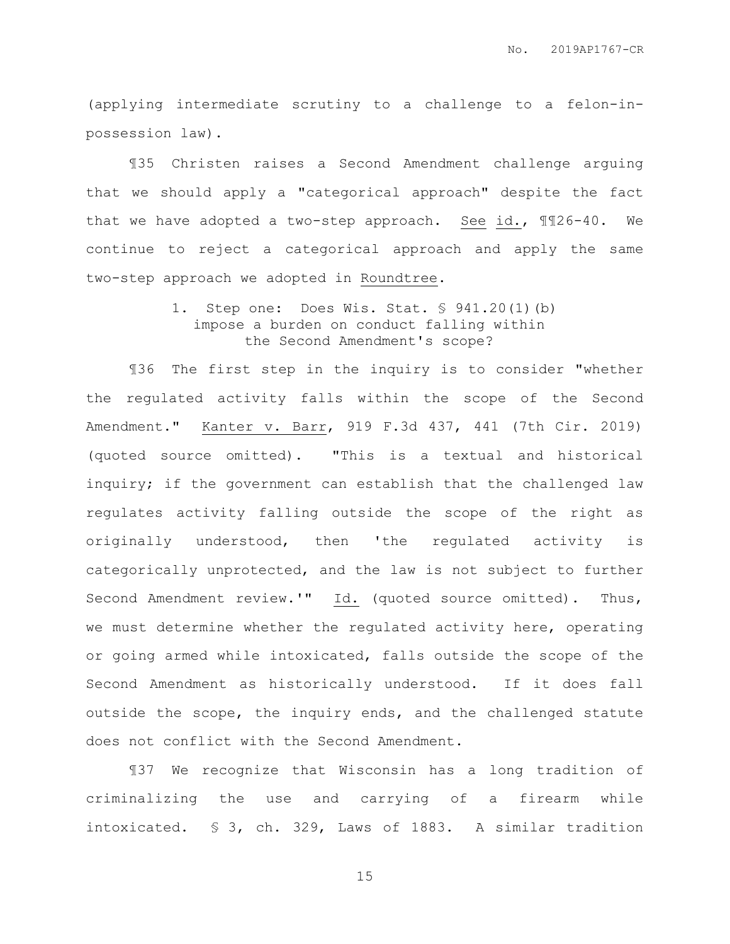(applying intermediate scrutiny to a challenge to a felon-inpossession law).

¶35 Christen raises a Second Amendment challenge arguing that we should apply a "categorical approach" despite the fact that we have adopted a two-step approach. See id., ¶¶26-40. We continue to reject a categorical approach and apply the same two-step approach we adopted in Roundtree.

### 1. Step one: Does Wis. Stat. § 941.20(1)(b) impose a burden on conduct falling within the Second Amendment's scope?

¶36 The first step in the inquiry is to consider "whether the regulated activity falls within the scope of the Second Amendment." Kanter v. Barr, 919 F.3d 437, 441 (7th Cir. 2019) (quoted source omitted). "This is a textual and historical inquiry; if the government can establish that the challenged law regulates activity falling outside the scope of the right as originally understood, then 'the regulated activity is categorically unprotected, and the law is not subject to further Second Amendment review.'" Id. (quoted source omitted). Thus, we must determine whether the regulated activity here, operating or going armed while intoxicated, falls outside the scope of the Second Amendment as historically understood. If it does fall outside the scope, the inquiry ends, and the challenged statute does not conflict with the Second Amendment.

¶37 We recognize that Wisconsin has a long tradition of criminalizing the use and carrying of a firearm while intoxicated. § 3, ch. 329, Laws of 1883. A similar tradition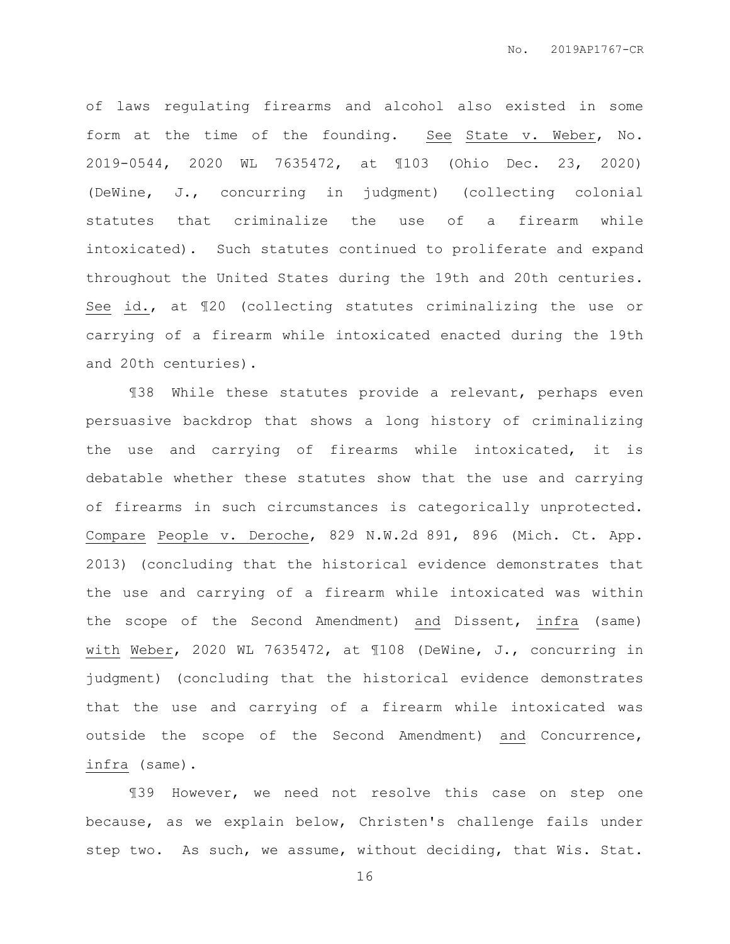of laws regulating firearms and alcohol also existed in some form at the time of the founding. See State v. Weber, No. 2019-0544, 2020 WL 7635472, at ¶103 (Ohio Dec. 23, 2020) (DeWine, J., concurring in judgment) (collecting colonial statutes that criminalize the use of a firearm while intoxicated). Such statutes continued to proliferate and expand throughout the United States during the 19th and 20th centuries. See id., at ¶20 (collecting statutes criminalizing the use or carrying of a firearm while intoxicated enacted during the 19th and 20th centuries).

¶38 While these statutes provide a relevant, perhaps even persuasive backdrop that shows a long history of criminalizing the use and carrying of firearms while intoxicated, it is debatable whether these statutes show that the use and carrying of firearms in such circumstances is categorically unprotected. Compare People v. Deroche, 829 N.W.2d 891, 896 (Mich. Ct. App. 2013) (concluding that the historical evidence demonstrates that the use and carrying of a firearm while intoxicated was within the scope of the Second Amendment) and Dissent, infra (same) with Weber, 2020 WL 7635472, at ¶108 (DeWine, J., concurring in judgment) (concluding that the historical evidence demonstrates that the use and carrying of a firearm while intoxicated was outside the scope of the Second Amendment) and Concurrence, infra (same).

¶39 However, we need not resolve this case on step one because, as we explain below, Christen's challenge fails under step two. As such, we assume, without deciding, that Wis. Stat.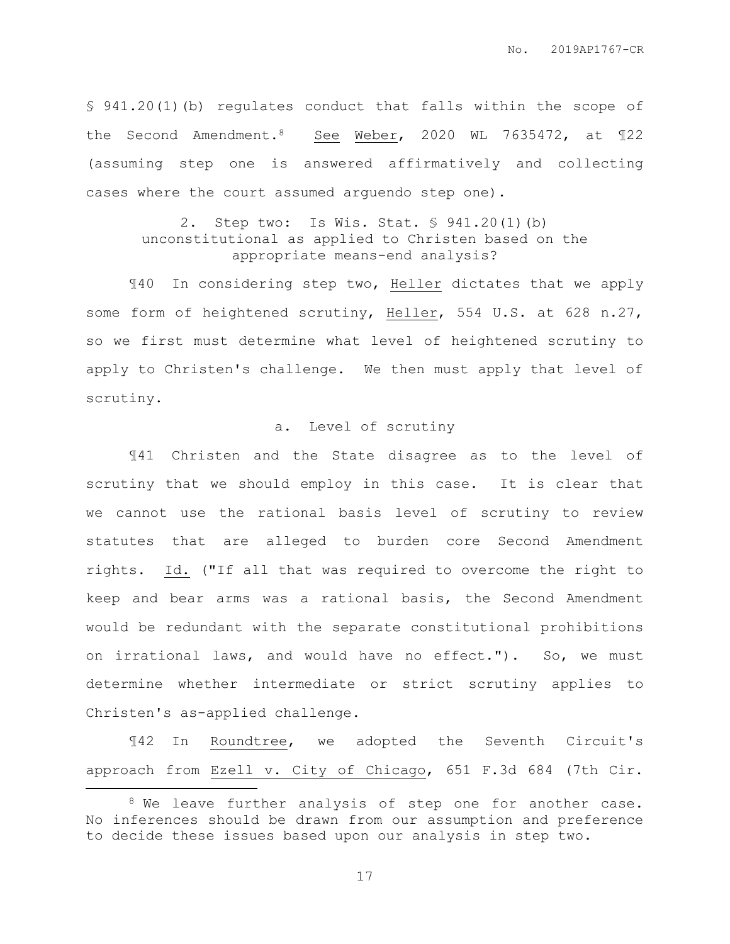§ 941.20(1)(b) regulates conduct that falls within the scope of the Second Amendment.8 See Weber, 2020 WL 7635472, at ¶22 (assuming step one is answered affirmatively and collecting cases where the court assumed arguendo step one).

### 2. Step two: Is Wis. Stat. § 941.20(1)(b) unconstitutional as applied to Christen based on the appropriate means-end analysis?

¶40 In considering step two, Heller dictates that we apply some form of heightened scrutiny, Heller, 554 U.S. at 628 n.27, so we first must determine what level of heightened scrutiny to apply to Christen's challenge. We then must apply that level of scrutiny.

### a. Level of scrutiny

¶41 Christen and the State disagree as to the level of scrutiny that we should employ in this case. It is clear that we cannot use the rational basis level of scrutiny to review statutes that are alleged to burden core Second Amendment rights. Id. ("If all that was required to overcome the right to keep and bear arms was a rational basis, the Second Amendment would be redundant with the separate constitutional prohibitions on irrational laws, and would have no effect."). So, we must determine whether intermediate or strict scrutiny applies to Christen's as-applied challenge.

¶42 In Roundtree, we adopted the Seventh Circuit's approach from Ezell v. City of Chicago, 651 F.3d 684 (7th Cir.

 $\overline{a}$ 

<sup>&</sup>lt;sup>8</sup> We leave further analysis of step one for another case. No inferences should be drawn from our assumption and preference to decide these issues based upon our analysis in step two.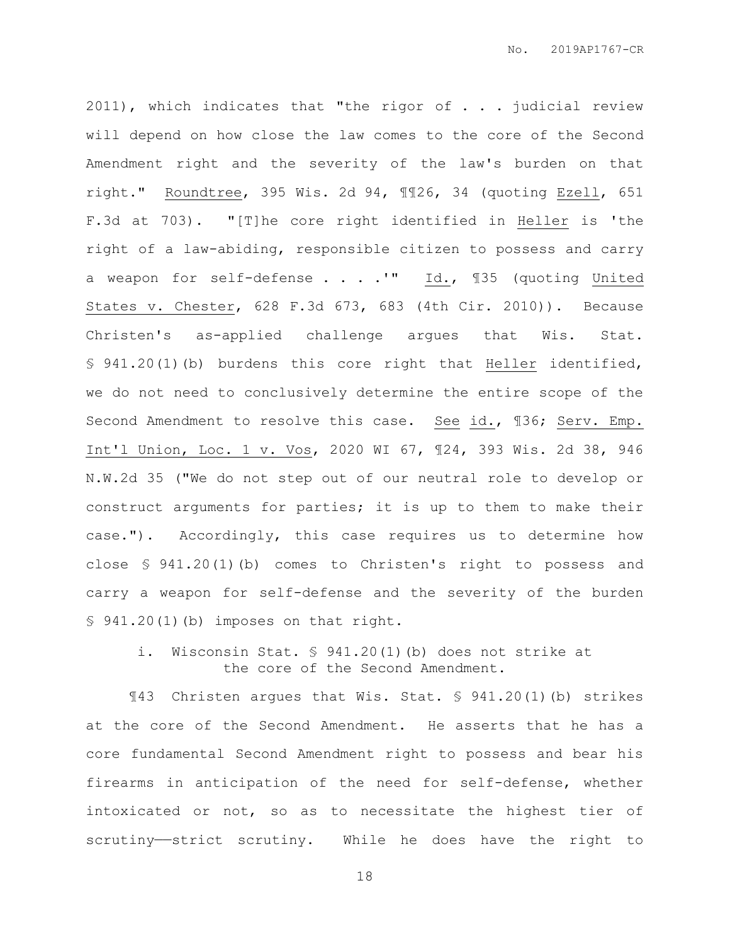2011), which indicates that "the rigor of . . . judicial review will depend on how close the law comes to the core of the Second Amendment right and the severity of the law's burden on that right." Roundtree, 395 Wis. 2d 94, ¶¶26, 34 (quoting Ezell, 651 F.3d at 703). "[T]he core right identified in Heller is 'the right of a law-abiding, responsible citizen to possess and carry a weapon for self-defense . . . . "" Id., 135 (quoting United States v. Chester, 628 F.3d 673, 683 (4th Cir. 2010)). Because Christen's as-applied challenge argues that Wis. Stat. § 941.20(1)(b) burdens this core right that Heller identified, we do not need to conclusively determine the entire scope of the Second Amendment to resolve this case. See id., ¶36; Serv. Emp. Int'l Union, Loc. 1 v. Vos, 2020 WI 67, ¶24, 393 Wis. 2d 38, 946 N.W.2d 35 ("We do not step out of our neutral role to develop or construct arguments for parties; it is up to them to make their case."). Accordingly, this case requires us to determine how close § 941.20(1)(b) comes to Christen's right to possess and carry a weapon for self-defense and the severity of the burden § 941.20(1)(b) imposes on that right.

i. Wisconsin Stat. § 941.20(1)(b) does not strike at the core of the Second Amendment.

¶43 Christen argues that Wis. Stat. § 941.20(1)(b) strikes at the core of the Second Amendment. He asserts that he has a core fundamental Second Amendment right to possess and bear his firearms in anticipation of the need for self-defense, whether intoxicated or not, so as to necessitate the highest tier of scrutiny——strict scrutiny. While he does have the right to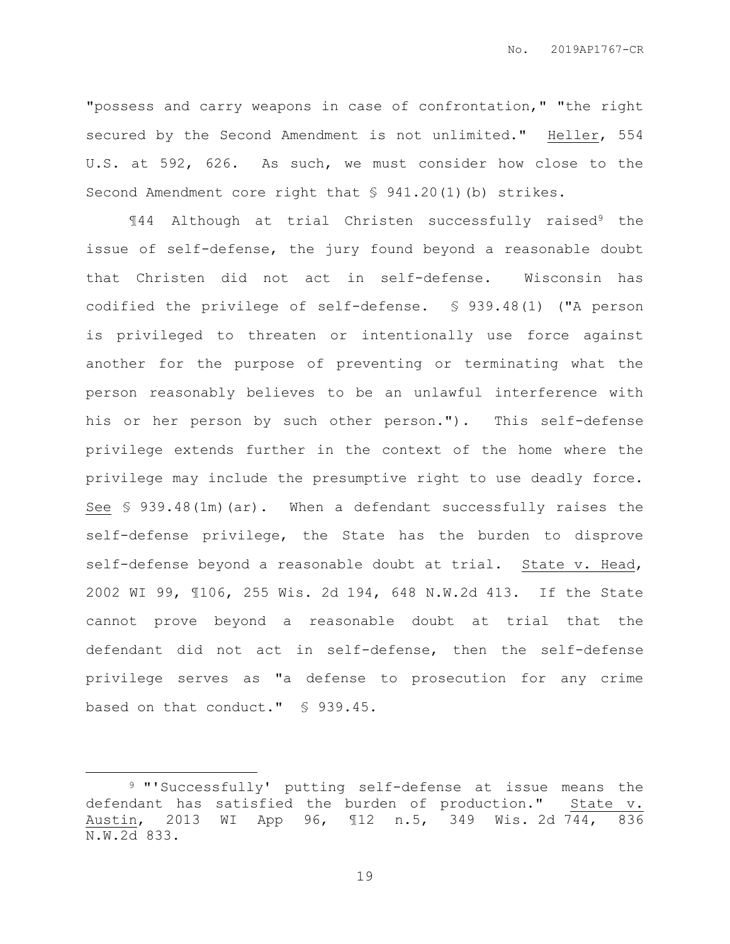"possess and carry weapons in case of confrontation," "the right secured by the Second Amendment is not unlimited." Heller, 554 U.S. at 592, 626. As such, we must consider how close to the Second Amendment core right that § 941.20(1)(b) strikes.

¶44 Although at trial Christen successfully raised<sup>9</sup> the issue of self-defense, the jury found beyond a reasonable doubt that Christen did not act in self-defense. Wisconsin has codified the privilege of self-defense. § 939.48(1) ("A person is privileged to threaten or intentionally use force against another for the purpose of preventing or terminating what the person reasonably believes to be an unlawful interference with his or her person by such other person."). This self-defense privilege extends further in the context of the home where the privilege may include the presumptive right to use deadly force. See § 939.48(1m)(ar). When a defendant successfully raises the self-defense privilege, the State has the burden to disprove self-defense beyond a reasonable doubt at trial. State v. Head, 2002 WI 99, ¶106, 255 Wis. 2d 194, 648 N.W.2d 413. If the State cannot prove beyond a reasonable doubt at trial that the defendant did not act in self-defense, then the self-defense privilege serves as "a defense to prosecution for any crime based on that conduct." § 939.45.

 $\overline{a}$ 

<sup>9</sup> "'Successfully' putting self-defense at issue means the defendant has satisfied the burden of production." State v. Austin, 2013 WI App 96, ¶12 n.5, 349 Wis. 2d 744, 836 N.W.2d 833.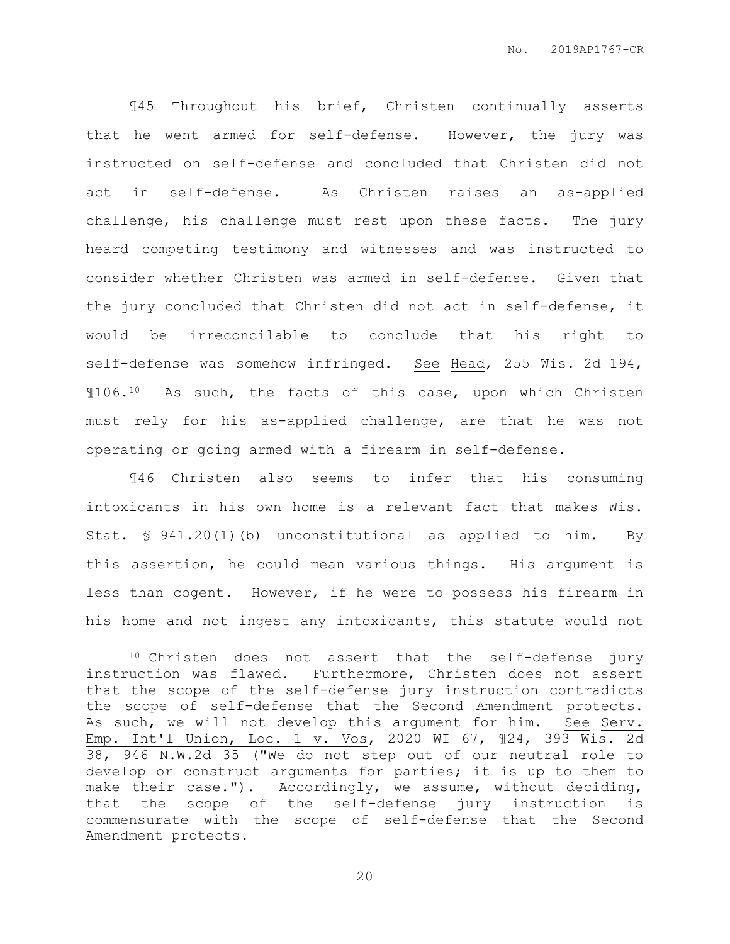¶45 Throughout his brief, Christen continually asserts that he went armed for self-defense. However, the jury was instructed on self-defense and concluded that Christen did not act in self-defense. As Christen raises an as-applied challenge, his challenge must rest upon these facts. The jury heard competing testimony and witnesses and was instructed to consider whether Christen was armed in self-defense. Given that the jury concluded that Christen did not act in self-defense, it would be irreconcilable to conclude that his right to self-defense was somehow infringed. See Head, 255 Wis. 2d 194, ¶106.10 As such, the facts of this case, upon which Christen must rely for his as-applied challenge, are that he was not operating or going armed with a firearm in self-defense.

¶46 Christen also seems to infer that his consuming intoxicants in his own home is a relevant fact that makes Wis. Stat. § 941.20(1)(b) unconstitutional as applied to him. By this assertion, he could mean various things. His argument is less than cogent. However, if he were to possess his firearm in his home and not ingest any intoxicants, this statute would not

 $\overline{a}$ 

<sup>10</sup> Christen does not assert that the self-defense jury instruction was flawed. Furthermore, Christen does not assert that the scope of the self-defense jury instruction contradicts the scope of self-defense that the Second Amendment protects. As such, we will not develop this argument for him. See Serv. Emp. Int'l Union, Loc. 1 v. Vos, 2020 WI 67, ¶24, 393 Wis. 2d 38, 946 N.W.2d 35 ("We do not step out of our neutral role to develop or construct arguments for parties; it is up to them to make their case."). Accordingly, we assume, without deciding, that the scope of the self-defense jury instruction is commensurate with the scope of self-defense that the Second Amendment protects.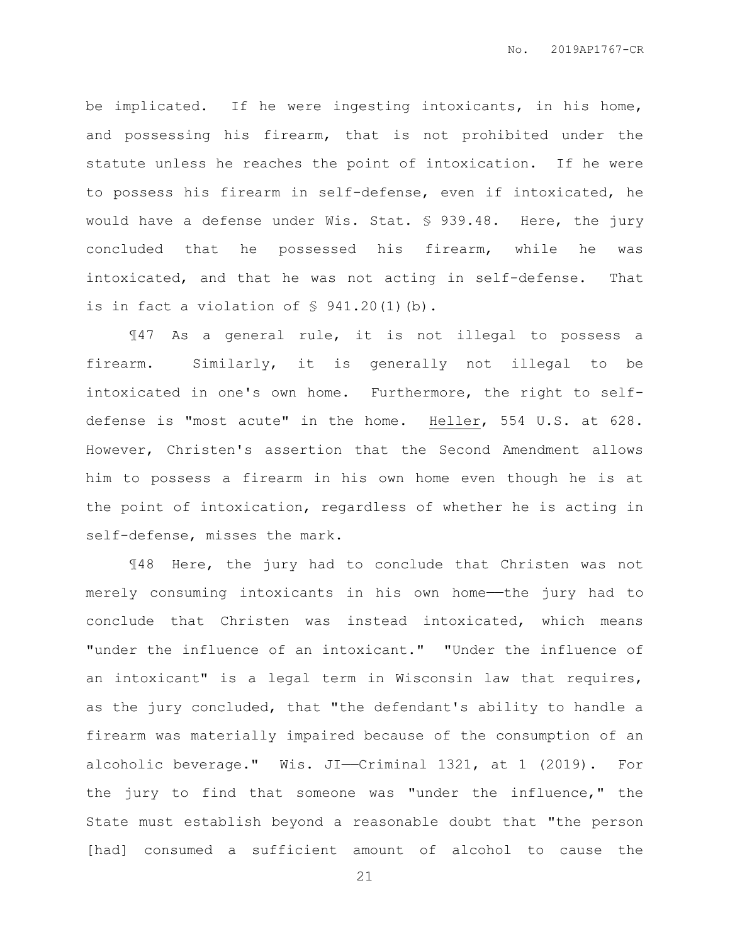be implicated. If he were ingesting intoxicants, in his home, and possessing his firearm, that is not prohibited under the statute unless he reaches the point of intoxication. If he were to possess his firearm in self-defense, even if intoxicated, he would have a defense under Wis. Stat. § 939.48. Here, the jury concluded that he possessed his firearm, while he was intoxicated, and that he was not acting in self-defense. That is in fact a violation of § 941.20(1)(b).

¶47 As a general rule, it is not illegal to possess a firearm. Similarly, it is generally not illegal to be intoxicated in one's own home. Furthermore, the right to selfdefense is "most acute" in the home. Heller, 554 U.S. at 628. However, Christen's assertion that the Second Amendment allows him to possess a firearm in his own home even though he is at the point of intoxication, regardless of whether he is acting in self-defense, misses the mark.

¶48 Here, the jury had to conclude that Christen was not merely consuming intoxicants in his own home——the jury had to conclude that Christen was instead intoxicated, which means "under the influence of an intoxicant." "Under the influence of an intoxicant" is a legal term in Wisconsin law that requires, as the jury concluded, that "the defendant's ability to handle a firearm was materially impaired because of the consumption of an alcoholic beverage." Wis. JI—Criminal 1321, at 1 (2019). For the jury to find that someone was "under the influence," the State must establish beyond a reasonable doubt that "the person [had] consumed a sufficient amount of alcohol to cause the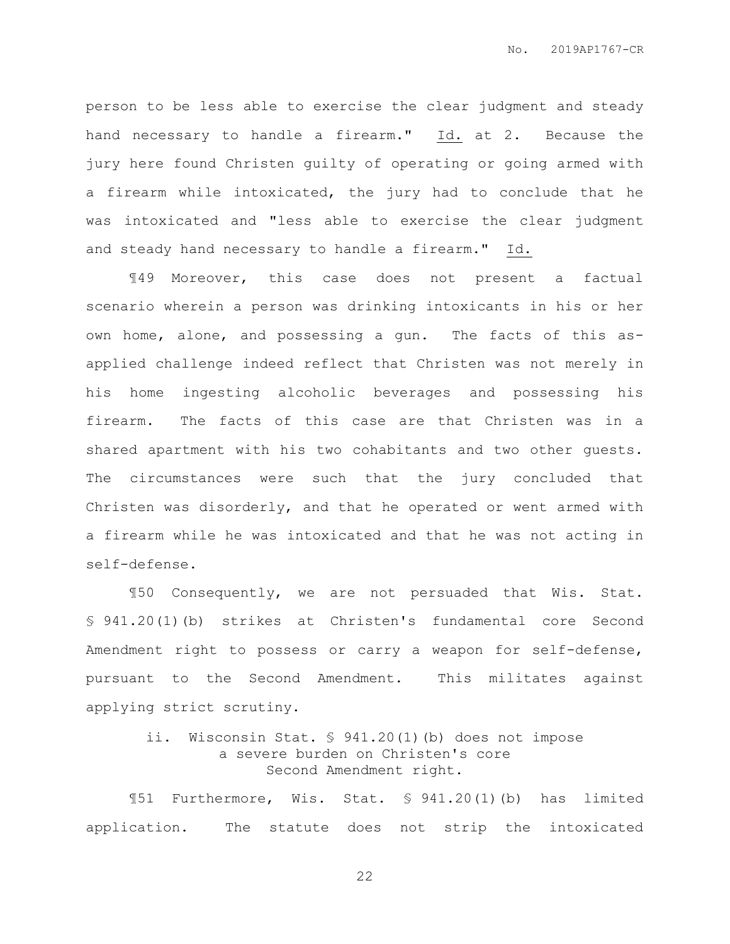person to be less able to exercise the clear judgment and steady hand necessary to handle a firearm." Id. at 2. Because the jury here found Christen guilty of operating or going armed with a firearm while intoxicated, the jury had to conclude that he was intoxicated and "less able to exercise the clear judgment and steady hand necessary to handle a firearm." Id.

¶49 Moreover, this case does not present a factual scenario wherein a person was drinking intoxicants in his or her own home, alone, and possessing a gun. The facts of this asapplied challenge indeed reflect that Christen was not merely in his home ingesting alcoholic beverages and possessing his firearm. The facts of this case are that Christen was in a shared apartment with his two cohabitants and two other guests. The circumstances were such that the jury concluded that Christen was disorderly, and that he operated or went armed with a firearm while he was intoxicated and that he was not acting in self-defense.

¶50 Consequently, we are not persuaded that Wis. Stat. § 941.20(1)(b) strikes at Christen's fundamental core Second Amendment right to possess or carry a weapon for self-defense, pursuant to the Second Amendment. This militates against applying strict scrutiny.

# ii. Wisconsin Stat. § 941.20(1)(b) does not impose a severe burden on Christen's core Second Amendment right.

¶51 Furthermore, Wis. Stat. § 941.20(1)(b) has limited application. The statute does not strip the intoxicated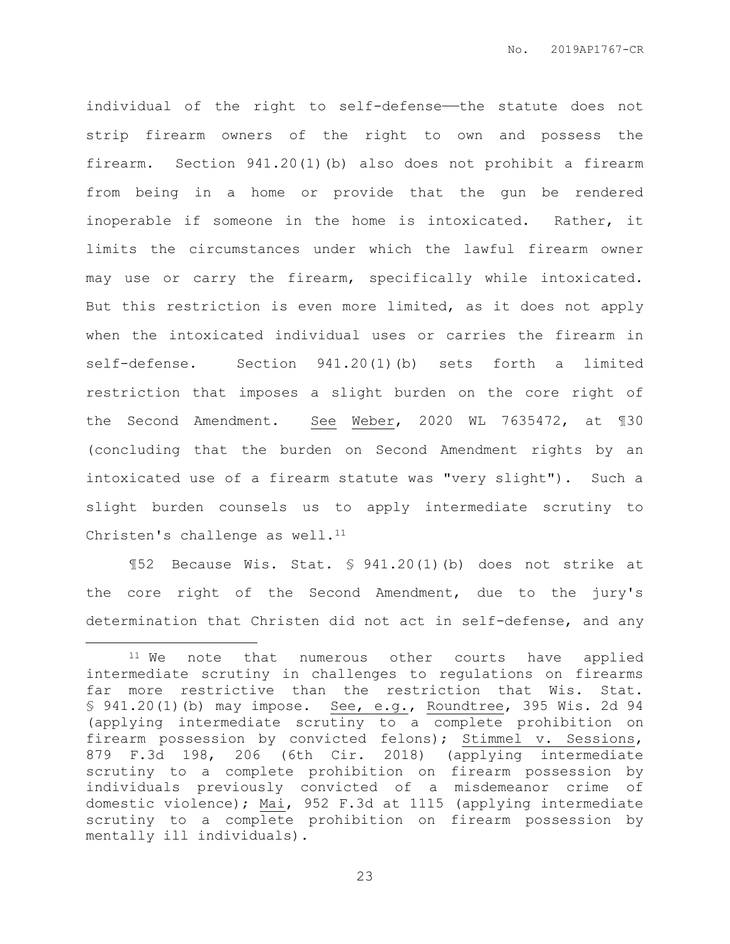individual of the right to self-defense—the statute does not strip firearm owners of the right to own and possess the firearm. Section 941.20(1)(b) also does not prohibit a firearm from being in a home or provide that the gun be rendered inoperable if someone in the home is intoxicated. Rather, it limits the circumstances under which the lawful firearm owner may use or carry the firearm, specifically while intoxicated. But this restriction is even more limited, as it does not apply when the intoxicated individual uses or carries the firearm in self-defense. Section 941.20(1)(b) sets forth a limited restriction that imposes a slight burden on the core right of the Second Amendment. See Weber, 2020 WL 7635472, at ¶30 (concluding that the burden on Second Amendment rights by an intoxicated use of a firearm statute was "very slight"). Such a slight burden counsels us to apply intermediate scrutiny to Christen's challenge as well. $11$ 

¶52 Because Wis. Stat. § 941.20(1)(b) does not strike at the core right of the Second Amendment, due to the jury's determination that Christen did not act in self-defense, and any

 $\overline{a}$ 

<sup>&</sup>lt;sup>11</sup> We note that numerous other courts have applied intermediate scrutiny in challenges to regulations on firearms far more restrictive than the restriction that Wis. Stat. § 941.20(1)(b) may impose. See, e.g., Roundtree, 395 Wis. 2d 94 (applying intermediate scrutiny to a complete prohibition on firearm possession by convicted felons); Stimmel v. Sessions, 879 F.3d 198, 206 (6th Cir. 2018) (applying intermediate scrutiny to a complete prohibition on firearm possession by individuals previously convicted of a misdemeanor crime of domestic violence); Mai, 952 F.3d at 1115 (applying intermediate scrutiny to a complete prohibition on firearm possession by mentally ill individuals).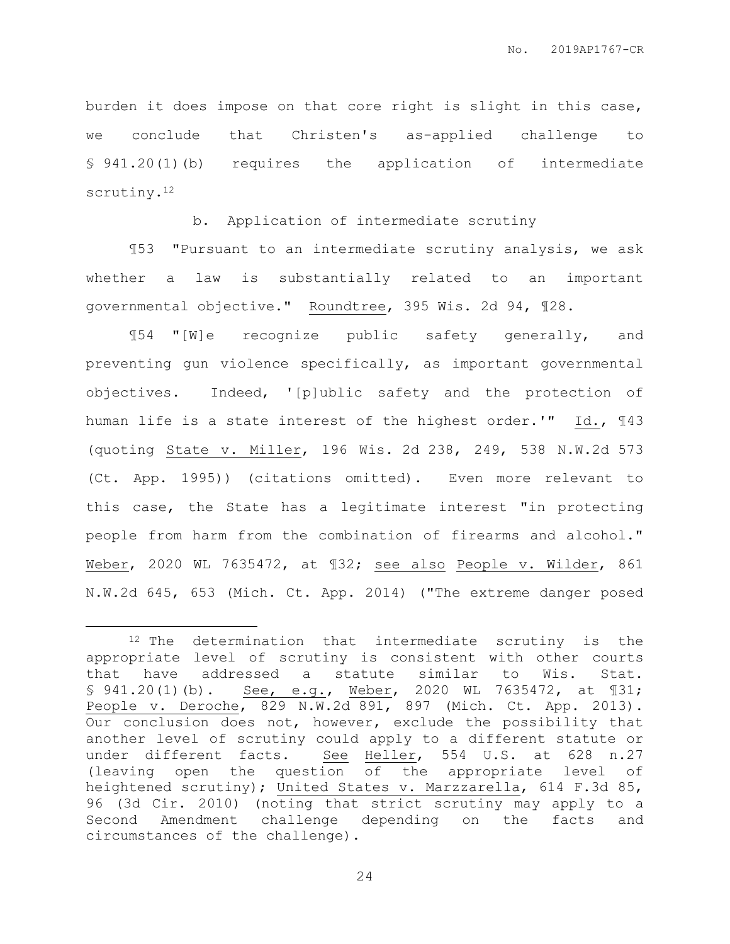burden it does impose on that core right is slight in this case, we conclude that Christen's as-applied challenge to § 941.20(1)(b) requires the application of intermediate scrutiny.<sup>12</sup>

b. Application of intermediate scrutiny

¶53 "Pursuant to an intermediate scrutiny analysis, we ask whether a law is substantially related to an important governmental objective." Roundtree, 395 Wis. 2d 94, ¶28.

¶54 "[W]e recognize public safety generally, and preventing gun violence specifically, as important governmental objectives. Indeed, '[p]ublic safety and the protection of human life is a state interest of the highest order.'" Id., ¶43 (quoting State v. Miller, 196 Wis. 2d 238, 249, 538 N.W.2d 573 (Ct. App. 1995)) (citations omitted). Even more relevant to this case, the State has a legitimate interest "in protecting people from harm from the combination of firearms and alcohol." Weber, 2020 WL 7635472, at ¶32; see also People v. Wilder, 861 N.W.2d 645, 653 (Mich. Ct. App. 2014) ("The extreme danger posed

 $\overline{a}$ 

<sup>&</sup>lt;sup>12</sup> The determination that intermediate scrutiny is the appropriate level of scrutiny is consistent with other courts that have addressed a statute similar to Wis. Stat. § 941.20(1)(b). See, e.g., Weber, 2020 WL 7635472, at 131; People v. Deroche, 829 N.W.2d 891, 897 (Mich. Ct. App. 2013). Our conclusion does not, however, exclude the possibility that another level of scrutiny could apply to a different statute or under different facts. See Heller, 554 U.S. at 628 n.27 (leaving open the question of the appropriate level of heightened scrutiny); United States v. Marzzarella, 614 F.3d 85, 96 (3d Cir. 2010) (noting that strict scrutiny may apply to a Second Amendment challenge depending on the facts and circumstances of the challenge).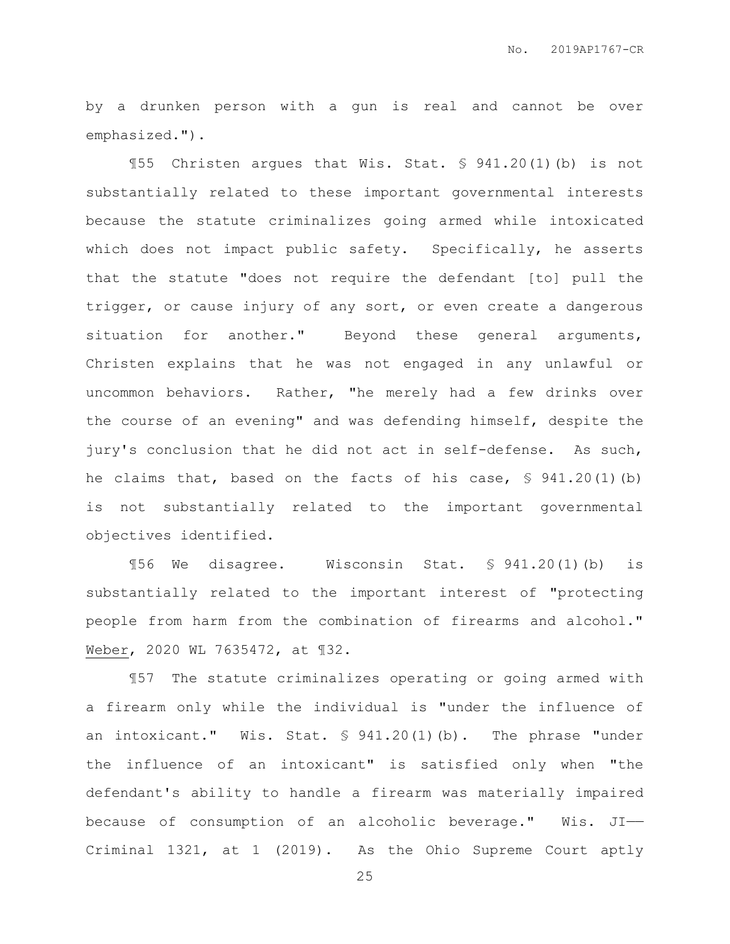by a drunken person with a gun is real and cannot be over emphasized.").

¶55 Christen argues that Wis. Stat. § 941.20(1)(b) is not substantially related to these important governmental interests because the statute criminalizes going armed while intoxicated which does not impact public safety. Specifically, he asserts that the statute "does not require the defendant [to] pull the trigger, or cause injury of any sort, or even create a dangerous situation for another." Beyond these general arguments, Christen explains that he was not engaged in any unlawful or uncommon behaviors. Rather, "he merely had a few drinks over the course of an evening" and was defending himself, despite the jury's conclusion that he did not act in self-defense. As such, he claims that, based on the facts of his case,  $\frac{1}{5}$  941.20(1)(b) is not substantially related to the important governmental objectives identified.

¶56 We disagree. Wisconsin Stat. § 941.20(1)(b) is substantially related to the important interest of "protecting people from harm from the combination of firearms and alcohol." Weber, 2020 WL 7635472, at ¶32.

¶57 The statute criminalizes operating or going armed with a firearm only while the individual is "under the influence of an intoxicant." Wis. Stat.  $\frac{1}{2}$  941.20(1)(b). The phrase "under the influence of an intoxicant" is satisfied only when "the defendant's ability to handle a firearm was materially impaired because of consumption of an alcoholic beverage." Wis. JI—— Criminal 1321, at 1 (2019). As the Ohio Supreme Court aptly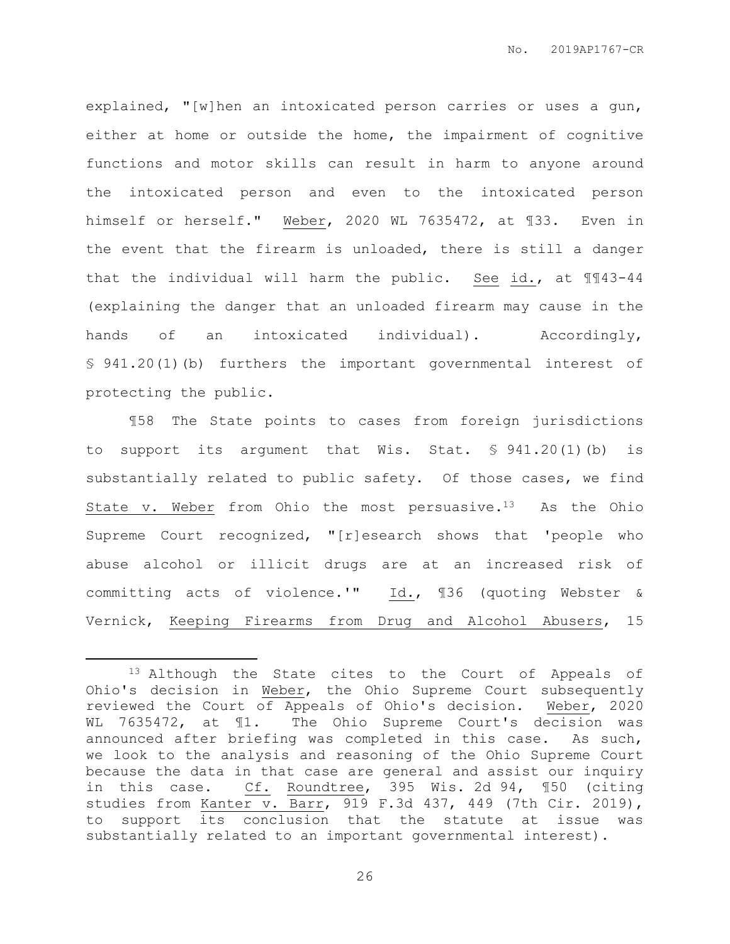explained, "[w]hen an intoxicated person carries or uses a gun, either at home or outside the home, the impairment of cognitive functions and motor skills can result in harm to anyone around the intoxicated person and even to the intoxicated person himself or herself." Weber, 2020 WL 7635472, at ¶33. Even in the event that the firearm is unloaded, there is still a danger that the individual will harm the public. See id., at ¶¶43-44 (explaining the danger that an unloaded firearm may cause in the hands of an intoxicated individual). Accordingly, § 941.20(1)(b) furthers the important governmental interest of protecting the public.

¶58 The State points to cases from foreign jurisdictions to support its argument that Wis. Stat. § 941.20(1)(b) is substantially related to public safety. Of those cases, we find State v. Weber from Ohio the most persuasive. $13$  As the Ohio Supreme Court recognized, "[r]esearch shows that 'people who abuse alcohol or illicit drugs are at an increased risk of committing acts of violence.'" Id., ¶36 (quoting Webster & Vernick, Keeping Firearms from Drug and Alcohol Abusers, 15

 $\overline{a}$ 

<sup>&</sup>lt;sup>13</sup> Although the State cites to the Court of Appeals of Ohio's decision in Weber, the Ohio Supreme Court subsequently reviewed the Court of Appeals of Ohio's decision. Weber, 2020 WL 7635472, at  $\P1$ . The Ohio Supreme Court's decision was announced after briefing was completed in this case. As such, we look to the analysis and reasoning of the Ohio Supreme Court because the data in that case are general and assist our inquiry in this case. Cf. Roundtree, 395 Wis. 2d 94, ¶50 (citing studies from Kanter v. Barr, 919 F.3d 437, 449 (7th Cir. 2019), to support its conclusion that the statute at issue was substantially related to an important governmental interest).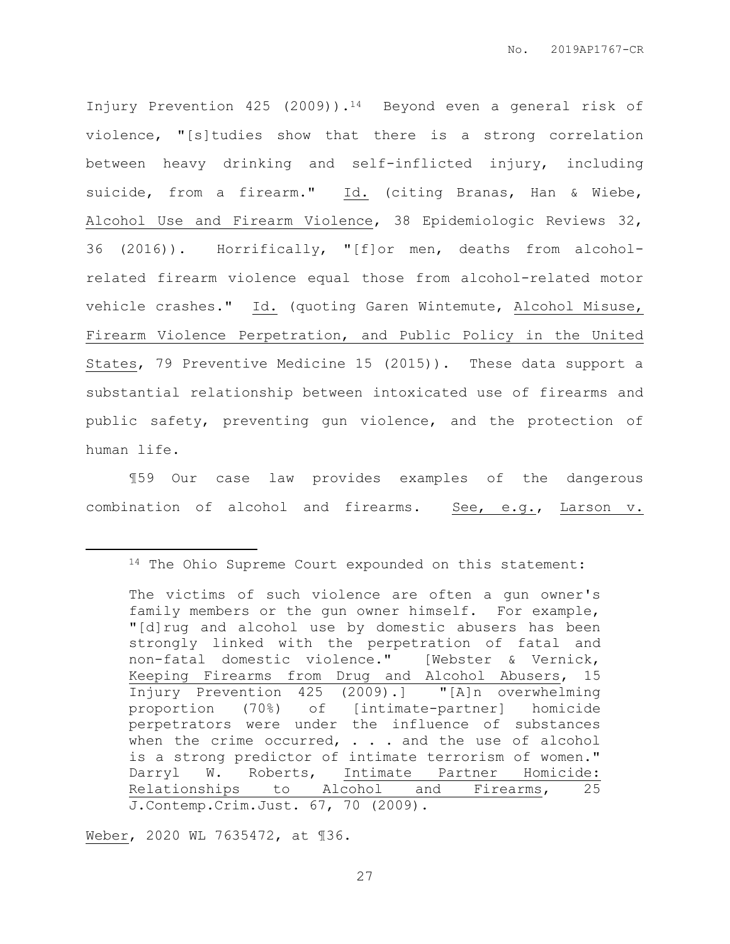Injury Prevention 425 (2009)).14 Beyond even a general risk of violence, "[s]tudies show that there is a strong correlation between heavy drinking and self-inflicted injury, including suicide, from a firearm." Id. (citing Branas, Han & Wiebe, Alcohol Use and Firearm Violence, 38 Epidemiologic Reviews 32, 36 (2016)). Horrifically, "[f]or men, deaths from alcoholrelated firearm violence equal those from alcohol-related motor vehicle crashes." Id. (quoting Garen Wintemute, Alcohol Misuse, Firearm Violence Perpetration, and Public Policy in the United States, 79 Preventive Medicine 15 (2015)). These data support a substantial relationship between intoxicated use of firearms and public safety, preventing gun violence, and the protection of human life.

¶59 Our case law provides examples of the dangerous combination of alcohol and firearms. See, e.g., Larson v.

Weber, 2020 WL 7635472, at ¶36.

 $\overline{a}$ 

<sup>14</sup> The Ohio Supreme Court expounded on this statement:

The victims of such violence are often a gun owner's family members or the gun owner himself. For example, "[d]rug and alcohol use by domestic abusers has been strongly linked with the perpetration of fatal and non-fatal domestic violence." [Webster & Vernick, Keeping Firearms from Drug and Alcohol Abusers, 15 Injury Prevention 425 (2009).] "[A]n overwhelming proportion (70%) of [intimate-partner] homicide perpetrators were under the influence of substances when the crime occurred,  $\ldots$  and the use of alcohol is a strong predictor of intimate terrorism of women." Darryl W. Roberts, Intimate Partner Homicide: Relationships to Alcohol and Firearms, 25 J.Contemp.Crim.Just. 67, 70 (2009).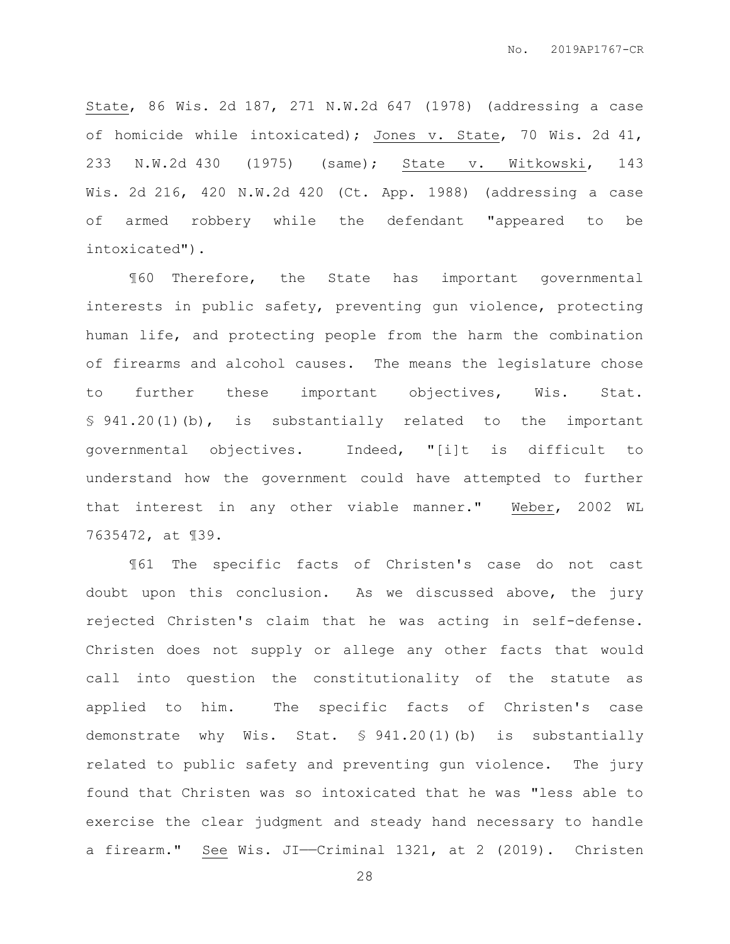State, 86 Wis. 2d 187, 271 N.W.2d 647 (1978) (addressing a case of homicide while intoxicated); Jones v. State, 70 Wis. 2d 41, 233 N.W.2d 430 (1975) (same); State v. Witkowski, 143 Wis. 2d 216, 420 N.W.2d 420 (Ct. App. 1988) (addressing a case of armed robbery while the defendant "appeared to be intoxicated").

¶60 Therefore, the State has important governmental interests in public safety, preventing gun violence, protecting human life, and protecting people from the harm the combination of firearms and alcohol causes. The means the legislature chose to further these important objectives, Wis. Stat. § 941.20(1)(b), is substantially related to the important governmental objectives. Indeed, "[i]t is difficult to understand how the government could have attempted to further that interest in any other viable manner." Weber, 2002 WL 7635472, at ¶39.

¶61 The specific facts of Christen's case do not cast doubt upon this conclusion. As we discussed above, the jury rejected Christen's claim that he was acting in self-defense. Christen does not supply or allege any other facts that would call into question the constitutionality of the statute as applied to him. The specific facts of Christen's case demonstrate why Wis. Stat. § 941.20(1)(b) is substantially related to public safety and preventing gun violence. The jury found that Christen was so intoxicated that he was "less able to exercise the clear judgment and steady hand necessary to handle a firearm." See Wis. JI-Criminal 1321, at 2 (2019). Christen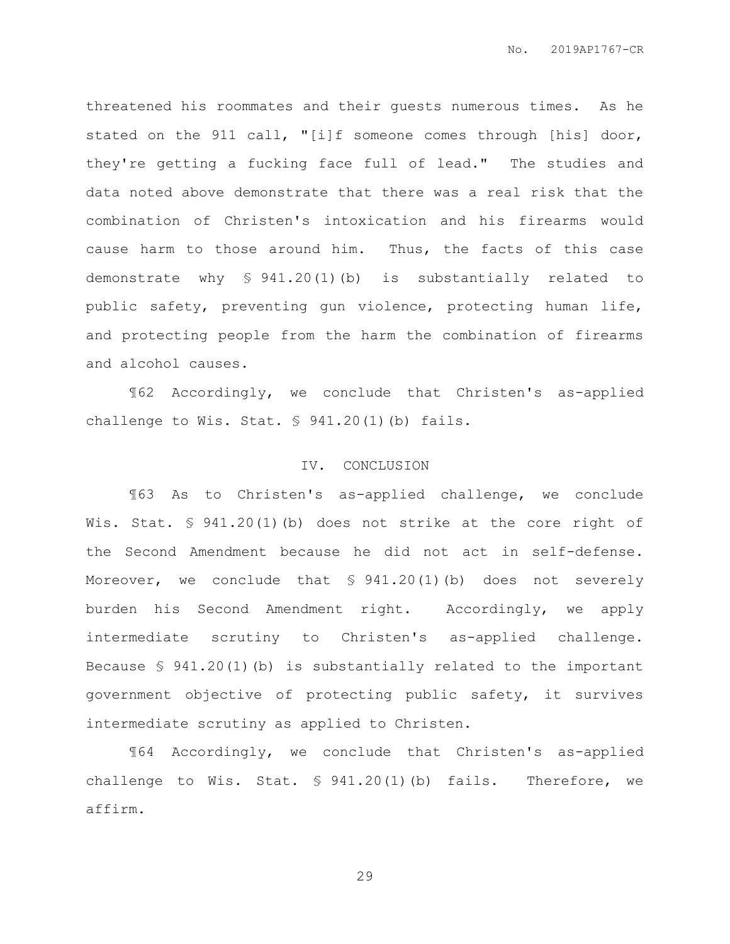threatened his roommates and their guests numerous times. As he stated on the 911 call, "[i]f someone comes through [his] door, they're getting a fucking face full of lead." The studies and data noted above demonstrate that there was a real risk that the combination of Christen's intoxication and his firearms would cause harm to those around him. Thus, the facts of this case demonstrate why § 941.20(1)(b) is substantially related to public safety, preventing gun violence, protecting human life, and protecting people from the harm the combination of firearms and alcohol causes.

¶62 Accordingly, we conclude that Christen's as-applied challenge to Wis. Stat. § 941.20(1)(b) fails.

### IV. CONCLUSION

¶63 As to Christen's as-applied challenge, we conclude Wis. Stat. § 941.20(1)(b) does not strike at the core right of the Second Amendment because he did not act in self-defense. Moreover, we conclude that § 941.20(1)(b) does not severely burden his Second Amendment right. Accordingly, we apply intermediate scrutiny to Christen's as-applied challenge. Because  $\frac{6}{5}$  941.20(1)(b) is substantially related to the important government objective of protecting public safety, it survives intermediate scrutiny as applied to Christen.

¶64 Accordingly, we conclude that Christen's as-applied challenge to Wis. Stat. § 941.20(1)(b) fails. Therefore, we affirm.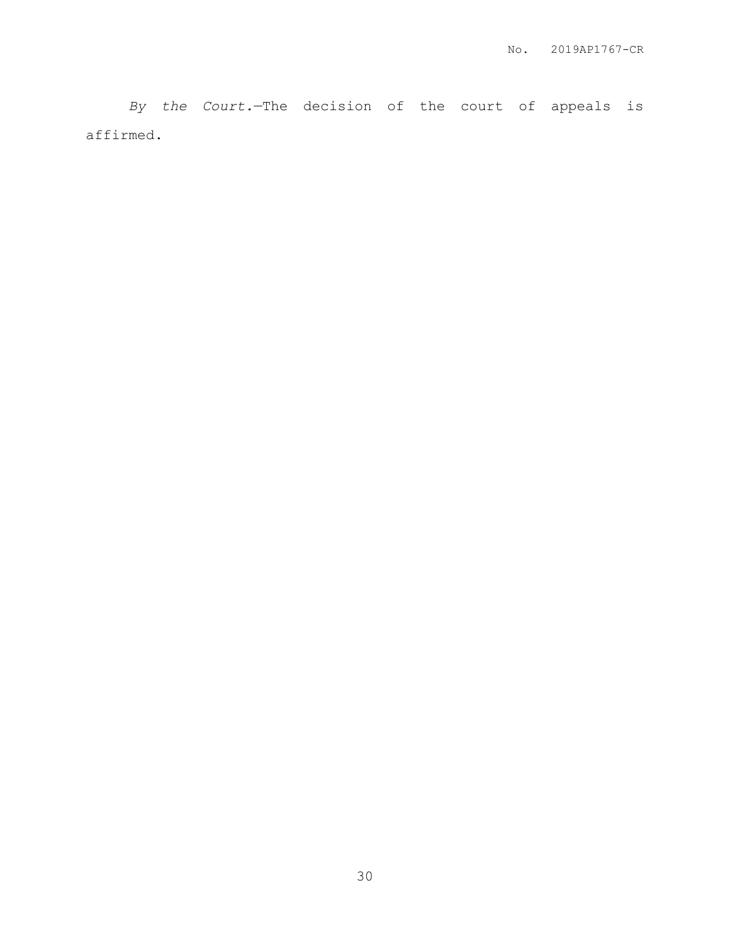*By the Court.*—The decision of the court of appeals is affirmed.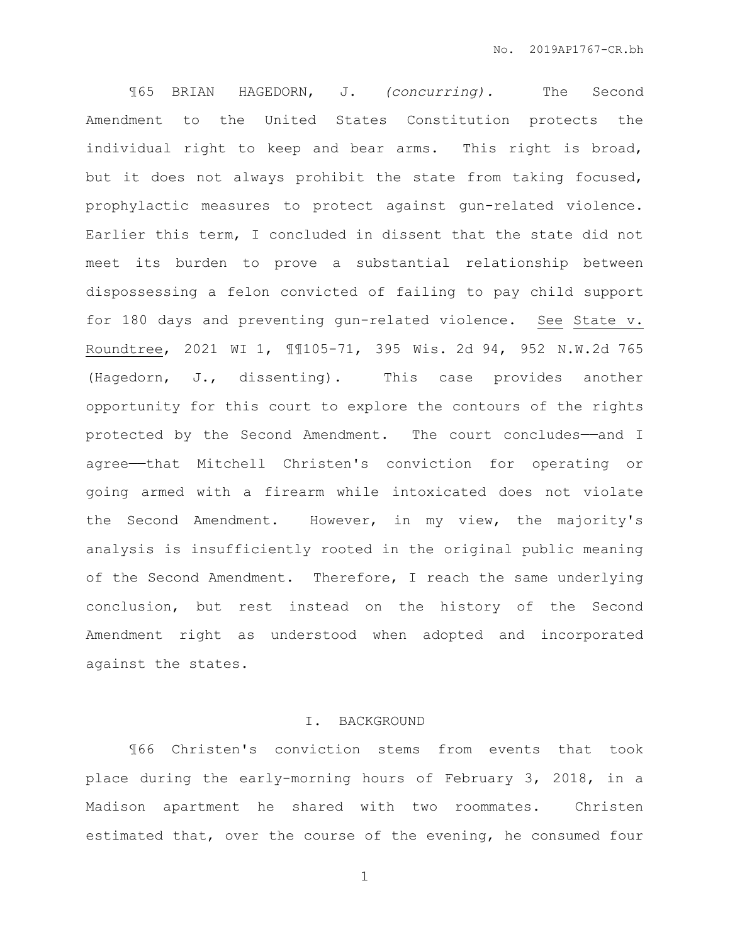¶65 BRIAN HAGEDORN, J. *(concurring).* The Second Amendment to the United States Constitution protects the individual right to keep and bear arms. This right is broad, but it does not always prohibit the state from taking focused, prophylactic measures to protect against gun-related violence. Earlier this term, I concluded in dissent that the state did not meet its burden to prove a substantial relationship between dispossessing a felon convicted of failing to pay child support for 180 days and preventing gun-related violence. See State v. Roundtree, 2021 WI 1, ¶¶105-71, 395 Wis. 2d 94, 952 N.W.2d 765 (Hagedorn, J., dissenting). This case provides another opportunity for this court to explore the contours of the rights protected by the Second Amendment. The court concludes-and I agree——that Mitchell Christen's conviction for operating or going armed with a firearm while intoxicated does not violate the Second Amendment. However, in my view, the majority's analysis is insufficiently rooted in the original public meaning of the Second Amendment. Therefore, I reach the same underlying conclusion, but rest instead on the history of the Second Amendment right as understood when adopted and incorporated against the states.

#### I. BACKGROUND

¶66 Christen's conviction stems from events that took place during the early-morning hours of February 3, 2018, in a Madison apartment he shared with two roommates. Christen estimated that, over the course of the evening, he consumed four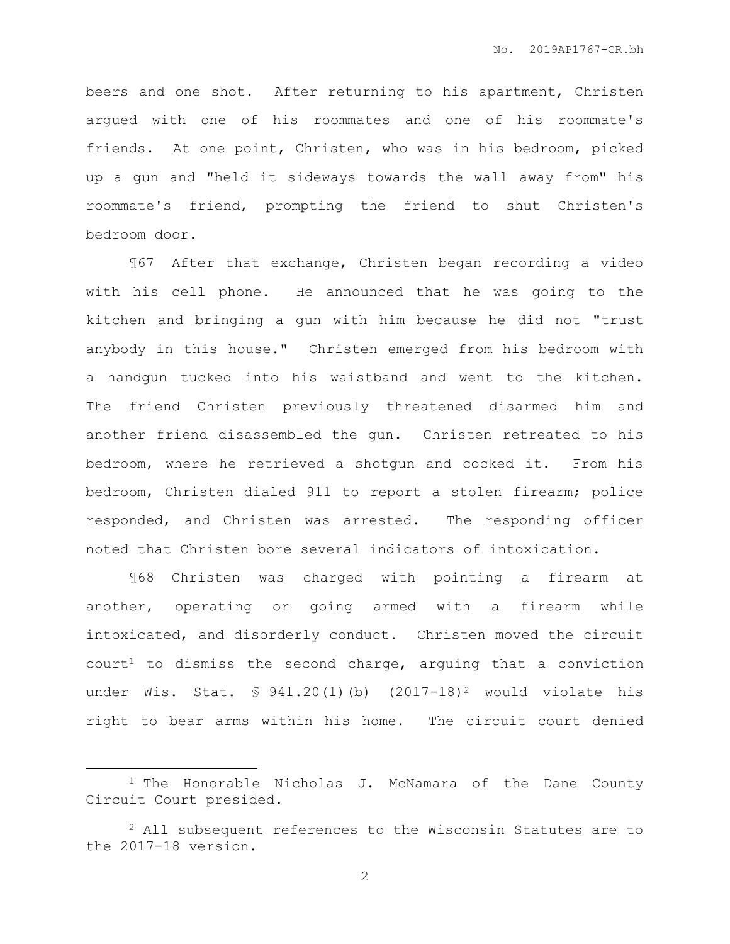beers and one shot. After returning to his apartment, Christen argued with one of his roommates and one of his roommate's friends. At one point, Christen, who was in his bedroom, picked up a gun and "held it sideways towards the wall away from" his roommate's friend, prompting the friend to shut Christen's bedroom door.

¶67 After that exchange, Christen began recording a video with his cell phone. He announced that he was going to the kitchen and bringing a gun with him because he did not "trust anybody in this house." Christen emerged from his bedroom with a handgun tucked into his waistband and went to the kitchen. The friend Christen previously threatened disarmed him and another friend disassembled the gun. Christen retreated to his bedroom, where he retrieved a shotgun and cocked it. From his bedroom, Christen dialed 911 to report a stolen firearm; police responded, and Christen was arrested. The responding officer noted that Christen bore several indicators of intoxication.

¶68 Christen was charged with pointing a firearm at another, operating or going armed with a firearm while intoxicated, and disorderly conduct. Christen moved the circuit  $court<sup>1</sup>$  to dismiss the second charge, arguing that a conviction under Wis. Stat.  $\lessgtr 941.20(1)$  (b)  $(2017-18)^2$  would violate his right to bear arms within his home. The circuit court denied

 $\overline{a}$ 

<sup>1</sup> The Honorable Nicholas J. McNamara of the Dane County Circuit Court presided.

<sup>&</sup>lt;sup>2</sup> All subsequent references to the Wisconsin Statutes are to the 2017-18 version.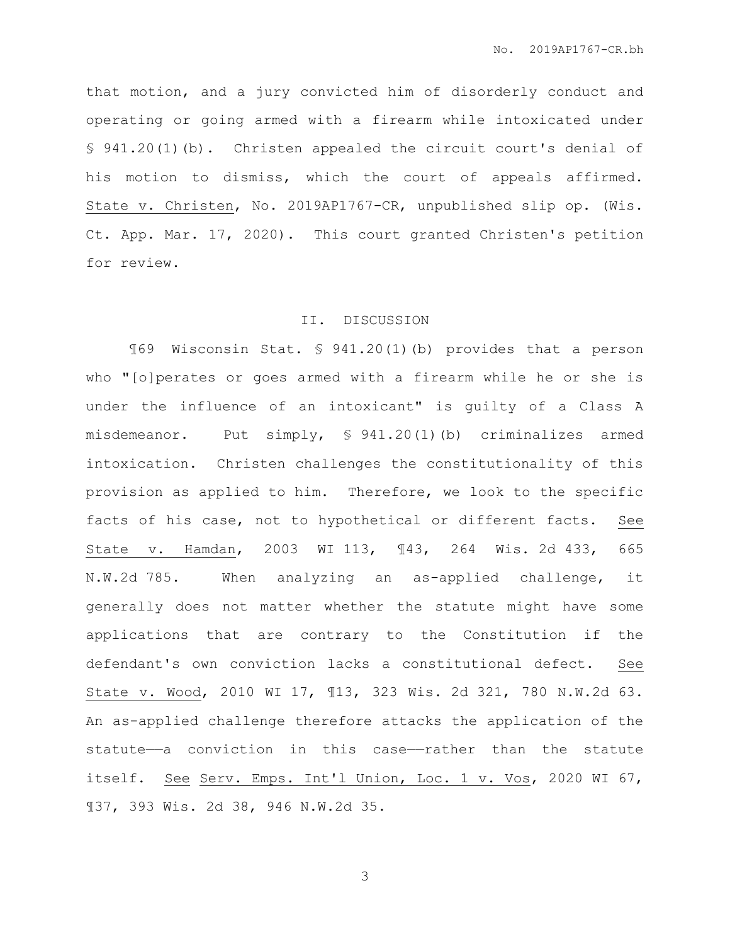that motion, and a jury convicted him of disorderly conduct and operating or going armed with a firearm while intoxicated under § 941.20(1)(b). Christen appealed the circuit court's denial of his motion to dismiss, which the court of appeals affirmed. State v. Christen, No. 2019AP1767-CR, unpublished slip op. (Wis. Ct. App. Mar. 17, 2020). This court granted Christen's petition for review.

#### II. DISCUSSION

¶69 Wisconsin Stat. § 941.20(1)(b) provides that a person who "[o]perates or goes armed with a firearm while he or she is under the influence of an intoxicant" is guilty of a Class A misdemeanor. Put simply, § 941.20(1)(b) criminalizes armed intoxication. Christen challenges the constitutionality of this provision as applied to him. Therefore, we look to the specific facts of his case, not to hypothetical or different facts. See State v. Hamdan, 2003 WI 113, ¶43, 264 Wis. 2d 433, 665 N.W.2d 785. When analyzing an as-applied challenge, it generally does not matter whether the statute might have some applications that are contrary to the Constitution if the defendant's own conviction lacks a constitutional defect. See State v. Wood, 2010 WI 17, ¶13, 323 Wis. 2d 321, 780 N.W.2d 63. An as-applied challenge therefore attacks the application of the statute—a conviction in this case—rather than the statute itself. See Serv. Emps. Int'l Union, Loc. 1 v. Vos, 2020 WI 67, ¶37, 393 Wis. 2d 38, 946 N.W.2d 35.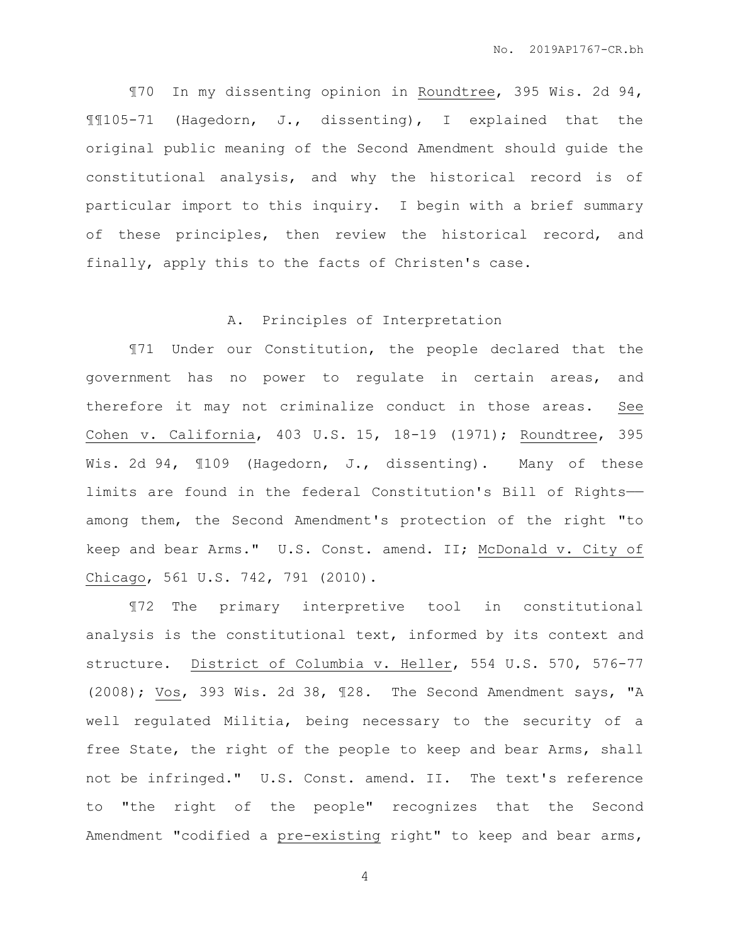¶70 In my dissenting opinion in Roundtree, 395 Wis. 2d 94, ¶¶105-71 (Hagedorn, J., dissenting), I explained that the original public meaning of the Second Amendment should guide the constitutional analysis, and why the historical record is of particular import to this inquiry. I begin with a brief summary of these principles, then review the historical record, and finally, apply this to the facts of Christen's case.

#### A. Principles of Interpretation

¶71 Under our Constitution, the people declared that the government has no power to regulate in certain areas, and therefore it may not criminalize conduct in those areas. See Cohen v. California, 403 U.S. 15, 18-19 (1971); Roundtree, 395 Wis. 2d 94, 1109 (Hagedorn, J., dissenting). Many of these limits are found in the federal Constitution's Bill of Rights— among them, the Second Amendment's protection of the right "to keep and bear Arms." U.S. Const. amend. II; McDonald v. City of Chicago, 561 U.S. 742, 791 (2010).

¶72 The primary interpretive tool in constitutional analysis is the constitutional text, informed by its context and structure. District of Columbia v. Heller, 554 U.S. 570, 576-77 (2008); Vos, 393 Wis. 2d 38, ¶28. The Second Amendment says, "A well regulated Militia, being necessary to the security of a free State, the right of the people to keep and bear Arms, shall not be infringed." U.S. Const. amend. II. The text's reference to "the right of the people" recognizes that the Second Amendment "codified a pre-existing right" to keep and bear arms,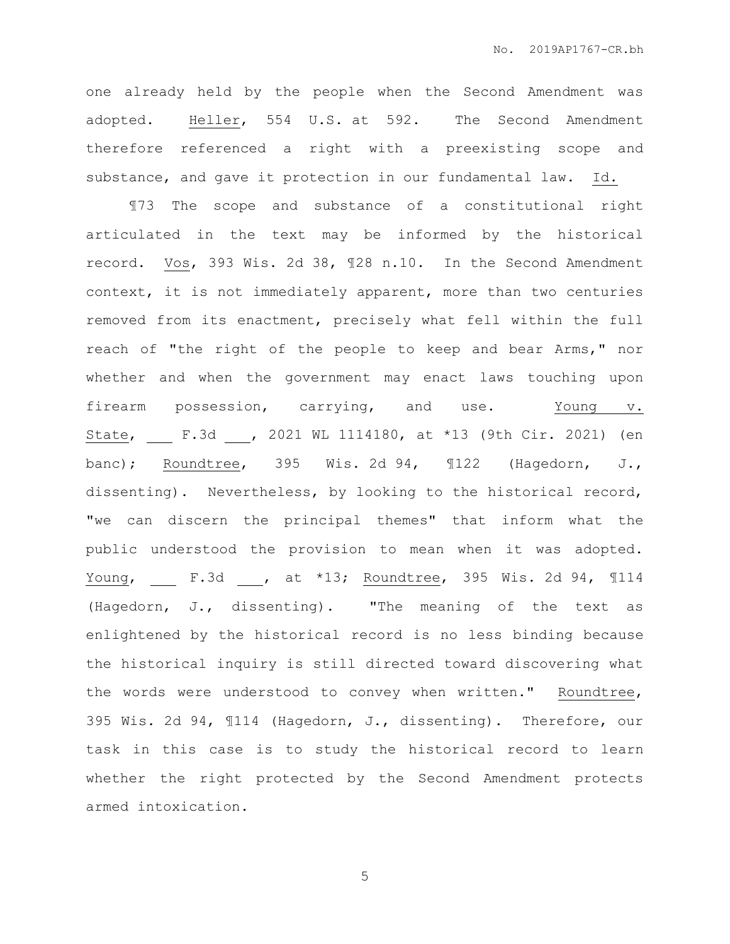one already held by the people when the Second Amendment was adopted. Heller, 554 U.S. at 592. The Second Amendment therefore referenced a right with a preexisting scope and substance, and gave it protection in our fundamental law. Id.

¶73 The scope and substance of a constitutional right articulated in the text may be informed by the historical record. Vos, 393 Wis. 2d 38, ¶28 n.10. In the Second Amendment context, it is not immediately apparent, more than two centuries removed from its enactment, precisely what fell within the full reach of "the right of the people to keep and bear Arms," nor whether and when the government may enact laws touching upon firearm possession, carrying, and use. Young v. State, F.3d , 2021 WL 1114180, at \*13 (9th Cir. 2021) (en banc); Roundtree, 395 Wis. 2d 94, ¶122 (Hagedorn, J., dissenting). Nevertheless, by looking to the historical record, "we can discern the principal themes" that inform what the public understood the provision to mean when it was adopted. Young, \_\_ F.3d \_\_, at \*13; Roundtree, 395 Wis. 2d 94, 1114 (Hagedorn, J., dissenting). "The meaning of the text as enlightened by the historical record is no less binding because the historical inquiry is still directed toward discovering what the words were understood to convey when written." Roundtree, 395 Wis. 2d 94, ¶114 (Hagedorn, J., dissenting). Therefore, our task in this case is to study the historical record to learn whether the right protected by the Second Amendment protects armed intoxication.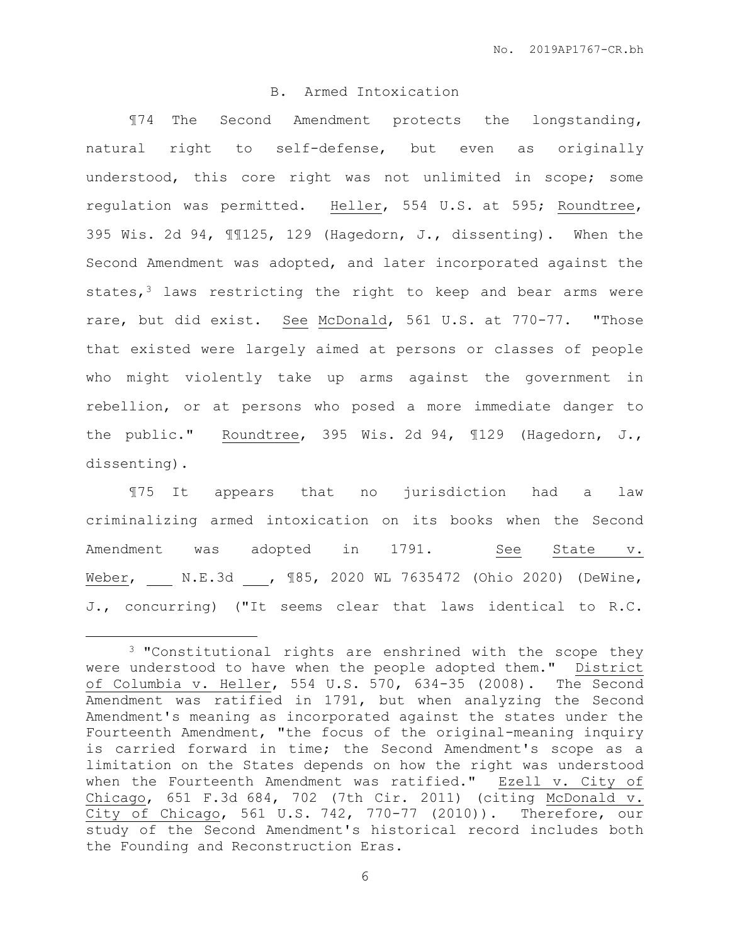### B. Armed Intoxication

¶74 The Second Amendment protects the longstanding, natural right to self-defense, but even as originally understood, this core right was not unlimited in scope; some regulation was permitted. Heller, 554 U.S. at 595; Roundtree, 395 Wis. 2d 94, ¶¶125, 129 (Hagedorn, J., dissenting). When the Second Amendment was adopted, and later incorporated against the states, $3$  laws restricting the right to keep and bear arms were rare, but did exist. See McDonald, 561 U.S. at 770-77. "Those that existed were largely aimed at persons or classes of people who might violently take up arms against the government in rebellion, or at persons who posed a more immediate danger to the public." Roundtree, 395 Wis. 2d 94, ¶129 (Hagedorn, J., dissenting).

¶75 It appears that no jurisdiction had a law criminalizing armed intoxication on its books when the Second Amendment was adopted in 1791. See State v. Weber, N.E.3d , ¶85, 2020 WL 7635472 (Ohio 2020) (DeWine, J., concurring) ("It seems clear that laws identical to R.C.

 $\overline{a}$ 

<sup>&</sup>lt;sup>3</sup> "Constitutional rights are enshrined with the scope they were understood to have when the people adopted them." District of Columbia v. Heller, 554 U.S. 570, 634-35 (2008). The Second Amendment was ratified in 1791, but when analyzing the Second Amendment's meaning as incorporated against the states under the Fourteenth Amendment, "the focus of the original-meaning inquiry is carried forward in time; the Second Amendment's scope as a limitation on the States depends on how the right was understood when the Fourteenth Amendment was ratified." Ezell v. City of Chicago, 651 F.3d 684, 702 (7th Cir. 2011) (citing McDonald v. City of Chicago, 561 U.S. 742, 770-77 (2010)). Therefore, our study of the Second Amendment's historical record includes both the Founding and Reconstruction Eras.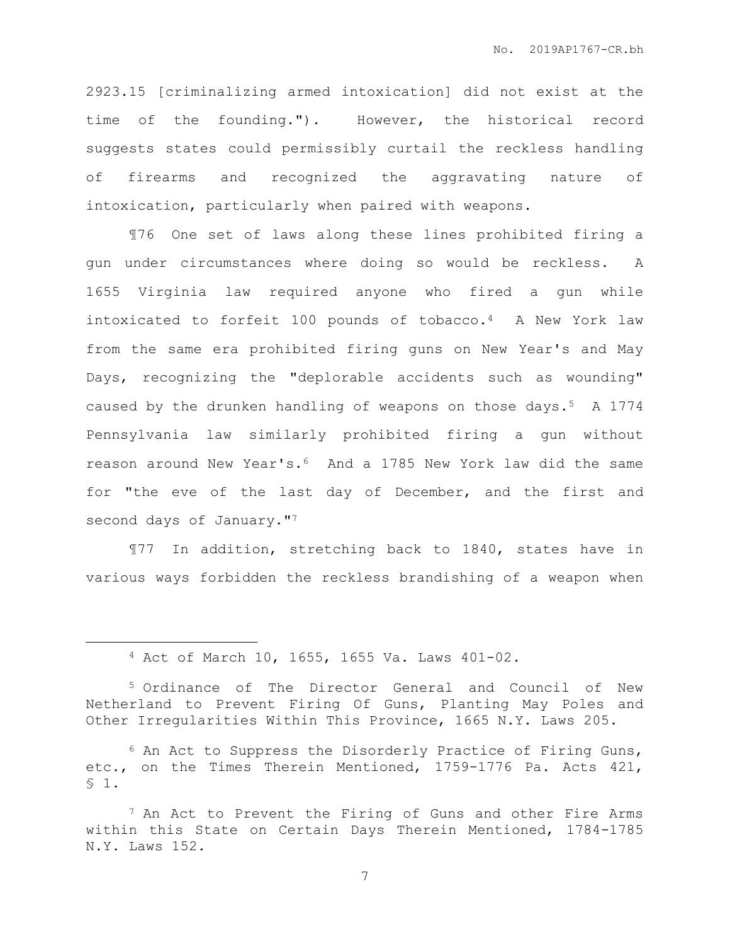2923.15 [criminalizing armed intoxication] did not exist at the time of the founding."). However, the historical record suggests states could permissibly curtail the reckless handling of firearms and recognized the aggravating nature of intoxication, particularly when paired with weapons.

¶76 One set of laws along these lines prohibited firing a gun under circumstances where doing so would be reckless. A 1655 Virginia law required anyone who fired a gun while intoxicated to forfeit 100 pounds of tobacco.4 A New York law from the same era prohibited firing guns on New Year's and May Days, recognizing the "deplorable accidents such as wounding" caused by the drunken handling of weapons on those days.5 A 1774 Pennsylvania law similarly prohibited firing a gun without reason around New Year's.6 And a 1785 New York law did the same for "the eve of the last day of December, and the first and second days of January."<sup>7</sup>

¶77 In addition, stretching back to 1840, states have in various ways forbidden the reckless brandishing of a weapon when

 $\overline{a}$ 

<sup>4</sup> Act of March 10, 1655, 1655 Va. Laws 401-02.

<sup>5</sup> Ordinance of The Director General and Council of New Netherland to Prevent Firing Of Guns, Planting May Poles and Other Irregularities Within This Province, 1665 N.Y. Laws 205.

<sup>6</sup> An Act to Suppress the Disorderly Practice of Firing Guns, etc., on the Times Therein Mentioned, 1759-1776 Pa. Acts 421, § 1.

<sup>7</sup> An Act to Prevent the Firing of Guns and other Fire Arms within this State on Certain Days Therein Mentioned, 1784-1785 N.Y. Laws 152.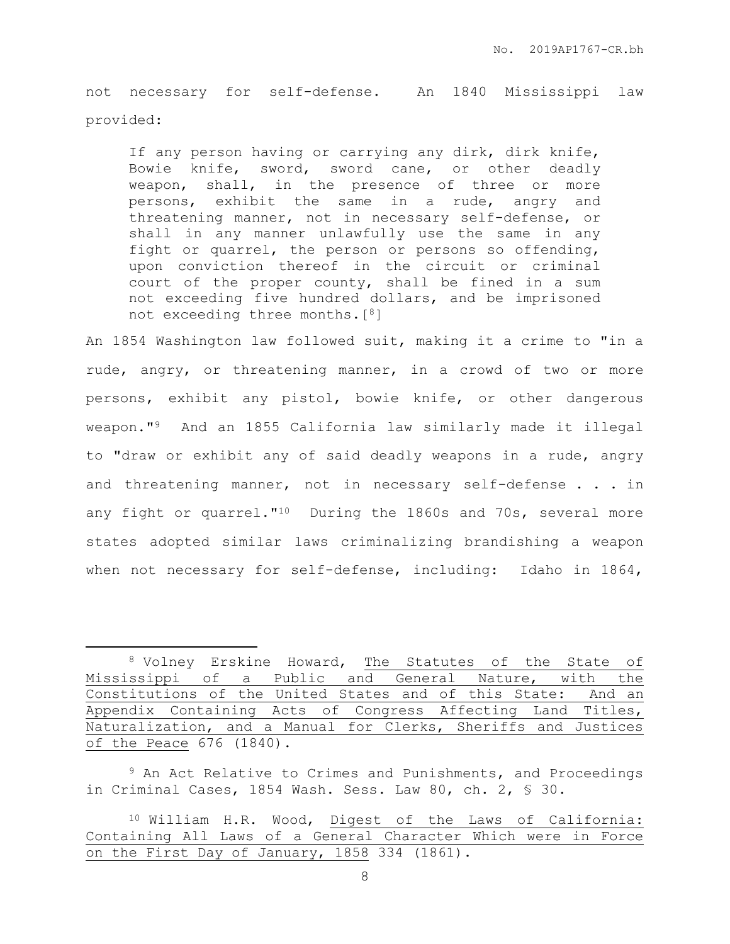not necessary for self-defense. An 1840 Mississippi law provided:

If any person having or carrying any dirk, dirk knife, Bowie knife, sword, sword cane, or other deadly weapon, shall, in the presence of three or more persons, exhibit the same in a rude, angry and threatening manner, not in necessary self-defense, or shall in any manner unlawfully use the same in any fight or quarrel, the person or persons so offending, upon conviction thereof in the circuit or criminal court of the proper county, shall be fined in a sum not exceeding five hundred dollars, and be imprisoned not exceeding three months.[8]

An 1854 Washington law followed suit, making it a crime to "in a rude, angry, or threatening manner, in a crowd of two or more persons, exhibit any pistol, bowie knife, or other dangerous weapon."9 And an 1855 California law similarly made it illegal to "draw or exhibit any of said deadly weapons in a rude, angry and threatening manner, not in necessary self-defense . . . in any fight or quarrel."10 During the 1860s and 70s, several more states adopted similar laws criminalizing brandishing a weapon when not necessary for self-defense, including: Idaho in 1864,

 $\overline{a}$ 

<sup>8</sup> Volney Erskine Howard, The Statutes of the State of Mississippi of a Public and General Nature, with the Constitutions of the United States and of this State: And an Appendix Containing Acts of Congress Affecting Land Titles, Naturalization, and a Manual for Clerks, Sheriffs and Justices of the Peace 676 (1840).

<sup>&</sup>lt;sup>9</sup> An Act Relative to Crimes and Punishments, and Proceedings in Criminal Cases, 1854 Wash. Sess. Law 80, ch. 2, § 30.

<sup>10</sup> William H.R. Wood, Digest of the Laws of California: Containing All Laws of a General Character Which were in Force on the First Day of January, 1858 334 (1861).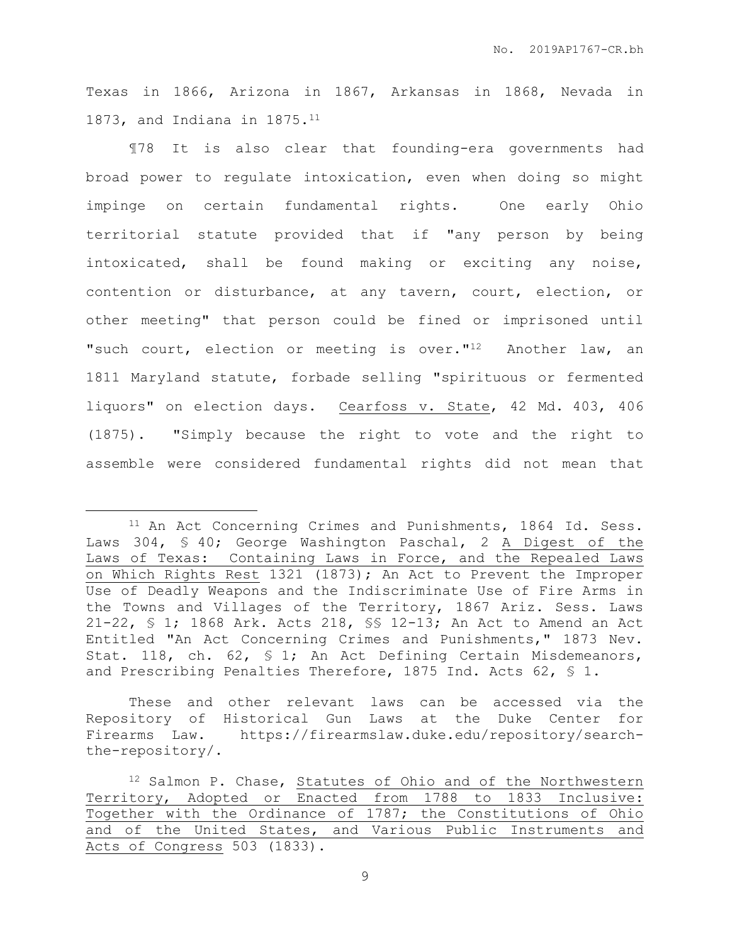Texas in 1866, Arizona in 1867, Arkansas in 1868, Nevada in 1873, and Indiana in 1875.<sup>11</sup>

¶78 It is also clear that founding-era governments had broad power to regulate intoxication, even when doing so might impinge on certain fundamental rights. One early Ohio territorial statute provided that if "any person by being intoxicated, shall be found making or exciting any noise, contention or disturbance, at any tavern, court, election, or other meeting" that person could be fined or imprisoned until "such court, election or meeting is over."<sup>12</sup> Another law, an 1811 Maryland statute, forbade selling "spirituous or fermented liquors" on election days. Cearfoss v. State, 42 Md. 403, 406 (1875). "Simply because the right to vote and the right to assemble were considered fundamental rights did not mean that

 $\overline{a}$ 

These and other relevant laws can be accessed via the Repository of Historical Gun Laws at the Duke Center for Firearms Law. https://firearmslaw.duke.edu/repository/searchthe-repository/.

<sup>&</sup>lt;sup>11</sup> An Act Concerning Crimes and Punishments, 1864 Id. Sess. Laws 304, § 40; George Washington Paschal, 2 A Digest of the Laws of Texas: Containing Laws in Force, and the Repealed Laws on Which Rights Rest 1321 (1873); An Act to Prevent the Improper Use of Deadly Weapons and the Indiscriminate Use of Fire Arms in the Towns and Villages of the Territory, 1867 Ariz. Sess. Laws 21-22, § 1; 1868 Ark. Acts 218, §§ 12-13; An Act to Amend an Act Entitled "An Act Concerning Crimes and Punishments," 1873 Nev. Stat. 118, ch. 62, § 1; An Act Defining Certain Misdemeanors, and Prescribing Penalties Therefore, 1875 Ind. Acts 62, § 1.

<sup>12</sup> Salmon P. Chase, Statutes of Ohio and of the Northwestern Territory, Adopted or Enacted from 1788 to 1833 Inclusive: Together with the Ordinance of 1787; the Constitutions of Ohio and of the United States, and Various Public Instruments and Acts of Congress 503 (1833).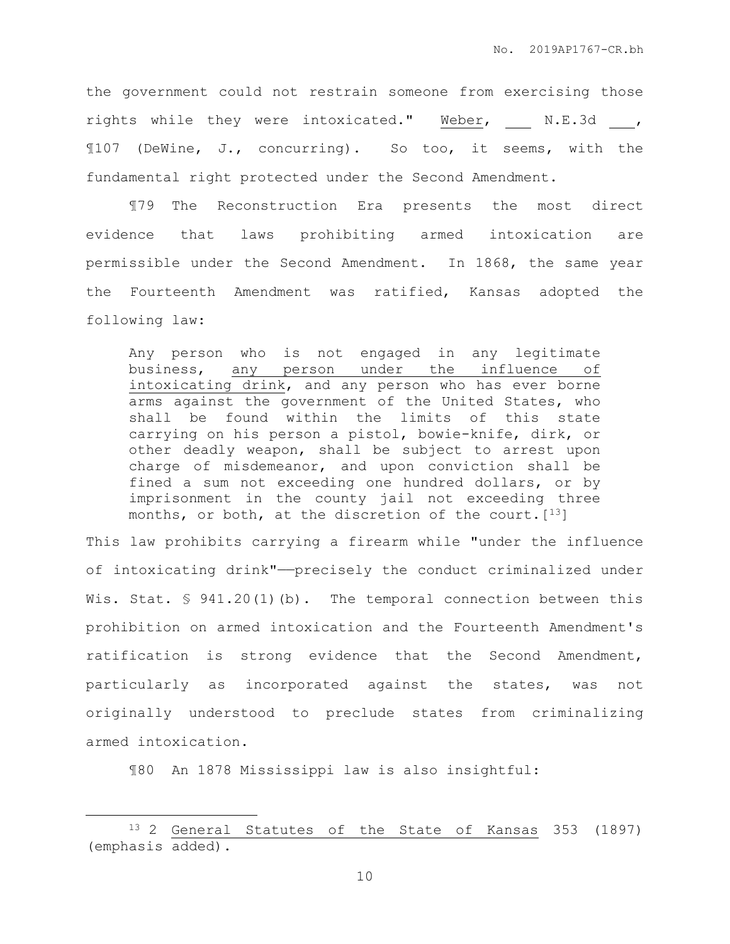the government could not restrain someone from exercising those rights while they were intoxicated." Weber, N.E.3d, ¶107 (DeWine, J., concurring). So too, it seems, with the fundamental right protected under the Second Amendment.

¶79 The Reconstruction Era presents the most direct evidence that laws prohibiting armed intoxication are permissible under the Second Amendment. In 1868, the same year the Fourteenth Amendment was ratified, Kansas adopted the following law:

Any person who is not engaged in any legitimate business, any person under the influence of intoxicating drink, and any person who has ever borne arms against the government of the United States, who shall be found within the limits of this state carrying on his person a pistol, bowie-knife, dirk, or other deadly weapon, shall be subject to arrest upon charge of misdemeanor, and upon conviction shall be fined a sum not exceeding one hundred dollars, or by imprisonment in the county jail not exceeding three months, or both, at the discretion of the court.  $[13]$ 

This law prohibits carrying a firearm while "under the influence of intoxicating drink"——precisely the conduct criminalized under Wis. Stat. § 941.20(1)(b). The temporal connection between this prohibition on armed intoxication and the Fourteenth Amendment's ratification is strong evidence that the Second Amendment, particularly as incorporated against the states, was not originally understood to preclude states from criminalizing armed intoxication.

¶80 An 1878 Mississippi law is also insightful:

 $\overline{a}$ 

<sup>13</sup> 2 General Statutes of the State of Kansas 353 (1897) (emphasis added).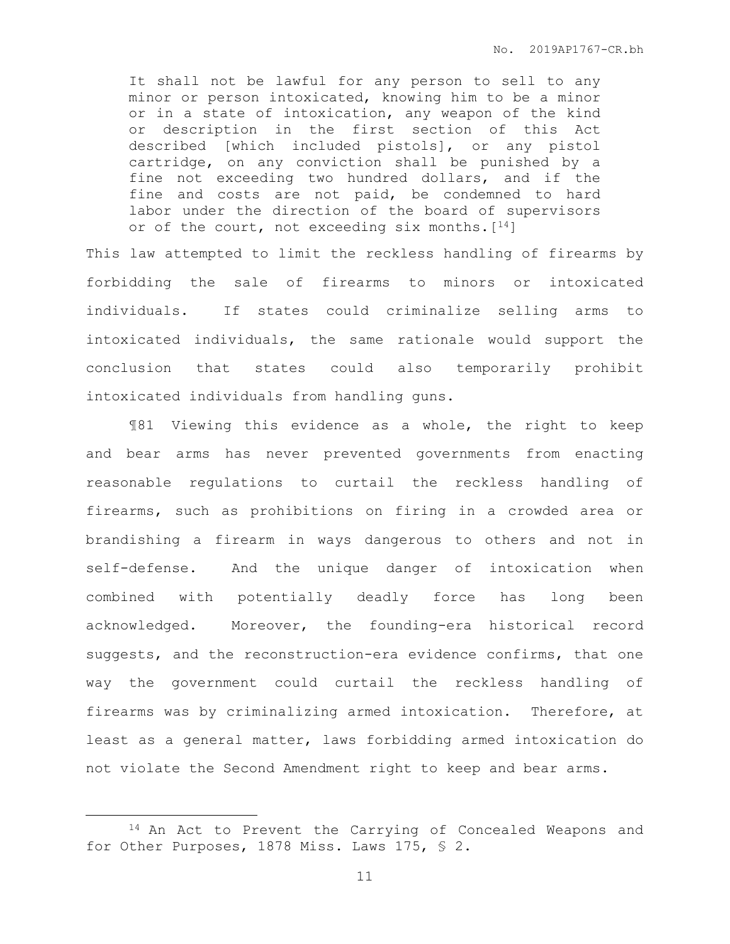It shall not be lawful for any person to sell to any minor or person intoxicated, knowing him to be a minor or in a state of intoxication, any weapon of the kind or description in the first section of this Act described [which included pistols], or any pistol cartridge, on any conviction shall be punished by a fine not exceeding two hundred dollars, and if the fine and costs are not paid, be condemned to hard labor under the direction of the board of supervisors or of the court, not exceeding six months.  $[14]$ 

This law attempted to limit the reckless handling of firearms by forbidding the sale of firearms to minors or intoxicated individuals. If states could criminalize selling arms to intoxicated individuals, the same rationale would support the conclusion that states could also temporarily prohibit intoxicated individuals from handling guns.

¶81 Viewing this evidence as a whole, the right to keep and bear arms has never prevented governments from enacting reasonable regulations to curtail the reckless handling of firearms, such as prohibitions on firing in a crowded area or brandishing a firearm in ways dangerous to others and not in self-defense. And the unique danger of intoxication when combined with potentially deadly force has long been acknowledged. Moreover, the founding-era historical record suggests, and the reconstruction-era evidence confirms, that one way the government could curtail the reckless handling of firearms was by criminalizing armed intoxication. Therefore, at least as a general matter, laws forbidding armed intoxication do not violate the Second Amendment right to keep and bear arms.

 $\overline{a}$ 

<sup>14</sup> An Act to Prevent the Carrying of Concealed Weapons and for Other Purposes, 1878 Miss. Laws 175, § 2.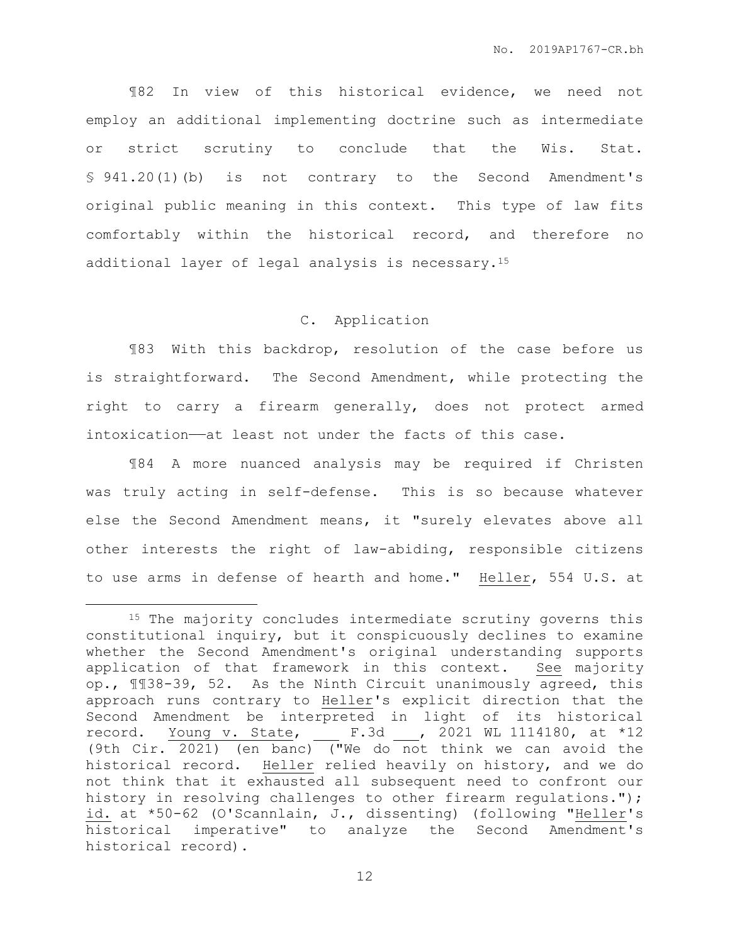¶82 In view of this historical evidence, we need not employ an additional implementing doctrine such as intermediate or strict scrutiny to conclude that the Wis. Stat. § 941.20(1)(b) is not contrary to the Second Amendment's original public meaning in this context. This type of law fits comfortably within the historical record, and therefore no additional layer of legal analysis is necessary.<sup>15</sup>

## C. Application

¶83 With this backdrop, resolution of the case before us is straightforward. The Second Amendment, while protecting the right to carry a firearm generally, does not protect armed intoxication——at least not under the facts of this case.

¶84 A more nuanced analysis may be required if Christen was truly acting in self-defense. This is so because whatever else the Second Amendment means, it "surely elevates above all other interests the right of law-abiding, responsible citizens to use arms in defense of hearth and home." Heller, 554 U.S. at

 $\overline{a}$ 

<sup>&</sup>lt;sup>15</sup> The majority concludes intermediate scrutiny governs this constitutional inquiry, but it conspicuously declines to examine whether the Second Amendment's original understanding supports application of that framework in this context. See majority op., ¶¶38-39, 52. As the Ninth Circuit unanimously agreed, this approach runs contrary to Heller's explicit direction that the Second Amendment be interpreted in light of its historical record. Young v. State, \_\_ F.3d \_\_, 2021 WL 1114180, at \*12 (9th Cir. 2021) (en banc) ("We do not think we can avoid the historical record. Heller relied heavily on history, and we do not think that it exhausted all subsequent need to confront our history in resolving challenges to other firearm regulations."); id. at \*50-62 (O'Scannlain, J., dissenting) (following "Heller's historical imperative" to analyze the Second Amendment's historical record).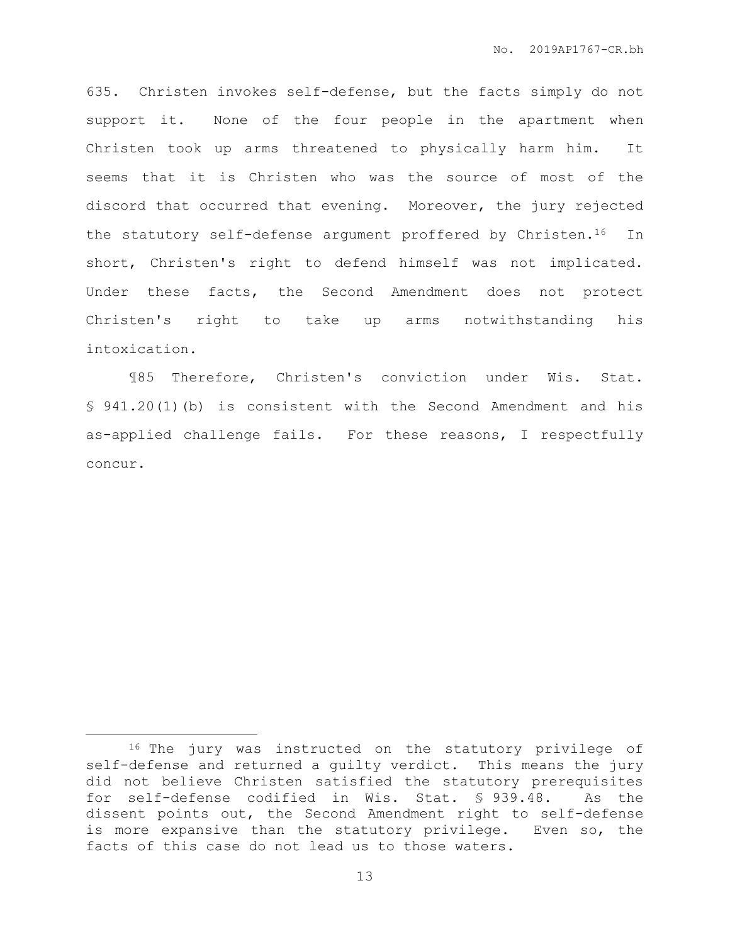635. Christen invokes self-defense, but the facts simply do not support it. None of the four people in the apartment when Christen took up arms threatened to physically harm him. It seems that it is Christen who was the source of most of the discord that occurred that evening. Moreover, the jury rejected the statutory self-defense argument proffered by Christen.<sup>16</sup> In short, Christen's right to defend himself was not implicated. Under these facts, the Second Amendment does not protect Christen's right to take up arms notwithstanding his intoxication.

¶85 Therefore, Christen's conviction under Wis. Stat. § 941.20(1)(b) is consistent with the Second Amendment and his as-applied challenge fails. For these reasons, I respectfully concur.

 $\overline{a}$ 

<sup>16</sup> The jury was instructed on the statutory privilege of self-defense and returned a guilty verdict. This means the jury did not believe Christen satisfied the statutory prerequisites for self-defense codified in Wis. Stat. § 939.48. As the dissent points out, the Second Amendment right to self-defense is more expansive than the statutory privilege. Even so, the facts of this case do not lead us to those waters.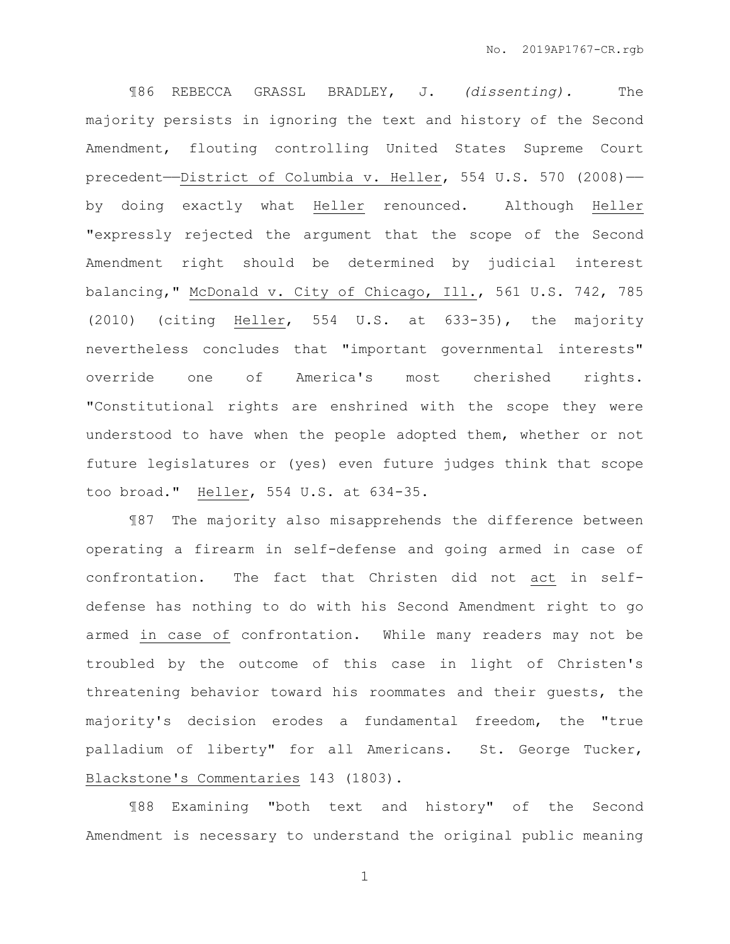¶86 REBECCA GRASSL BRADLEY, J. *(dissenting).* The majority persists in ignoring the text and history of the Second Amendment, flouting controlling United States Supreme Court precedent——District of Columbia v. Heller, 554 U.S. 570 (2008)— by doing exactly what Heller renounced. Although Heller "expressly rejected the argument that the scope of the Second Amendment right should be determined by judicial interest balancing," McDonald v. City of Chicago, Ill., 561 U.S. 742, 785 (2010) (citing Heller, 554 U.S. at 633-35), the majority nevertheless concludes that "important governmental interests" override one of America's most cherished rights. "Constitutional rights are enshrined with the scope they were understood to have when the people adopted them, whether or not future legislatures or (yes) even future judges think that scope too broad." Heller, 554 U.S. at 634-35.

¶87 The majority also misapprehends the difference between operating a firearm in self-defense and going armed in case of confrontation. The fact that Christen did not act in selfdefense has nothing to do with his Second Amendment right to go armed in case of confrontation. While many readers may not be troubled by the outcome of this case in light of Christen's threatening behavior toward his roommates and their guests, the majority's decision erodes a fundamental freedom, the "true palladium of liberty" for all Americans. St. George Tucker, Blackstone's Commentaries 143 (1803).

¶88 Examining "both text and history" of the Second Amendment is necessary to understand the original public meaning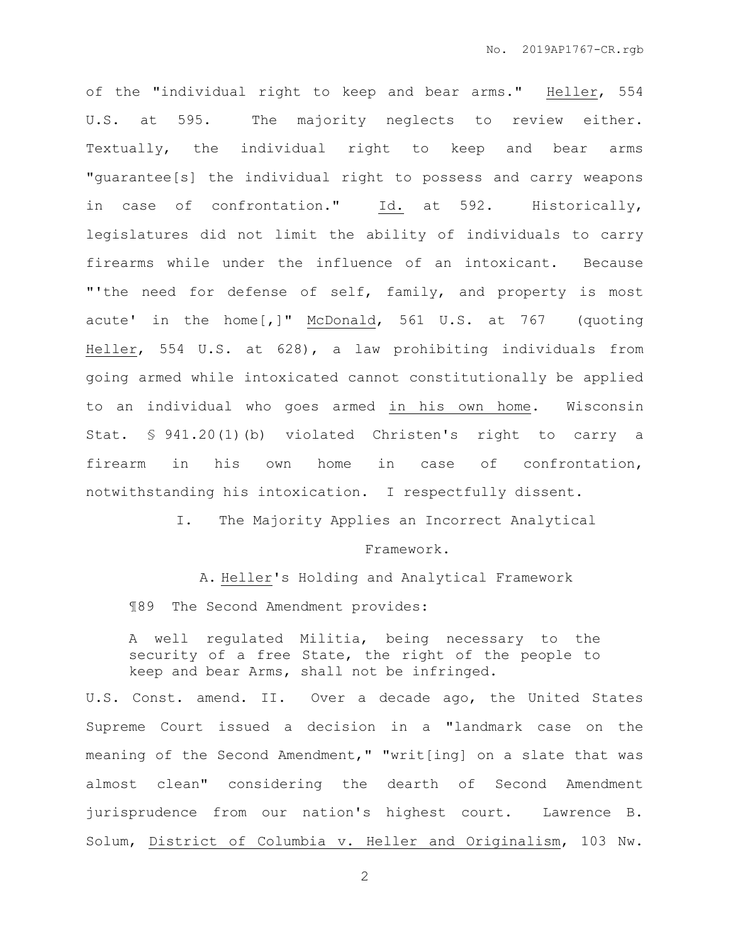of the "individual right to keep and bear arms." Heller, 554 U.S. at 595. The majority neglects to review either. Textually, the individual right to keep and bear arms "guarantee[s] the individual right to possess and carry weapons in case of confrontation." Id. at 592. Historically, legislatures did not limit the ability of individuals to carry firearms while under the influence of an intoxicant. Because "'the need for defense of self, family, and property is most acute' in the home[,]" McDonald, 561 U.S. at 767 (quoting Heller, 554 U.S. at 628), a law prohibiting individuals from going armed while intoxicated cannot constitutionally be applied to an individual who goes armed in his own home. Wisconsin Stat. § 941.20(1)(b) violated Christen's right to carry a firearm in his own home in case of confrontation, notwithstanding his intoxication. I respectfully dissent.

I. The Majority Applies an Incorrect Analytical

#### Framework.

A. Heller's Holding and Analytical Framework

¶89 The Second Amendment provides:

A well regulated Militia, being necessary to the security of a free State, the right of the people to keep and bear Arms, shall not be infringed.

U.S. Const. amend. II. Over a decade ago, the United States Supreme Court issued a decision in a "landmark case on the meaning of the Second Amendment," "writ[ing] on a slate that was almost clean" considering the dearth of Second Amendment jurisprudence from our nation's highest court. Lawrence B. Solum, District of Columbia v. Heller and Originalism, 103 Nw.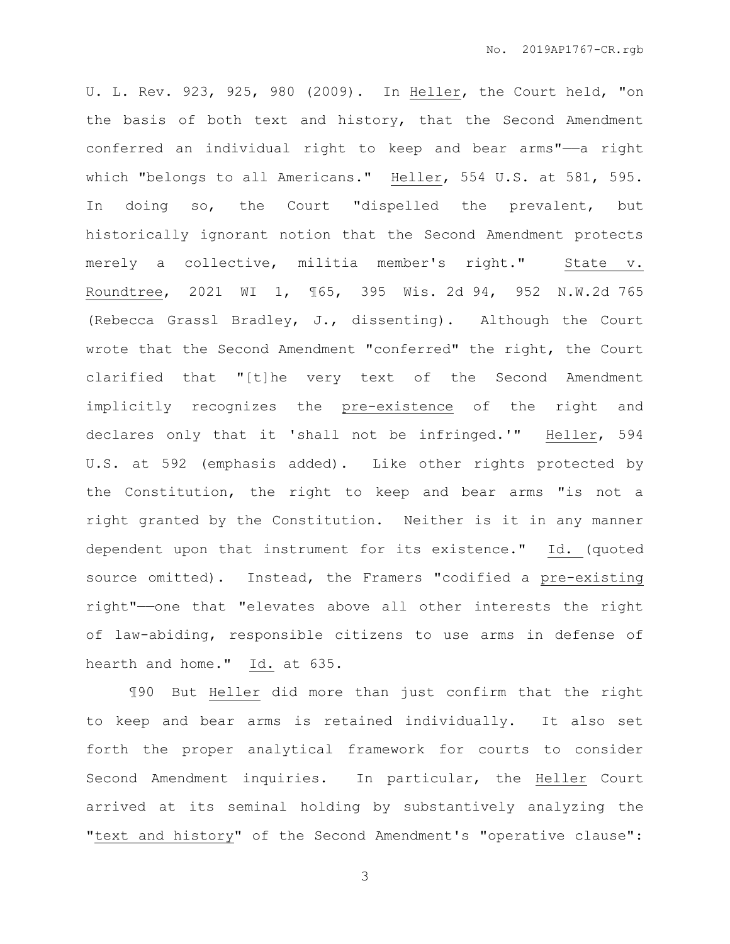U. L. Rev. 923, 925, 980 (2009). In Heller, the Court held, "on the basis of both text and history, that the Second Amendment conferred an individual right to keep and bear arms"——a right which "belongs to all Americans." Heller, 554 U.S. at 581, 595. In doing so, the Court "dispelled the prevalent, but historically ignorant notion that the Second Amendment protects merely a collective, militia member's right." State v. Roundtree, 2021 WI 1, ¶65, 395 Wis. 2d 94, 952 N.W.2d 765 (Rebecca Grassl Bradley, J., dissenting). Although the Court wrote that the Second Amendment "conferred" the right, the Court clarified that "[t]he very text of the Second Amendment implicitly recognizes the pre-existence of the right and declares only that it 'shall not be infringed.'" Heller, 594 U.S. at 592 (emphasis added). Like other rights protected by the Constitution, the right to keep and bear arms "is not a right granted by the Constitution. Neither is it in any manner dependent upon that instrument for its existence." Id. (quoted source omitted). Instead, the Framers "codified a pre-existing right"——one that "elevates above all other interests the right of law-abiding, responsible citizens to use arms in defense of hearth and home." Id. at 635.

¶90 But Heller did more than just confirm that the right to keep and bear arms is retained individually. It also set forth the proper analytical framework for courts to consider Second Amendment inquiries. In particular, the Heller Court arrived at its seminal holding by substantively analyzing the "text and history" of the Second Amendment's "operative clause":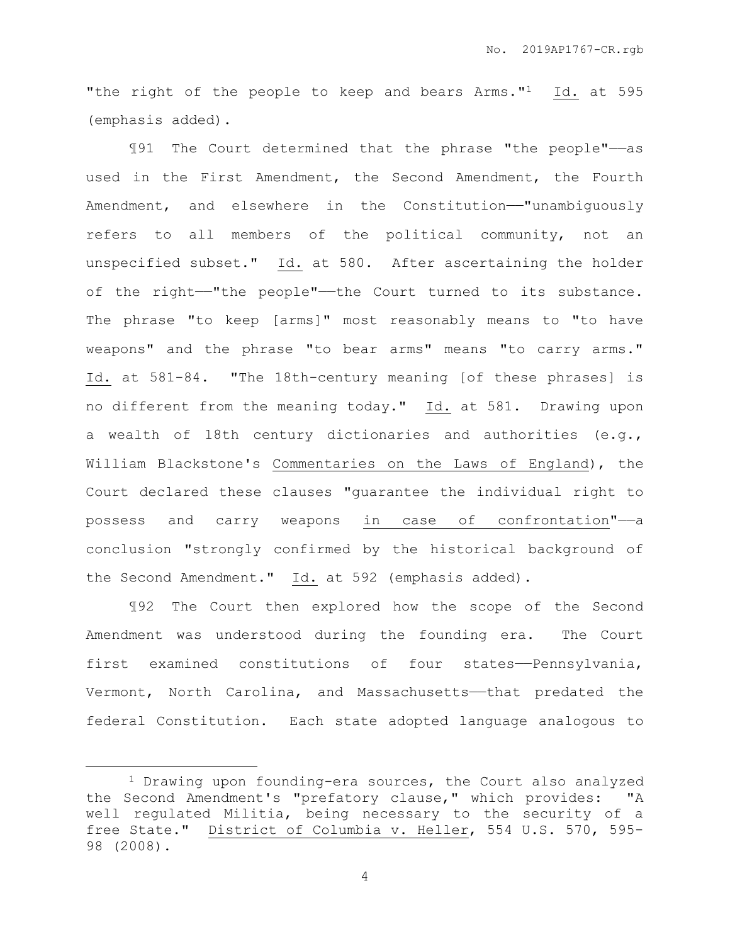"the right of the people to keep and bears Arms."<sup>1</sup> Id. at 595 (emphasis added).

¶91 The Court determined that the phrase "the people"——as used in the First Amendment, the Second Amendment, the Fourth Amendment, and elsewhere in the Constitution-"unambiguously refers to all members of the political community, not an unspecified subset."  $Id.$  at 580. After ascertaining the holder of the right-"the people"-the Court turned to its substance. The phrase "to keep [arms]" most reasonably means to "to have weapons" and the phrase "to bear arms" means "to carry arms." Id. at 581-84. "The 18th-century meaning [of these phrases] is no different from the meaning today." Id. at 581. Drawing upon a wealth of 18th century dictionaries and authorities (e.g., William Blackstone's Commentaries on the Laws of England), the Court declared these clauses "guarantee the individual right to possess and carry weapons in case of confrontation"-a conclusion "strongly confirmed by the historical background of the Second Amendment." Id. at 592 (emphasis added).

¶92 The Court then explored how the scope of the Second Amendment was understood during the founding era. The Court first examined constitutions of four states——Pennsylvania, Vermont, North Carolina, and Massachusetts——that predated the federal Constitution. Each state adopted language analogous to

 $\overline{a}$ 

<sup>1</sup> Drawing upon founding-era sources, the Court also analyzed the Second Amendment's "prefatory clause," which provides: "A well regulated Militia, being necessary to the security of a free State." District of Columbia v. Heller, 554 U.S. 570, 595- 98 (2008).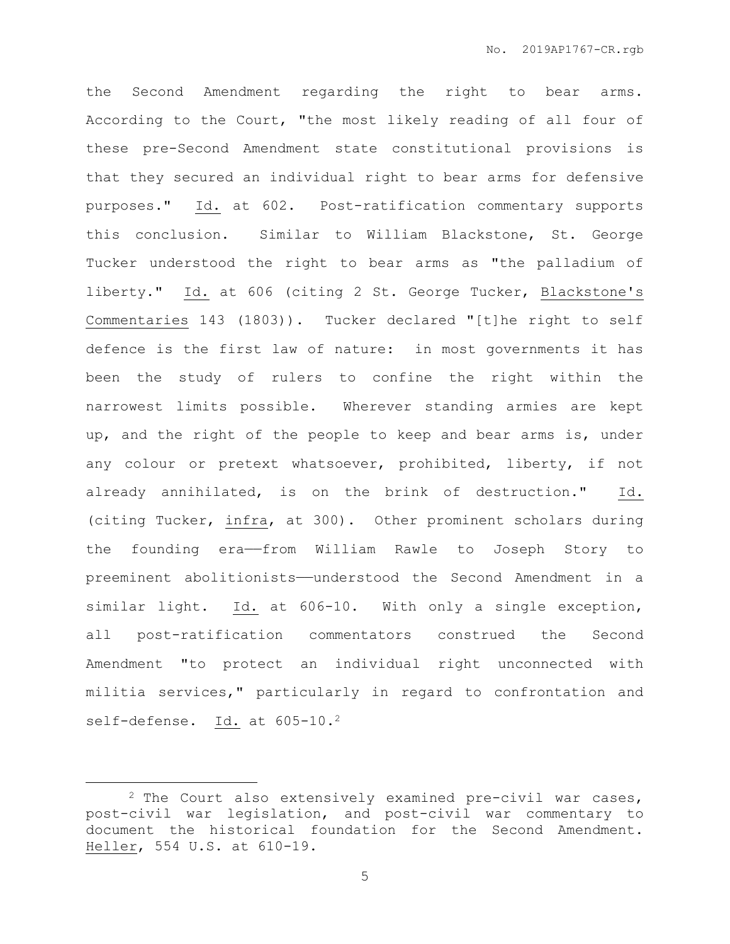the Second Amendment regarding the right to bear arms. According to the Court, "the most likely reading of all four of these pre-Second Amendment state constitutional provisions is that they secured an individual right to bear arms for defensive purposes." Id. at 602. Post-ratification commentary supports this conclusion. Similar to William Blackstone, St. George Tucker understood the right to bear arms as "the palladium of liberty." Id. at 606 (citing 2 St. George Tucker, Blackstone's Commentaries 143 (1803)). Tucker declared "[t]he right to self defence is the first law of nature: in most governments it has been the study of rulers to confine the right within the narrowest limits possible. Wherever standing armies are kept up, and the right of the people to keep and bear arms is, under any colour or pretext whatsoever, prohibited, liberty, if not already annihilated, is on the brink of destruction." Id. (citing Tucker, infra, at 300). Other prominent scholars during the founding era——from William Rawle to Joseph Story to preeminent abolitionists——understood the Second Amendment in a similar light. Id. at 606-10. With only a single exception, all post-ratification commentators construed the Second Amendment "to protect an individual right unconnected with militia services," particularly in regard to confrontation and self-defense. Id. at 605-10.<sup>2</sup>

 $\overline{a}$ 

<sup>2</sup> The Court also extensively examined pre-civil war cases, post-civil war legislation, and post-civil war commentary to document the historical foundation for the Second Amendment. Heller, 554 U.S. at 610-19.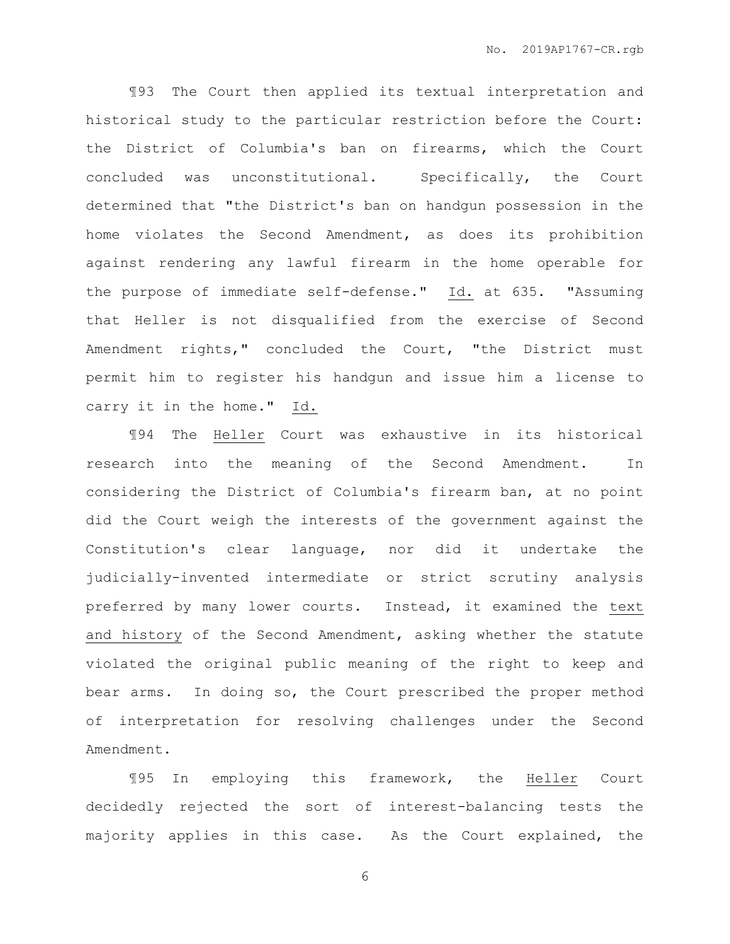¶93 The Court then applied its textual interpretation and historical study to the particular restriction before the Court: the District of Columbia's ban on firearms, which the Court concluded was unconstitutional. Specifically, the Court determined that "the District's ban on handgun possession in the home violates the Second Amendment, as does its prohibition against rendering any lawful firearm in the home operable for the purpose of immediate self-defense." Id. at 635. "Assuming that Heller is not disqualified from the exercise of Second Amendment rights," concluded the Court, "the District must permit him to register his handgun and issue him a license to carry it in the home." Id.

¶94 The Heller Court was exhaustive in its historical research into the meaning of the Second Amendment. In considering the District of Columbia's firearm ban, at no point did the Court weigh the interests of the government against the Constitution's clear language, nor did it undertake the judicially-invented intermediate or strict scrutiny analysis preferred by many lower courts. Instead, it examined the text and history of the Second Amendment, asking whether the statute violated the original public meaning of the right to keep and bear arms. In doing so, the Court prescribed the proper method of interpretation for resolving challenges under the Second Amendment.

¶95 In employing this framework, the Heller Court decidedly rejected the sort of interest-balancing tests the majority applies in this case. As the Court explained, the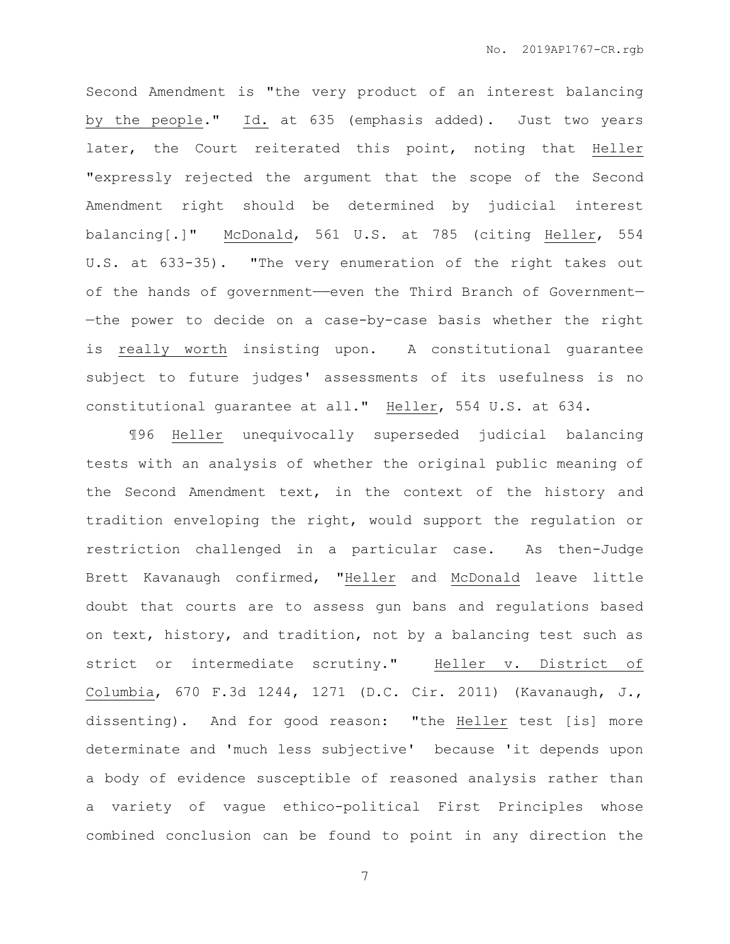Second Amendment is "the very product of an interest balancing by the people." Id. at 635 (emphasis added). Just two years later, the Court reiterated this point, noting that Heller "expressly rejected the argument that the scope of the Second Amendment right should be determined by judicial interest balancing[.]" McDonald, 561 U.S. at 785 (citing Heller, 554 U.S. at 633-35). "The very enumeration of the right takes out of the hands of government—even the Third Branch of Government-—the power to decide on a case-by-case basis whether the right is really worth insisting upon. A constitutional guarantee subject to future judges' assessments of its usefulness is no constitutional guarantee at all." Heller, 554 U.S. at 634.

¶96 Heller unequivocally superseded judicial balancing tests with an analysis of whether the original public meaning of the Second Amendment text, in the context of the history and tradition enveloping the right, would support the regulation or restriction challenged in a particular case. As then-Judge Brett Kavanaugh confirmed, "Heller and McDonald leave little doubt that courts are to assess gun bans and regulations based on text, history, and tradition, not by a balancing test such as strict or intermediate scrutiny." Heller v. District of Columbia, 670 F.3d 1244, 1271 (D.C. Cir. 2011) (Kavanaugh, J., dissenting). And for good reason: "the Heller test [is] more determinate and 'much less subjective' because 'it depends upon a body of evidence susceptible of reasoned analysis rather than a variety of vague ethico-political First Principles whose combined conclusion can be found to point in any direction the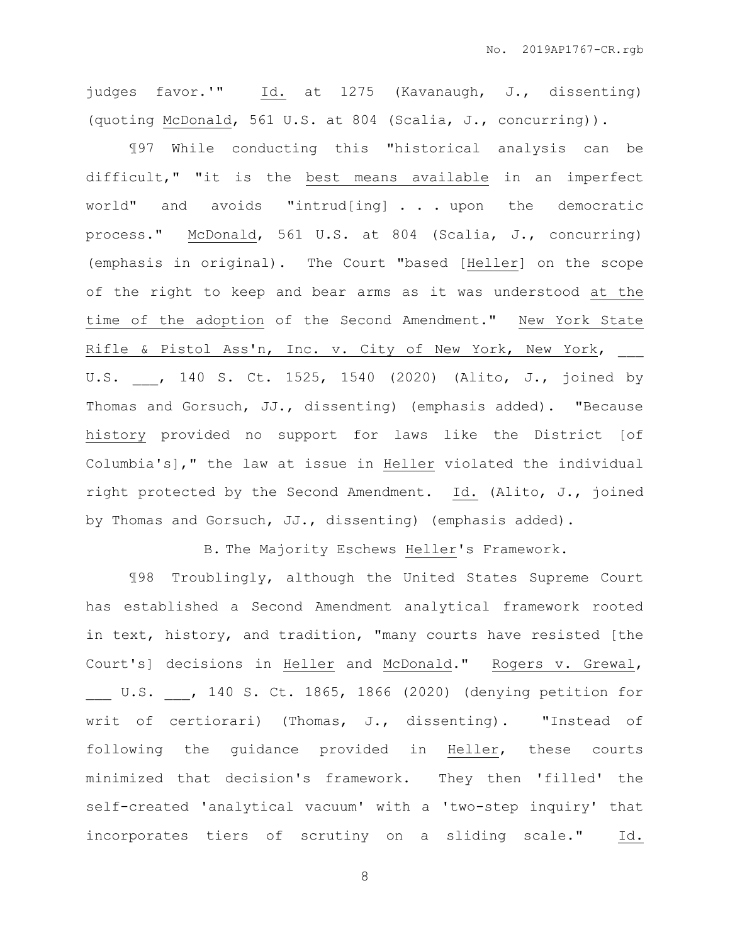judges favor.'" Id. at 1275 (Kavanaugh, J., dissenting) (quoting McDonald, 561 U.S. at 804 (Scalia, J., concurring)).

¶97 While conducting this "historical analysis can be difficult," "it is the best means available in an imperfect world" and avoids "intrud[ing] . . . upon the democratic process." McDonald, 561 U.S. at 804 (Scalia, J., concurring) (emphasis in original). The Court "based [Heller] on the scope of the right to keep and bear arms as it was understood at the time of the adoption of the Second Amendment." New York State Rifle & Pistol Ass'n, Inc. v. City of New York, New York, U.S. , 140 S. Ct. 1525, 1540 (2020) (Alito, J., joined by Thomas and Gorsuch, JJ., dissenting) (emphasis added). "Because history provided no support for laws like the District [of Columbia's]," the law at issue in Heller violated the individual right protected by the Second Amendment. Id. (Alito, J., joined by Thomas and Gorsuch, JJ., dissenting) (emphasis added).

B. The Majority Eschews Heller's Framework.

¶98 Troublingly, although the United States Supreme Court has established a Second Amendment analytical framework rooted in text, history, and tradition, "many courts have resisted [the Court's] decisions in Heller and McDonald." Rogers v. Grewal, \_\_\_ U.S. \_\_\_, 140 S. Ct. 1865, 1866 (2020) (denying petition for writ of certiorari) (Thomas, J., dissenting). "Instead of following the guidance provided in Heller, these courts minimized that decision's framework. They then 'filled' the self-created 'analytical vacuum' with a 'two-step inquiry' that incorporates tiers of scrutiny on a sliding scale." Id.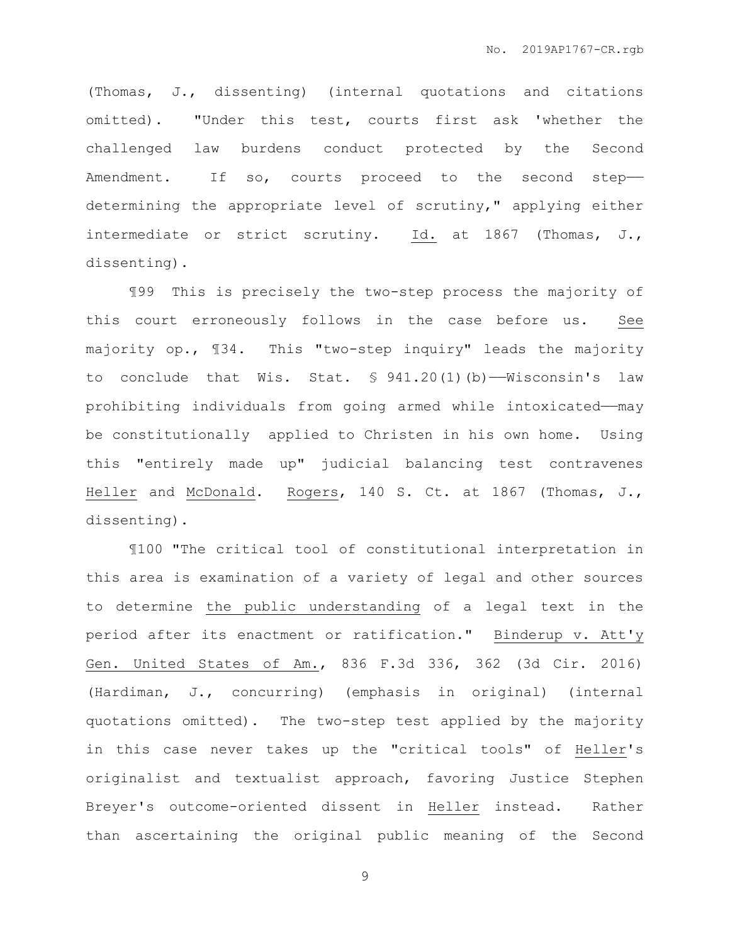(Thomas, J., dissenting) (internal quotations and citations omitted). "Under this test, courts first ask 'whether the challenged law burdens conduct protected by the Second Amendment. If so, courts proceed to the second stepdetermining the appropriate level of scrutiny," applying either intermediate or strict scrutiny. Id. at 1867 (Thomas, J., dissenting).

¶99 This is precisely the two-step process the majority of this court erroneously follows in the case before us. See majority op., ¶34. This "two-step inquiry" leads the majority to conclude that Wis. Stat. § 941.20(1)(b)——Wisconsin's law prohibiting individuals from going armed while intoxicated-may be constitutionally applied to Christen in his own home. Using this "entirely made up" judicial balancing test contravenes Heller and McDonald. Rogers, 140 S. Ct. at 1867 (Thomas, J., dissenting).

¶100 "The critical tool of constitutional interpretation in this area is examination of a variety of legal and other sources to determine the public understanding of a legal text in the period after its enactment or ratification." Binderup v. Att'y Gen. United States of Am., 836 F.3d 336, 362 (3d Cir. 2016) (Hardiman, J., concurring) (emphasis in original) (internal quotations omitted). The two-step test applied by the majority in this case never takes up the "critical tools" of Heller's originalist and textualist approach, favoring Justice Stephen Breyer's outcome-oriented dissent in Heller instead. Rather than ascertaining the original public meaning of the Second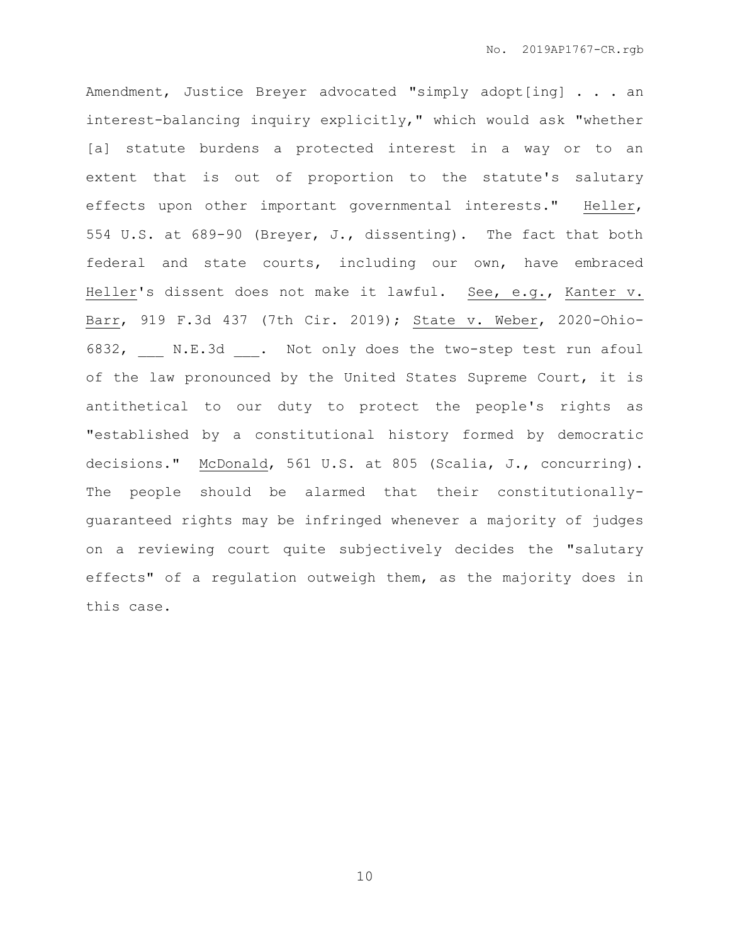Amendment, Justice Breyer advocated "simply adopt[ing] . . . an interest-balancing inquiry explicitly," which would ask "whether [a] statute burdens a protected interest in a way or to an extent that is out of proportion to the statute's salutary effects upon other important governmental interests." Heller, 554 U.S. at 689-90 (Breyer, J., dissenting). The fact that both federal and state courts, including our own, have embraced Heller's dissent does not make it lawful. See, e.g., Kanter v. Barr, 919 F.3d 437 (7th Cir. 2019); State v. Weber, 2020-Ohio-6832, N.E.3d . Not only does the two-step test run afoul of the law pronounced by the United States Supreme Court, it is antithetical to our duty to protect the people's rights as "established by a constitutional history formed by democratic decisions." McDonald, 561 U.S. at 805 (Scalia, J., concurring). The people should be alarmed that their constitutionallyguaranteed rights may be infringed whenever a majority of judges on a reviewing court quite subjectively decides the "salutary effects" of a regulation outweigh them, as the majority does in this case.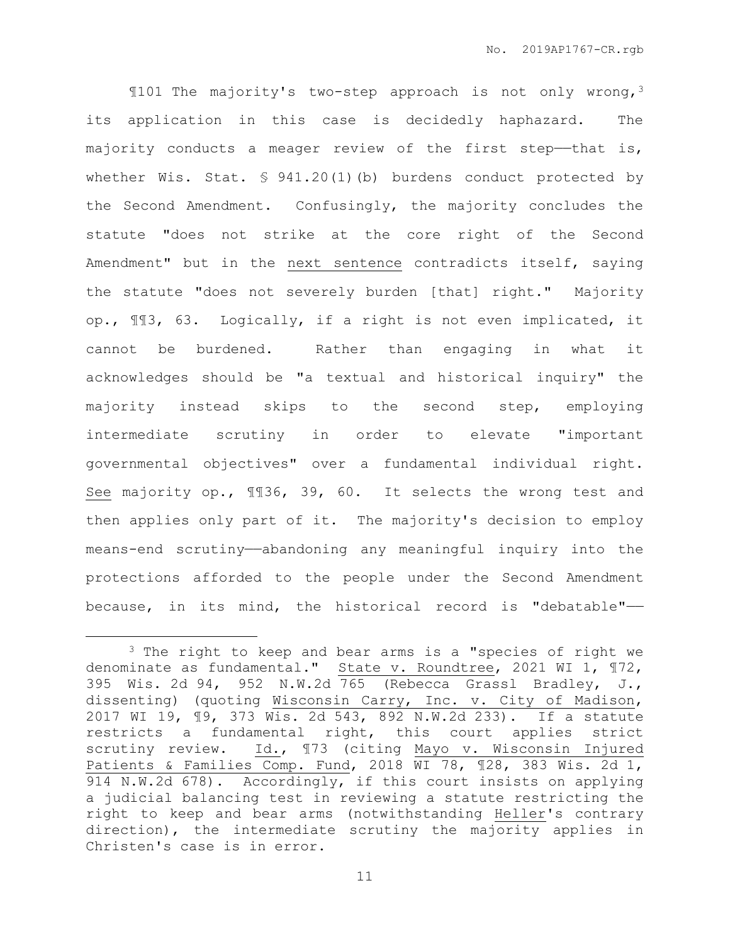¶101 The majority's two-step approach is not only wrong,<sup>3</sup> its application in this case is decidedly haphazard. The majority conducts a meager review of the first step-that is, whether Wis. Stat. § 941.20(1)(b) burdens conduct protected by the Second Amendment. Confusingly, the majority concludes the statute "does not strike at the core right of the Second Amendment" but in the next sentence contradicts itself, saying the statute "does not severely burden [that] right." Majority op., ¶¶3, 63. Logically, if a right is not even implicated, it cannot be burdened. Rather than engaging in what it acknowledges should be "a textual and historical inquiry" the majority instead skips to the second step, employing intermediate scrutiny in order to elevate "important governmental objectives" over a fundamental individual right. See majority op., ¶¶36, 39, 60. It selects the wrong test and then applies only part of it. The majority's decision to employ means-end scrutiny—abandoning any meaningful inquiry into the protections afforded to the people under the Second Amendment because, in its mind, the historical record is "debatable"——

 $\overline{a}$ 

<sup>&</sup>lt;sup>3</sup> The right to keep and bear arms is a "species of right we denominate as fundamental." State v. Roundtree, 2021 WI 1, ¶72, 395 Wis. 2d 94, 952 N.W.2d 765 (Rebecca Grassl Bradley, J., dissenting) (quoting Wisconsin Carry, Inc. v. City of Madison, 2017 WI 19, ¶9, 373 Wis. 2d 543, 892 N.W.2d 233). If a statute restricts a fundamental right, this court applies strict scrutiny review. Id., ¶73 (citing Mayo v. Wisconsin Injured Patients & Families Comp. Fund, 2018 WI 78, ¶28, 383 Wis. 2d 1, 914 N.W.2d 678). Accordingly, if this court insists on applying a judicial balancing test in reviewing a statute restricting the right to keep and bear arms (notwithstanding Heller's contrary direction), the intermediate scrutiny the majority applies in Christen's case is in error.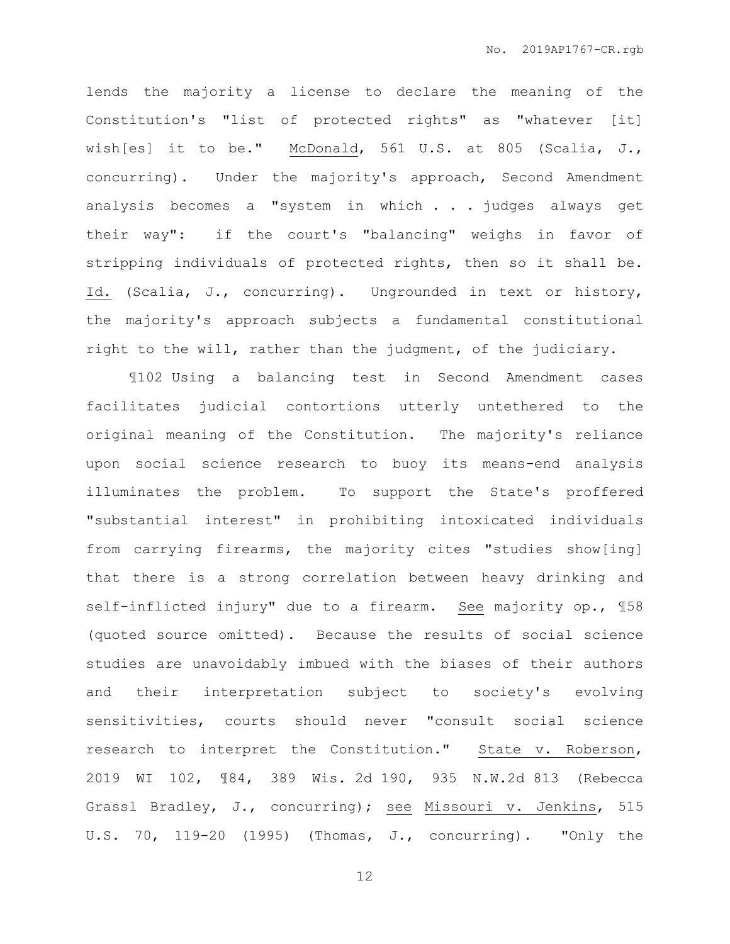lends the majority a license to declare the meaning of the Constitution's "list of protected rights" as "whatever [it] wish[es] it to be." McDonald, 561 U.S. at 805 (Scalia, J., concurring). Under the majority's approach, Second Amendment analysis becomes a "system in which . . . judges always get their way": if the court's "balancing" weighs in favor of stripping individuals of protected rights, then so it shall be. Id. (Scalia, J., concurring). Ungrounded in text or history, the majority's approach subjects a fundamental constitutional right to the will, rather than the judgment, of the judiciary.

¶102 Using a balancing test in Second Amendment cases facilitates judicial contortions utterly untethered to the original meaning of the Constitution. The majority's reliance upon social science research to buoy its means-end analysis illuminates the problem. To support the State's proffered "substantial interest" in prohibiting intoxicated individuals from carrying firearms, the majority cites "studies show[ing] that there is a strong correlation between heavy drinking and self-inflicted injury" due to a firearm. See majority op., ¶58 (quoted source omitted). Because the results of social science studies are unavoidably imbued with the biases of their authors and their interpretation subject to society's evolving sensitivities, courts should never "consult social science research to interpret the Constitution." State v. Roberson, 2019 WI 102, ¶84, 389 Wis. 2d 190, 935 N.W.2d 813 (Rebecca Grassl Bradley, J., concurring); see Missouri v. Jenkins, 515 U.S. 70, 119-20 (1995) (Thomas, J., concurring). "Only the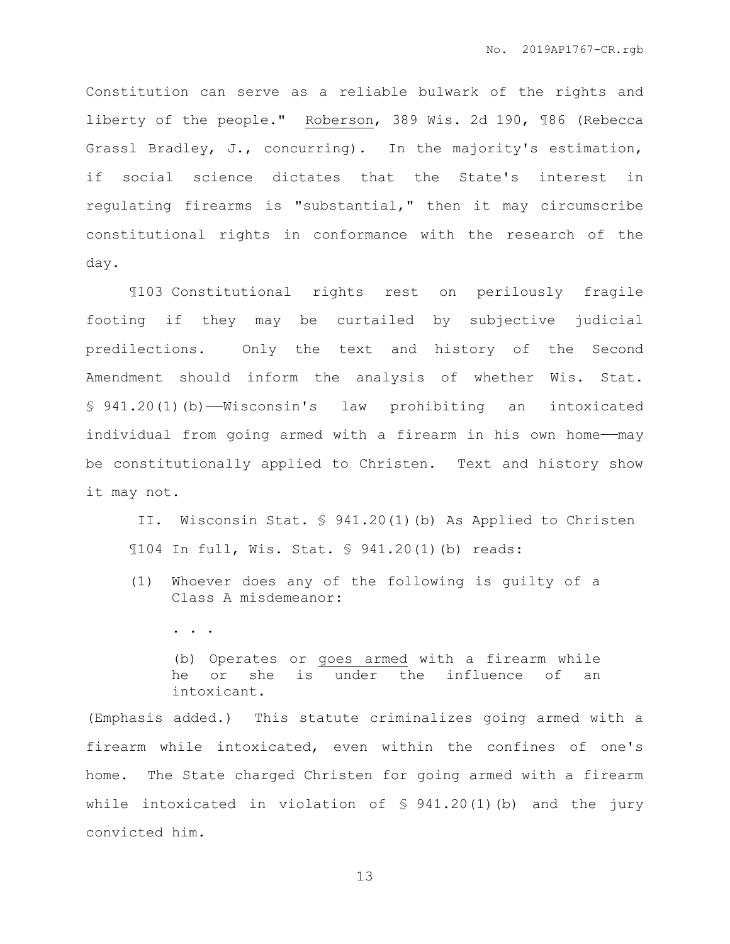Constitution can serve as a reliable bulwark of the rights and liberty of the people." Roberson, 389 Wis. 2d 190, ¶86 (Rebecca Grassl Bradley, J., concurring). In the majority's estimation, if social science dictates that the State's interest in regulating firearms is "substantial," then it may circumscribe constitutional rights in conformance with the research of the day.

¶103 Constitutional rights rest on perilously fragile footing if they may be curtailed by subjective judicial predilections. Only the text and history of the Second Amendment should inform the analysis of whether Wis. Stat. § 941.20(1)(b)——Wisconsin's law prohibiting an intoxicated individual from going armed with a firearm in his own home——may be constitutionally applied to Christen. Text and history show it may not.

II. Wisconsin Stat. § 941.20(1)(b) As Applied to Christen ¶104 In full, Wis. Stat. § 941.20(1)(b) reads:

- (1) Whoever does any of the following is guilty of a Class A misdemeanor:
	- . . . .

(b) Operates or goes armed with a firearm while he or she is under the influence of an intoxicant.

(Emphasis added.) This statute criminalizes going armed with a firearm while intoxicated, even within the confines of one's home. The State charged Christen for going armed with a firearm while intoxicated in violation of  $\frac{1}{2}$  941.20(1)(b) and the jury convicted him.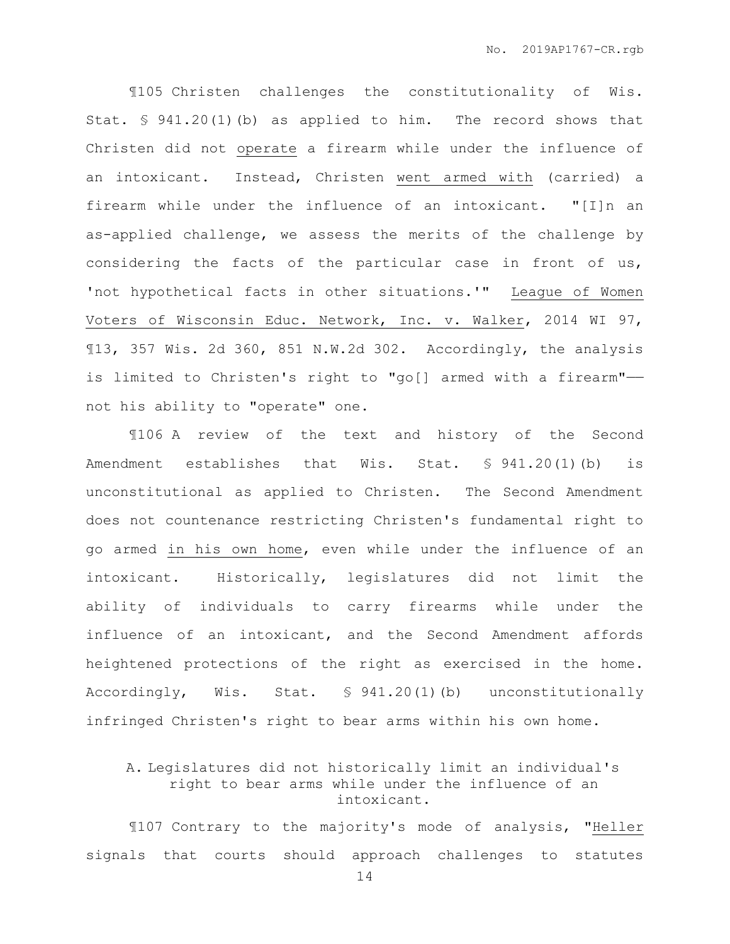¶105 Christen challenges the constitutionality of Wis. Stat. § 941.20(1)(b) as applied to him. The record shows that Christen did not operate a firearm while under the influence of an intoxicant. Instead, Christen went armed with (carried) a firearm while under the influence of an intoxicant. "[I]n an as-applied challenge, we assess the merits of the challenge by considering the facts of the particular case in front of us, 'not hypothetical facts in other situations.'" League of Women Voters of Wisconsin Educ. Network, Inc. v. Walker, 2014 WI 97, ¶13, 357 Wis. 2d 360, 851 N.W.2d 302. Accordingly, the analysis is limited to Christen's right to "go[] armed with a firearm"— not his ability to "operate" one.

¶106 A review of the text and history of the Second Amendment establishes that Wis. Stat. § 941.20(1)(b) is unconstitutional as applied to Christen. The Second Amendment does not countenance restricting Christen's fundamental right to go armed in his own home, even while under the influence of an intoxicant. Historically, legislatures did not limit the ability of individuals to carry firearms while under the influence of an intoxicant, and the Second Amendment affords heightened protections of the right as exercised in the home. Accordingly, Wis. Stat. § 941.20(1)(b) unconstitutionally infringed Christen's right to bear arms within his own home.

# A. Legislatures did not historically limit an individual's right to bear arms while under the influence of an intoxicant.

¶107 Contrary to the majority's mode of analysis, "Heller signals that courts should approach challenges to statutes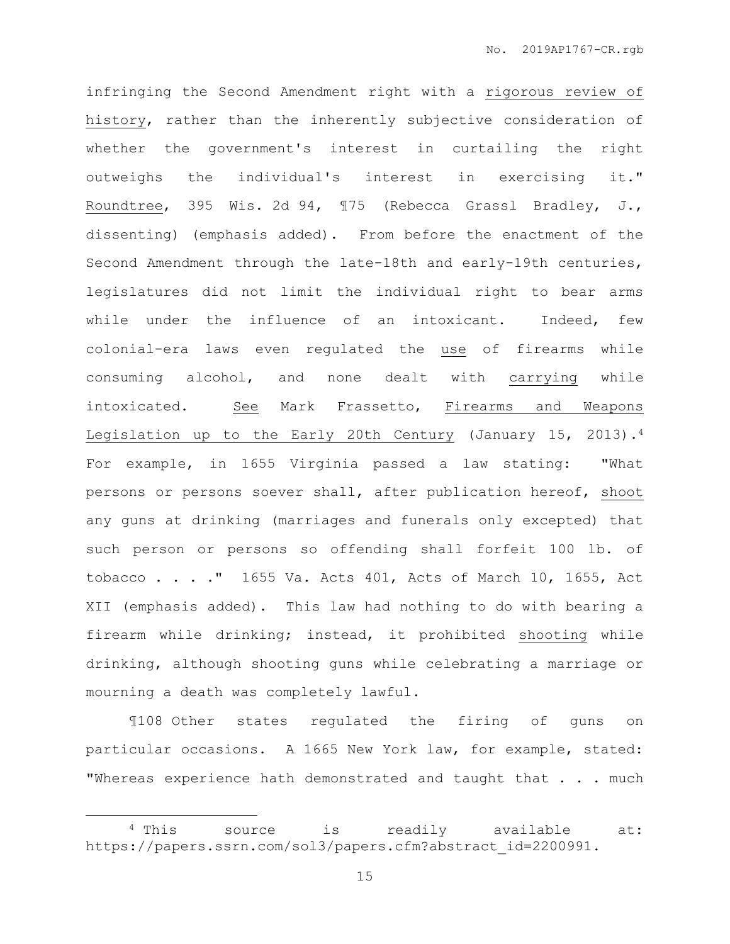infringing the Second Amendment right with a rigorous review of history, rather than the inherently subjective consideration of whether the government's interest in curtailing the right outweighs the individual's interest in exercising it." Roundtree, 395 Wis. 2d 94, ¶75 (Rebecca Grassl Bradley, J., dissenting) (emphasis added). From before the enactment of the Second Amendment through the late-18th and early-19th centuries, legislatures did not limit the individual right to bear arms while under the influence of an intoxicant. Indeed, few colonial-era laws even regulated the use of firearms while consuming alcohol, and none dealt with carrying while intoxicated. See Mark Frassetto, Firearms and Weapons Legislation up to the Early 20th Century (January 15, 2013).<sup>4</sup> For example, in 1655 Virginia passed a law stating: "What persons or persons soever shall, after publication hereof, shoot any guns at drinking (marriages and funerals only excepted) that such person or persons so offending shall forfeit 100 lb. of tobacco . . . ." 1655 Va. Acts 401, Acts of March 10, 1655, Act XII (emphasis added). This law had nothing to do with bearing a firearm while drinking; instead, it prohibited shooting while drinking, although shooting guns while celebrating a marriage or mourning a death was completely lawful.

¶108 Other states regulated the firing of guns on particular occasions. A 1665 New York law, for example, stated: "Whereas experience hath demonstrated and taught that . . . much

 $\overline{a}$ 

<sup>4</sup> This source is readily available at: https://papers.ssrn.com/sol3/papers.cfm?abstract\_id=2200991.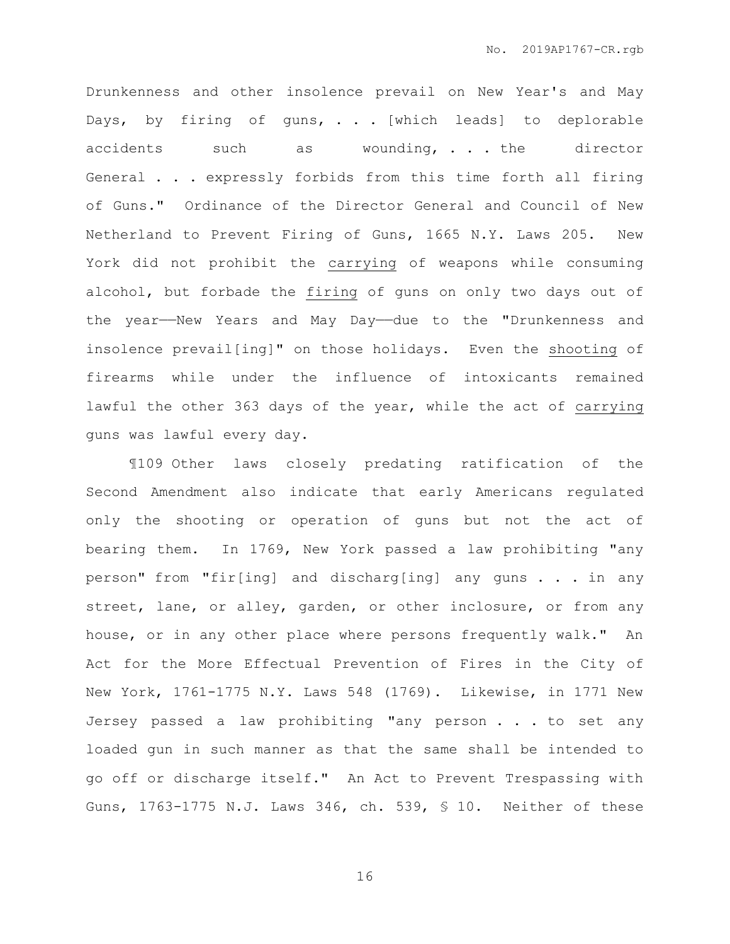Drunkenness and other insolence prevail on New Year's and May Days, by firing of guns, . . . [which leads] to deplorable accidents such as wounding, . . . the director General . . . expressly forbids from this time forth all firing of Guns." Ordinance of the Director General and Council of New Netherland to Prevent Firing of Guns, 1665 N.Y. Laws 205. New York did not prohibit the carrying of weapons while consuming alcohol, but forbade the firing of guns on only two days out of the year-New Years and May Day-due to the "Drunkenness and insolence prevail[ing]" on those holidays. Even the shooting of firearms while under the influence of intoxicants remained lawful the other 363 days of the year, while the act of carrying guns was lawful every day.

¶109 Other laws closely predating ratification of the Second Amendment also indicate that early Americans regulated only the shooting or operation of guns but not the act of bearing them. In 1769, New York passed a law prohibiting "any person" from "fir[ing] and discharg[ing] any guns . . . in any street, lane, or alley, garden, or other inclosure, or from any house, or in any other place where persons frequently walk." An Act for the More Effectual Prevention of Fires in the City of New York, 1761-1775 N.Y. Laws 548 (1769). Likewise, in 1771 New Jersey passed a law prohibiting "any person . . . to set any loaded gun in such manner as that the same shall be intended to go off or discharge itself." An Act to Prevent Trespassing with Guns, 1763-1775 N.J. Laws 346, ch. 539, § 10. Neither of these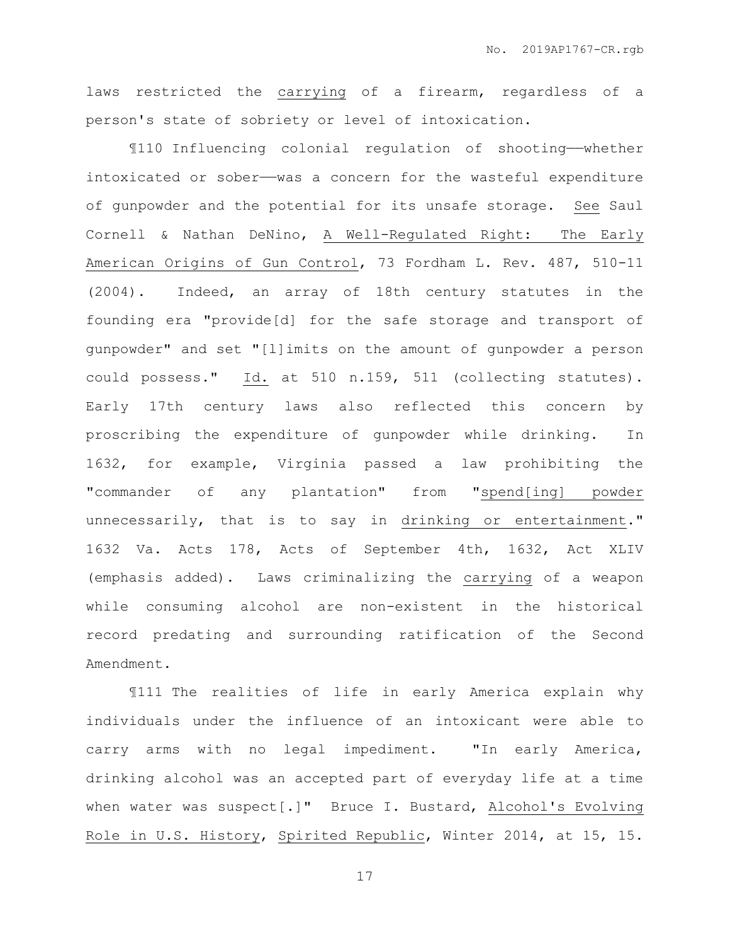laws restricted the carrying of a firearm, regardless of a person's state of sobriety or level of intoxication.

¶110 Influencing colonial regulation of shooting——whether intoxicated or sober- was a concern for the wasteful expenditure of gunpowder and the potential for its unsafe storage. See Saul Cornell & Nathan DeNino, A Well-Regulated Right: The Early American Origins of Gun Control, 73 Fordham L. Rev. 487, 510-11 (2004). Indeed, an array of 18th century statutes in the founding era "provide[d] for the safe storage and transport of gunpowder" and set "[l]imits on the amount of gunpowder a person could possess." Id. at 510 n.159, 511 (collecting statutes). Early 17th century laws also reflected this concern by proscribing the expenditure of gunpowder while drinking. In 1632, for example, Virginia passed a law prohibiting the "commander of any plantation" from "spend[ing] powder unnecessarily, that is to say in drinking or entertainment." 1632 Va. Acts 178, Acts of September 4th, 1632, Act XLIV (emphasis added). Laws criminalizing the carrying of a weapon while consuming alcohol are non-existent in the historical record predating and surrounding ratification of the Second Amendment.

¶111 The realities of life in early America explain why individuals under the influence of an intoxicant were able to carry arms with no legal impediment. "In early America, drinking alcohol was an accepted part of everyday life at a time when water was suspect[.]" Bruce I. Bustard, Alcohol's Evolving Role in U.S. History, Spirited Republic, Winter 2014, at 15, 15.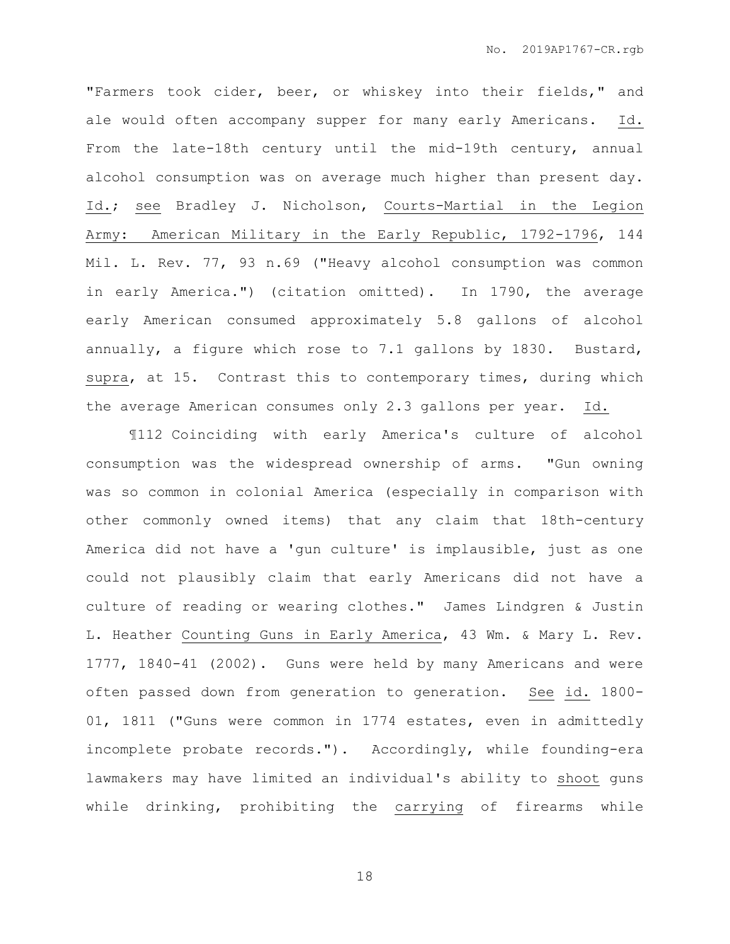"Farmers took cider, beer, or whiskey into their fields," and ale would often accompany supper for many early Americans. Id. From the late-18th century until the mid-19th century, annual alcohol consumption was on average much higher than present day. Id.; see Bradley J. Nicholson, Courts-Martial in the Legion Army: American Military in the Early Republic, 1792-1796, 144 Mil. L. Rev. 77, 93 n.69 ("Heavy alcohol consumption was common in early America.") (citation omitted). In 1790, the average early American consumed approximately 5.8 gallons of alcohol annually, a figure which rose to 7.1 gallons by 1830. Bustard, supra, at 15. Contrast this to contemporary times, during which the average American consumes only 2.3 gallons per year. Id.

¶112 Coinciding with early America's culture of alcohol consumption was the widespread ownership of arms. "Gun owning was so common in colonial America (especially in comparison with other commonly owned items) that any claim that 18th-century America did not have a 'gun culture' is implausible, just as one could not plausibly claim that early Americans did not have a culture of reading or wearing clothes." James Lindgren & Justin L. Heather Counting Guns in Early America, 43 Wm. & Mary L. Rev. 1777, 1840-41 (2002). Guns were held by many Americans and were often passed down from generation to generation. See id. 1800- 01, 1811 ("Guns were common in 1774 estates, even in admittedly incomplete probate records."). Accordingly, while founding-era lawmakers may have limited an individual's ability to shoot guns while drinking, prohibiting the carrying of firearms while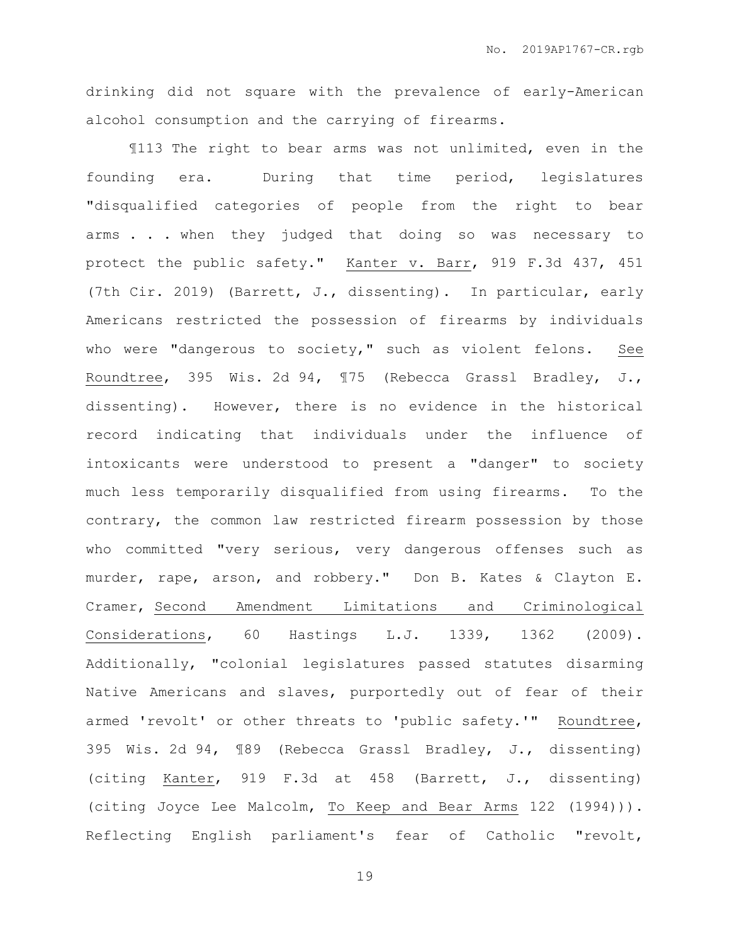drinking did not square with the prevalence of early-American alcohol consumption and the carrying of firearms.

¶113 The right to bear arms was not unlimited, even in the founding era. During that time period, legislatures "disqualified categories of people from the right to bear arms . . . when they judged that doing so was necessary to protect the public safety." Kanter v. Barr, 919 F.3d 437, 451 (7th Cir. 2019) (Barrett, J., dissenting). In particular, early Americans restricted the possession of firearms by individuals who were "dangerous to society," such as violent felons. See Roundtree, 395 Wis. 2d 94, ¶75 (Rebecca Grassl Bradley, J., dissenting). However, there is no evidence in the historical record indicating that individuals under the influence of intoxicants were understood to present a "danger" to society much less temporarily disqualified from using firearms. To the contrary, the common law restricted firearm possession by those who committed "very serious, very dangerous offenses such as murder, rape, arson, and robbery." Don B. Kates & Clayton E. Cramer, Second Amendment Limitations and Criminological Considerations, 60 Hastings L.J. 1339, 1362 (2009). Additionally, "colonial legislatures passed statutes disarming Native Americans and slaves, purportedly out of fear of their armed 'revolt' or other threats to 'public safety.'" Roundtree, 395 Wis. 2d 94, ¶89 (Rebecca Grassl Bradley, J., dissenting) (citing Kanter, 919 F.3d at 458 (Barrett, J., dissenting) (citing Joyce Lee Malcolm, To Keep and Bear Arms 122 (1994))). Reflecting English parliament's fear of Catholic "revolt,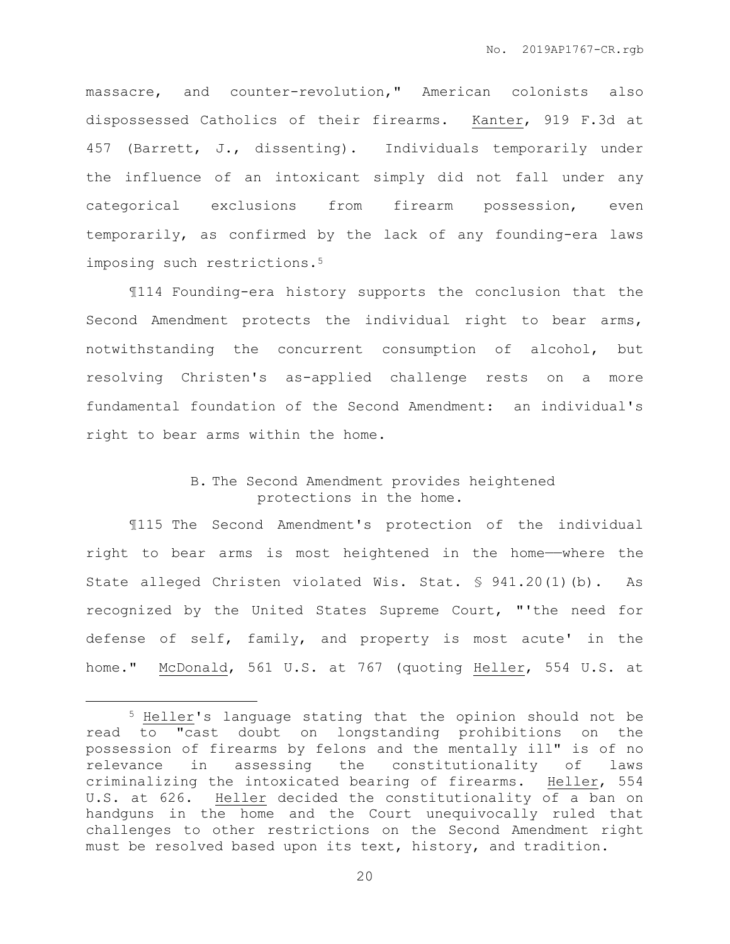massacre, and counter-revolution," American colonists also dispossessed Catholics of their firearms. Kanter, 919 F.3d at 457 (Barrett, J., dissenting). Individuals temporarily under the influence of an intoxicant simply did not fall under any categorical exclusions from firearm possession, even temporarily, as confirmed by the lack of any founding-era laws imposing such restrictions.<sup>5</sup>

¶114 Founding-era history supports the conclusion that the Second Amendment protects the individual right to bear arms, notwithstanding the concurrent consumption of alcohol, but resolving Christen's as-applied challenge rests on a more fundamental foundation of the Second Amendment: an individual's right to bear arms within the home.

# B. The Second Amendment provides heightened protections in the home.

¶115 The Second Amendment's protection of the individual right to bear arms is most heightened in the home——where the State alleged Christen violated Wis. Stat. § 941.20(1)(b). As recognized by the United States Supreme Court, "'the need for defense of self, family, and property is most acute' in the home." McDonald, 561 U.S. at 767 (quoting Heller, 554 U.S. at

 $\overline{a}$ 

<sup>5</sup> Heller's language stating that the opinion should not be read to "cast doubt on longstanding prohibitions on the possession of firearms by felons and the mentally ill" is of no relevance in assessing the constitutionality of laws criminalizing the intoxicated bearing of firearms. Heller, 554 U.S. at 626. Heller decided the constitutionality of a ban on handguns in the home and the Court unequivocally ruled that challenges to other restrictions on the Second Amendment right must be resolved based upon its text, history, and tradition.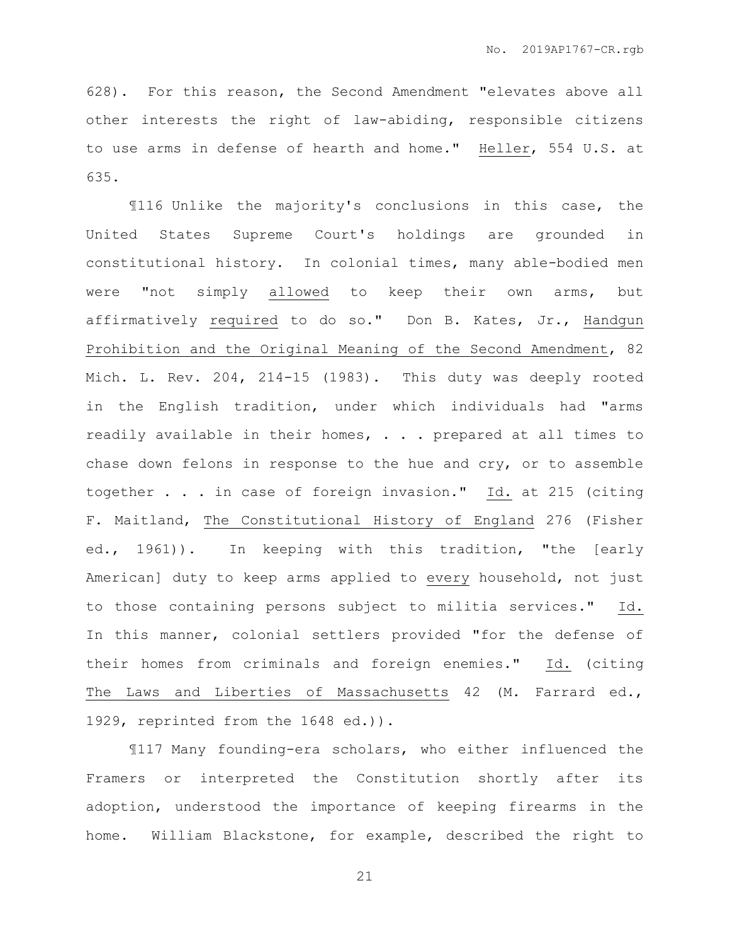628). For this reason, the Second Amendment "elevates above all other interests the right of law-abiding, responsible citizens to use arms in defense of hearth and home." Heller, 554 U.S. at 635.

¶116 Unlike the majority's conclusions in this case, the United States Supreme Court's holdings are grounded in constitutional history. In colonial times, many able-bodied men were "not simply allowed to keep their own arms, but affirmatively required to do so." Don B. Kates, Jr., Handgun Prohibition and the Original Meaning of the Second Amendment, 82 Mich. L. Rev. 204, 214-15 (1983). This duty was deeply rooted in the English tradition, under which individuals had "arms readily available in their homes, . . . prepared at all times to chase down felons in response to the hue and cry, or to assemble together . . . in case of foreign invasion." Id. at 215 (citing F. Maitland, The Constitutional History of England 276 (Fisher ed., 1961)). In keeping with this tradition, "the [early American] duty to keep arms applied to every household, not just to those containing persons subject to militia services." Id. In this manner, colonial settlers provided "for the defense of their homes from criminals and foreign enemies." Id. (citing The Laws and Liberties of Massachusetts 42 (M. Farrard ed., 1929, reprinted from the 1648 ed.)).

¶117 Many founding-era scholars, who either influenced the Framers or interpreted the Constitution shortly after its adoption, understood the importance of keeping firearms in the home. William Blackstone, for example, described the right to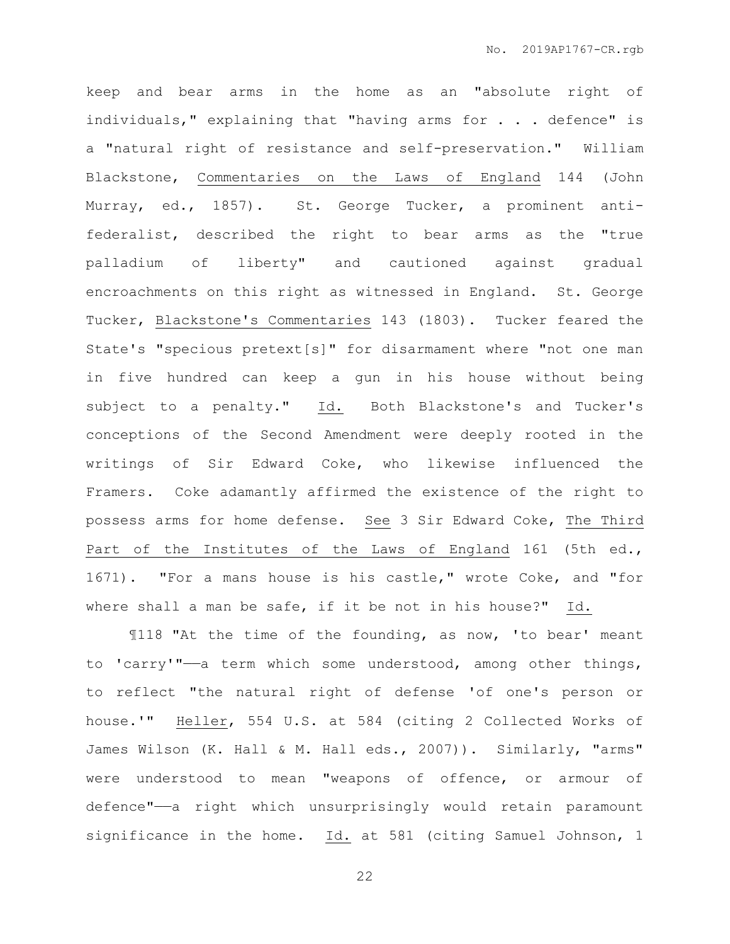keep and bear arms in the home as an "absolute right of individuals," explaining that "having arms for . . . defence" is a "natural right of resistance and self-preservation." William Blackstone, Commentaries on the Laws of England 144 (John Murray, ed., 1857). St. George Tucker, a prominent antifederalist, described the right to bear arms as the "true palladium of liberty" and cautioned against gradual encroachments on this right as witnessed in England. St. George Tucker, Blackstone's Commentaries 143 (1803). Tucker feared the State's "specious pretext[s]" for disarmament where "not one man in five hundred can keep a gun in his house without being subject to a penalty." Id. Both Blackstone's and Tucker's conceptions of the Second Amendment were deeply rooted in the writings of Sir Edward Coke, who likewise influenced the Framers. Coke adamantly affirmed the existence of the right to possess arms for home defense. See 3 Sir Edward Coke, The Third Part of the Institutes of the Laws of England 161 (5th ed., 1671). "For a mans house is his castle," wrote Coke, and "for where shall a man be safe, if it be not in his house?" Id.

¶118 "At the time of the founding, as now, 'to bear' meant to 'carry'"——a term which some understood, among other things, to reflect "the natural right of defense 'of one's person or house.'" Heller, 554 U.S. at 584 (citing 2 Collected Works of James Wilson (K. Hall & M. Hall eds., 2007)). Similarly, "arms" were understood to mean "weapons of offence, or armour of defence"——a right which unsurprisingly would retain paramount significance in the home. Id. at 581 (citing Samuel Johnson, 1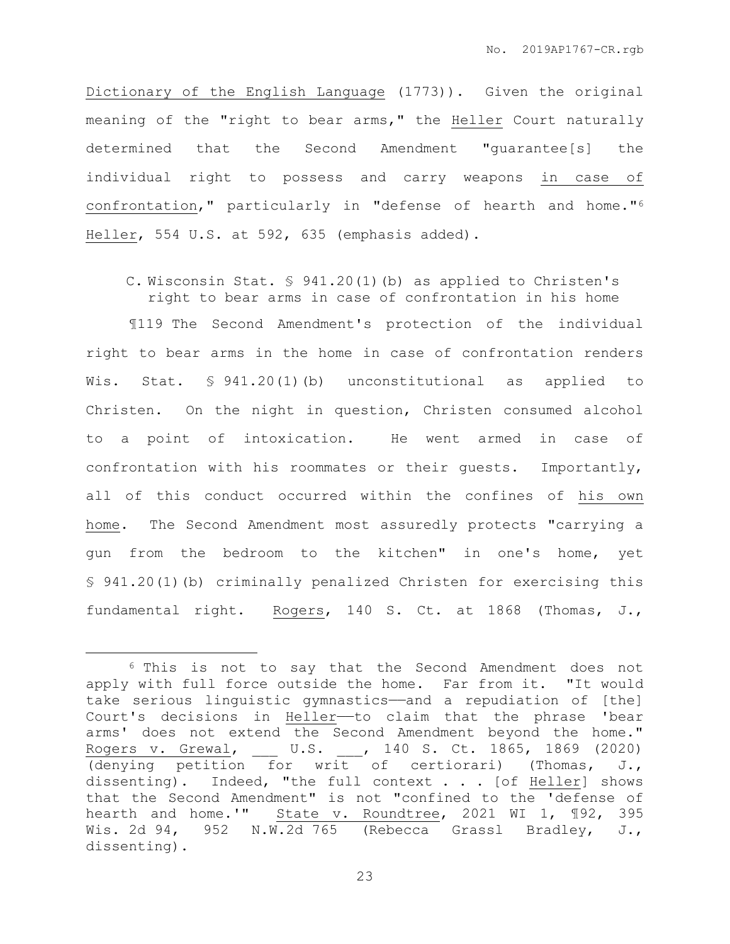Dictionary of the English Language (1773)). Given the original meaning of the "right to bear arms," the Heller Court naturally determined that the Second Amendment "guarantee[s] the individual right to possess and carry weapons in case of confrontation," particularly in "defense of hearth and home."<sup>6</sup> Heller, 554 U.S. at 592, 635 (emphasis added).

C. Wisconsin Stat. § 941.20(1)(b) as applied to Christen's right to bear arms in case of confrontation in his home

¶119 The Second Amendment's protection of the individual right to bear arms in the home in case of confrontation renders Wis. Stat. § 941.20(1)(b) unconstitutional as applied to Christen. On the night in question, Christen consumed alcohol to a point of intoxication. He went armed in case of confrontation with his roommates or their guests. Importantly, all of this conduct occurred within the confines of his own home. The Second Amendment most assuredly protects "carrying a gun from the bedroom to the kitchen" in one's home, yet § 941.20(1)(b) criminally penalized Christen for exercising this fundamental right. Rogers, 140 S. Ct. at 1868 (Thomas, J.,

 $\overline{a}$ 

<sup>6</sup> This is not to say that the Second Amendment does not apply with full force outside the home. Far from it. "It would take serious linguistic gymnastics——and a repudiation of [the] Court's decisions in Heller--to claim that the phrase 'bear arms' does not extend the Second Amendment beyond the home." Rogers v. Grewal, \_\_\_ U.S. \_\_\_, 140 S. Ct. 1865, 1869 (2020) (denying petition for writ of certiorari) (Thomas, J., dissenting). Indeed, "the full context . . . [of Heller] shows that the Second Amendment" is not "confined to the 'defense of hearth and home.'" State v. Roundtree, 2021 WI 1, 192, 395 Wis. 2d 94, 952 N.W.2d 765 (Rebecca Grassl Bradley, J., dissenting).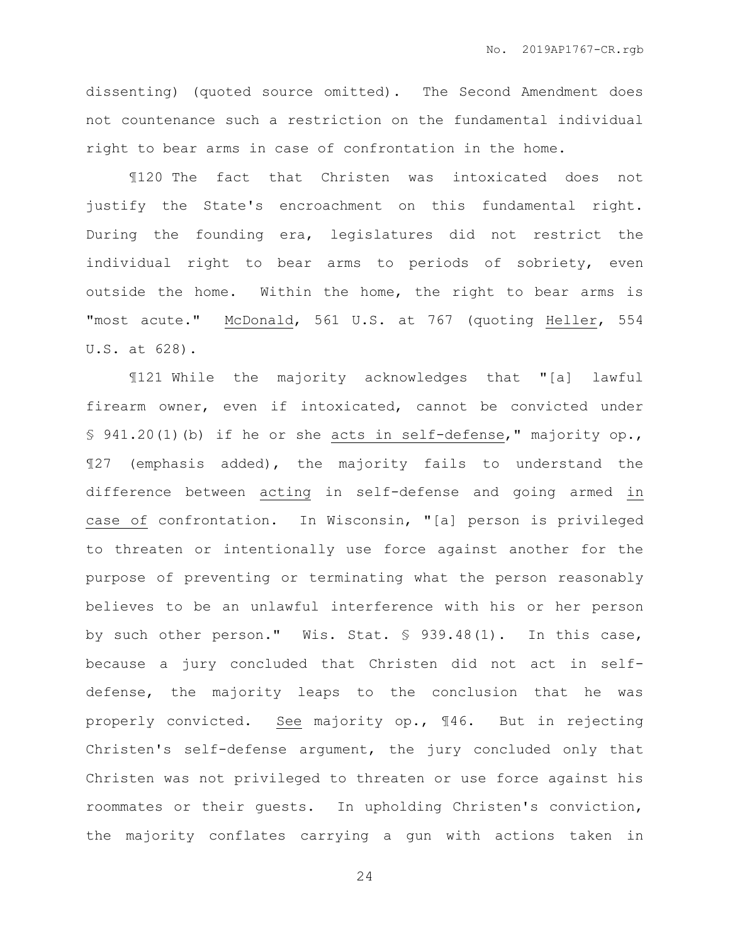dissenting) (quoted source omitted). The Second Amendment does not countenance such a restriction on the fundamental individual right to bear arms in case of confrontation in the home.

¶120 The fact that Christen was intoxicated does not justify the State's encroachment on this fundamental right. During the founding era, legislatures did not restrict the individual right to bear arms to periods of sobriety, even outside the home. Within the home, the right to bear arms is "most acute." McDonald, 561 U.S. at 767 (quoting Heller, 554 U.S. at 628).

¶121 While the majority acknowledges that "[a] lawful firearm owner, even if intoxicated, cannot be convicted under § 941.20(1)(b) if he or she acts in self-defense," majority op., ¶27 (emphasis added), the majority fails to understand the difference between acting in self-defense and going armed in case of confrontation. In Wisconsin, "[a] person is privileged to threaten or intentionally use force against another for the purpose of preventing or terminating what the person reasonably believes to be an unlawful interference with his or her person by such other person." Wis. Stat. § 939.48(1). In this case, because a jury concluded that Christen did not act in selfdefense, the majority leaps to the conclusion that he was properly convicted. See majority op., ¶46. But in rejecting Christen's self-defense argument, the jury concluded only that Christen was not privileged to threaten or use force against his roommates or their guests. In upholding Christen's conviction, the majority conflates carrying a gun with actions taken in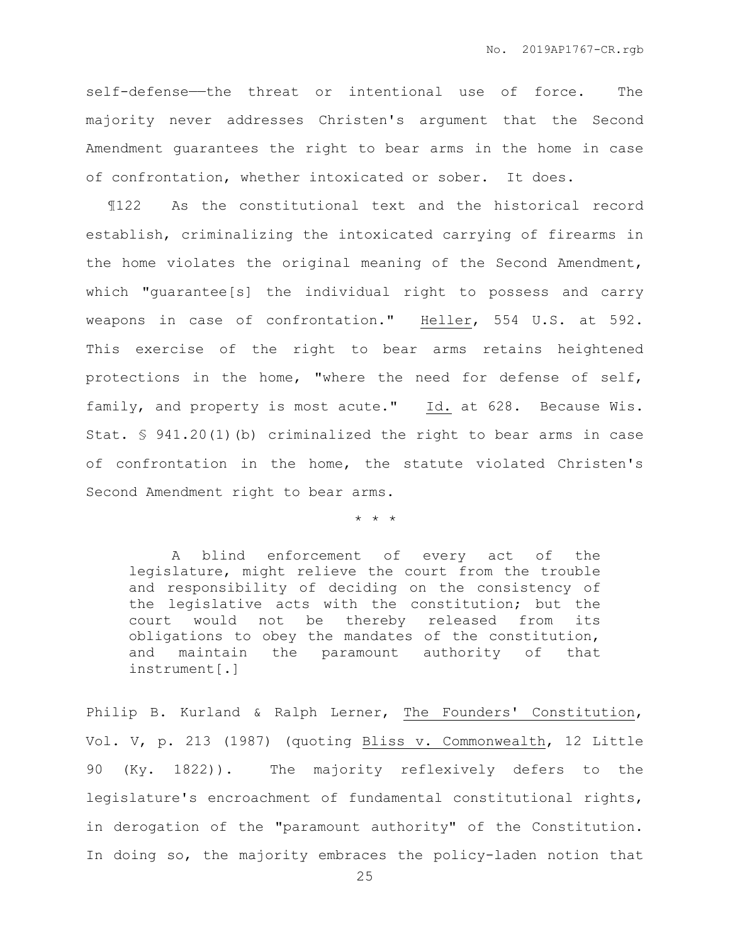self-defense—the threat or intentional use of force. The majority never addresses Christen's argument that the Second Amendment guarantees the right to bear arms in the home in case of confrontation, whether intoxicated or sober. It does.

¶122 As the constitutional text and the historical record establish, criminalizing the intoxicated carrying of firearms in the home violates the original meaning of the Second Amendment, which "guarantee[s] the individual right to possess and carry weapons in case of confrontation." Heller, 554 U.S. at 592. This exercise of the right to bear arms retains heightened protections in the home, "where the need for defense of self, family, and property is most acute." Id. at 628. Because Wis. Stat.  $\frac{6}{5}$  941.20(1)(b) criminalized the right to bear arms in case of confrontation in the home, the statute violated Christen's Second Amendment right to bear arms.

\* \* \*

A blind enforcement of every act of the legislature, might relieve the court from the trouble and responsibility of deciding on the consistency of the legislative acts with the constitution; but the court would not be thereby released from its obligations to obey the mandates of the constitution, and maintain the paramount authority of that instrument[.]

Philip B. Kurland & Ralph Lerner, The Founders' Constitution, Vol. V, p. 213 (1987) (quoting Bliss v. Commonwealth, 12 Little 90 (Ky. 1822)). The majority reflexively defers to the legislature's encroachment of fundamental constitutional rights, in derogation of the "paramount authority" of the Constitution. In doing so, the majority embraces the policy-laden notion that